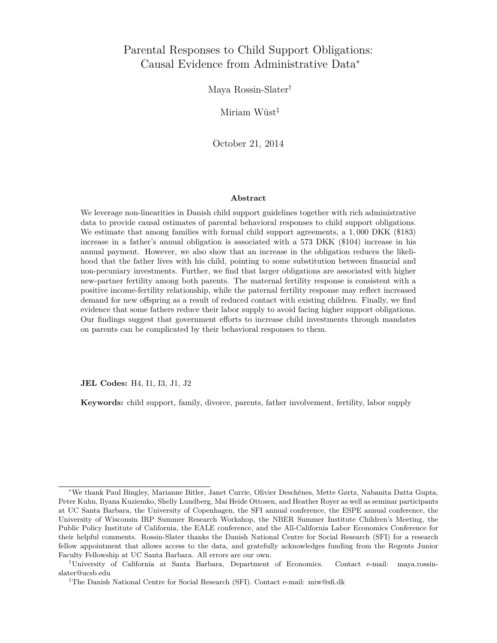# Parental Responses to Child Support Obligations: Causal Evidence from Administrative Data<sup>∗</sup>

Maya Rossin-Slater†

Miriam Wüst‡

October 21, 2014

#### **Abstract**

We leverage non-linearities in Danish child support guidelines together with rich administrative data to provide causal estimates of parental behavioral responses to child support obligations. We estimate that among families with formal child support agreements, a 1*,* 000 DKK (\$183) increase in a father's annual obligation is associated with a 573 DKK (\$104) increase in his annual payment. However, we also show that an increase in the obligation reduces the likelihood that the father lives with his child, pointing to some substitution between financial and non-pecuniary investments. Further, we find that larger obligations are associated with higher new-partner fertility among both parents. The maternal fertility response is consistent with a positive income-fertility relationship, while the paternal fertility response may reflect increased demand for new offspring as a result of reduced contact with existing children. Finally, we find evidence that some fathers reduce their labor supply to avoid facing higher support obligations. Our findings suggest that government efforts to increase child investments through mandates on parents can be complicated by their behavioral responses to them.

**JEL Codes:** H4, I1, I3, J1, J2

**Keywords:** child support, family, divorce, parents, father involvement, fertility, labor supply

<sup>∗</sup>We thank Paul Bingley, Marianne Bitler, Janet Currie, Olivier Deschênes, Mette Gørtz, Nabanita Datta Gupta, Peter Kuhn, Ilyana Kuziemko, Shelly Lundberg, Mai Heide Ottosen, and Heather Royer as well as seminar participants at UC Santa Barbara, the University of Copenhagen, the SFI annual conference, the ESPE annual conference, the University of Wisconsin IRP Summer Research Workshop, the NBER Summer Institute Children's Meeting, the Public Policy Institute of California, the EALE conference, and the All-California Labor Economics Conference for their helpful comments. Rossin-Slater thanks the Danish National Centre for Social Research (SFI) for a research fellow appointment that allows access to the data, and gratefully acknowledges funding from the Regents Junior Faculty Fellowship at UC Santa Barbara. All errors are our own.

<sup>†</sup>University of California at Santa Barbara, Department of Economics. Contact e-mail: [maya.rossin](mailto:maya.rossin-slater@ucsb.edu)[slater@ucsb.edu](mailto:maya.rossin-slater@ucsb.edu)

<sup>‡</sup>The Danish National Centre for Social Research (SFI). Contact e-mail: [miw@sfi.dk](mailto:miw@sfi.dk)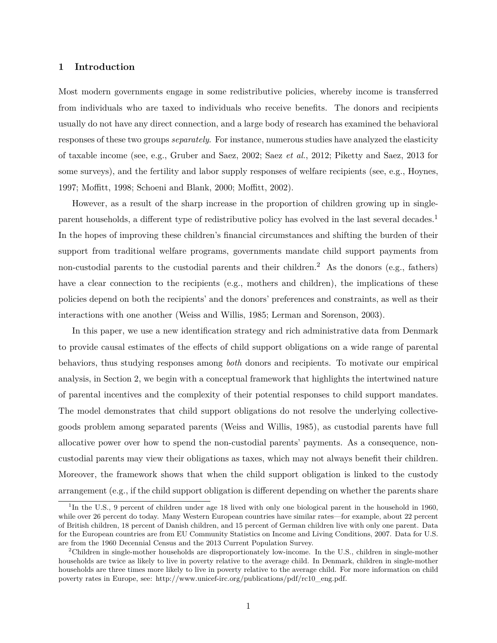### **1 Introduction**

Most modern governments engage in some redistributive policies, whereby income is transferred from individuals who are taxed to individuals who receive benefits. The donors and recipients usually do not have any direct connection, and a large body of research has examined the behavioral responses of these two groups *separately*. For instance, numerous studies have analyzed the elasticity of taxable income (see, e.g., [Gruber and Saez, 2002;](#page-32-0) Saez *[et al.](#page-33-0)*, [2012;](#page-33-0) [Piketty and Saez, 2013](#page-33-1) for some surveys), and the fertility and labor supply responses of welfare recipients (see, e.g., [Hoynes,](#page-32-1) [1997;](#page-32-1) [Moffitt, 1998;](#page-33-2) [Schoeni and Blank, 2000;](#page-33-3) [Moffitt, 2002\)](#page-33-4).

However, as a result of the sharp increase in the proportion of children growing up in singleparent households, a different type of redistributive policy has evolved in the last several decades.<sup>1</sup> In the hopes of improving these children's financial circumstances and shifting the burden of their support from traditional welfare programs, governments mandate child support payments from non-custodial parents to the custodial parents and their children.<sup>2</sup> As the donors (e.g., fathers) have a clear connection to the recipients (e.g., mothers and children), the implications of these policies depend on both the recipients' and the donors' preferences and constraints, as well as their interactions with one another [\(Weiss and Willis, 1985;](#page-34-0) [Lerman and Sorenson, 2003\)](#page-33-5).

In this paper, we use a new identification strategy and rich administrative data from Denmark to provide causal estimates of the effects of child support obligations on a wide range of parental behaviors, thus studying responses among *both* donors and recipients. To motivate our empirical analysis, in Section [2,](#page-5-0) we begin with a conceptual framework that highlights the intertwined nature of parental incentives and the complexity of their potential responses to child support mandates. The model demonstrates that child support obligations do not resolve the underlying collectivegoods problem among separated parents [\(Weiss and Willis, 1985\)](#page-34-0), as custodial parents have full allocative power over how to spend the non-custodial parents' payments. As a consequence, noncustodial parents may view their obligations as taxes, which may not always benefit their children. Moreover, the framework shows that when the child support obligation is linked to the custody arrangement (e.g., if the child support obligation is different depending on whether the parents share

<sup>&</sup>lt;sup>1</sup>In the U.S., 9 percent of children under age 18 lived with only one biological parent in the household in 1960, while over 26 percent do today. Many Western European countries have similar rates—for example, about 22 percent of British children, 18 percent of Danish children, and 15 percent of German children live with only one parent. Data for the European countries are from EU Community Statistics on Income and Living Conditions, 2007. Data for U.S. are from the 1960 Decennial Census and the 2013 Current Population Survey.

<sup>2</sup>Children in single-mother households are disproportionately low-income. In the U.S., children in single-mother households are twice as likely to live in poverty relative to the average child. In Denmark, children in single-mother households are three times more likely to live in poverty relative to the average child. For more information on child poverty rates in Europe, see: [http://www.unicef-irc.org/publications/pdf/rc10\\_eng.pdf.](http://www.unicef-irc.org/publications/pdf/rc10_eng.pdf)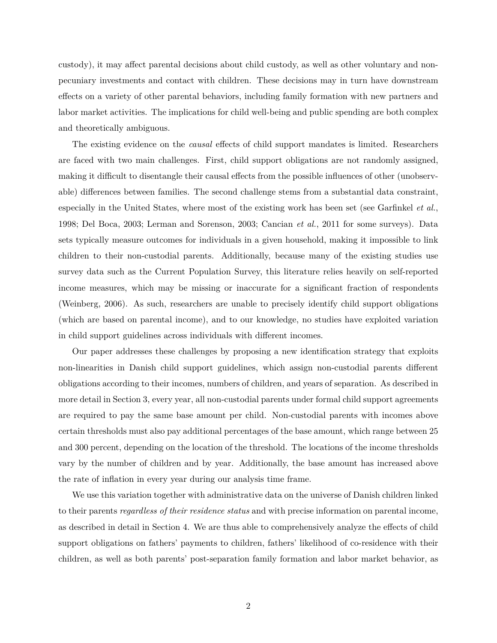custody), it may affect parental decisions about child custody, as well as other voluntary and nonpecuniary investments and contact with children. These decisions may in turn have downstream effects on a variety of other parental behaviors, including family formation with new partners and labor market activities. The implications for child well-being and public spending are both complex and theoretically ambiguous.

The existing evidence on the *causal* effects of child support mandates is limited. Researchers are faced with two main challenges. First, child support obligations are not randomly assigned, making it difficult to disentangle their causal effects from the possible influences of other (unobservable) differences between families. The second challenge stems from a substantial data constraint, especially in the United States, where most of the existing work has been set (see [Garfinkel](#page-32-2) *et al.*, [1998;](#page-32-2) [Del Boca, 2003;](#page-32-3) [Lerman and Sorenson, 2003;](#page-33-5) [Cancian](#page-31-0) *et al.*, [2011](#page-31-0) for some surveys). Data sets typically measure outcomes for individuals in a given household, making it impossible to link children to their non-custodial parents. Additionally, because many of the existing studies use survey data such as the Current Population Survey, this literature relies heavily on self-reported income measures, which may be missing or inaccurate for a significant fraction of respondents [\(Weinberg, 2006\)](#page-34-1). As such, researchers are unable to precisely identify child support obligations (which are based on parental income), and to our knowledge, no studies have exploited variation in child support guidelines across individuals with different incomes.

Our paper addresses these challenges by proposing a new identification strategy that exploits non-linearities in Danish child support guidelines, which assign non-custodial parents different obligations according to their incomes, numbers of children, and years of separation. As described in more detail in Section [3,](#page-13-0) every year, all non-custodial parents under formal child support agreements are required to pay the same base amount per child. Non-custodial parents with incomes above certain thresholds must also pay additional percentages of the base amount, which range between 25 and 300 percent, depending on the location of the threshold. The locations of the income thresholds vary by the number of children and by year. Additionally, the base amount has increased above the rate of inflation in every year during our analysis time frame.

We use this variation together with administrative data on the universe of Danish children linked to their parents *regardless of their residence status* and with precise information on parental income, as described in detail in Section [4.](#page-15-0) We are thus able to comprehensively analyze the effects of child support obligations on fathers' payments to children, fathers' likelihood of co-residence with their children, as well as both parents' post-separation family formation and labor market behavior, as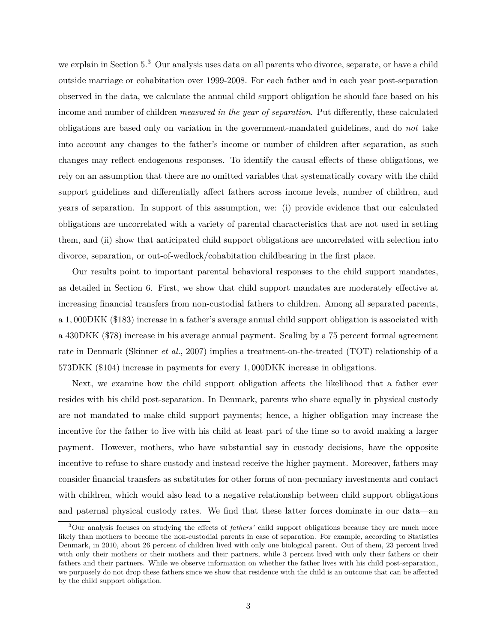we explain in Section [5.](#page-19-0)<sup>3</sup> Our analysis uses data on all parents who divorce, separate, or have a child outside marriage or cohabitation over 1999-2008. For each father and in each year post-separation observed in the data, we calculate the annual child support obligation he should face based on his income and number of children *measured in the year of separation*. Put differently, these calculated obligations are based only on variation in the government-mandated guidelines, and do *not* take into account any changes to the father's income or number of children after separation, as such changes may reflect endogenous responses. To identify the causal effects of these obligations, we rely on an assumption that there are no omitted variables that systematically covary with the child support guidelines and differentially affect fathers across income levels, number of children, and years of separation. In support of this assumption, we: (i) provide evidence that our calculated obligations are uncorrelated with a variety of parental characteristics that are not used in setting them, and (ii) show that anticipated child support obligations are uncorrelated with selection into divorce, separation, or out-of-wedlock/cohabitation childbearing in the first place.

Our results point to important parental behavioral responses to the child support mandates, as detailed in Section [6.](#page-22-0) First, we show that child support mandates are moderately effective at increasing financial transfers from non-custodial fathers to children. Among all separated parents, a 1*,* 000DKK (\$183) increase in a father's average annual child support obligation is associated with a 430DKK (\$78) increase in his average annual payment. Scaling by a 75 percent formal agreement rate in Denmark [\(Skinner](#page-33-6) *et al.*, [2007\)](#page-33-6) implies a treatment-on-the-treated (TOT) relationship of a 573DKK (\$104) increase in payments for every 1*,* 000DKK increase in obligations.

Next, we examine how the child support obligation affects the likelihood that a father ever resides with his child post-separation. In Denmark, parents who share equally in physical custody are not mandated to make child support payments; hence, a higher obligation may increase the incentive for the father to live with his child at least part of the time so to avoid making a larger payment. However, mothers, who have substantial say in custody decisions, have the opposite incentive to refuse to share custody and instead receive the higher payment. Moreover, fathers may consider financial transfers as substitutes for other forms of non-pecuniary investments and contact with children, which would also lead to a negative relationship between child support obligations and paternal physical custody rates. We find that these latter forces dominate in our data—an

<sup>3</sup>Our analysis focuses on studying the effects of *fathers'* child support obligations because they are much more likely than mothers to become the non-custodial parents in case of separation. For example, according to Statistics Denmark, in 2010, about 26 percent of children lived with only one biological parent. Out of them, 23 percent lived with only their mothers or their mothers and their partners, while 3 percent lived with only their fathers or their fathers and their partners. While we observe information on whether the father lives with his child post-separation, we purposely do not drop these fathers since we show that residence with the child is an outcome that can be affected by the child support obligation.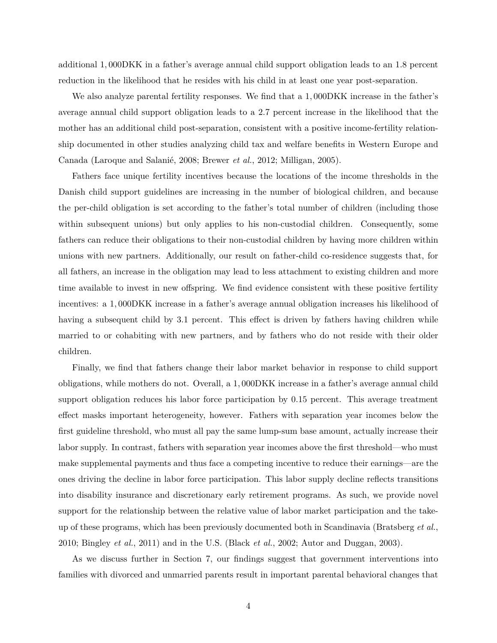additional 1*,* 000DKK in a father's average annual child support obligation leads to an 1*.*8 percent reduction in the likelihood that he resides with his child in at least one year post-separation.

We also analyze parental fertility responses. We find that a 1*,* 000DKK increase in the father's average annual child support obligation leads to a 2*.*7 percent increase in the likelihood that the mother has an additional child post-separation, consistent with a positive income-fertility relationship documented in other studies analyzing child tax and welfare benefits in Western Europe and Canada [\(Laroque and Salanié, 2008;](#page-32-4) [Brewer](#page-31-1) *et al.*, [2012;](#page-31-1) [Milligan, 2005\)](#page-33-7).

Fathers face unique fertility incentives because the locations of the income thresholds in the Danish child support guidelines are increasing in the number of biological children, and because the per-child obligation is set according to the father's total number of children (including those within subsequent unions) but only applies to his non-custodial children. Consequently, some fathers can reduce their obligations to their non-custodial children by having more children within unions with new partners. Additionally, our result on father-child co-residence suggests that, for all fathers, an increase in the obligation may lead to less attachment to existing children and more time available to invest in new offspring. We find evidence consistent with these positive fertility incentives: a 1*,* 000DKK increase in a father's average annual obligation increases his likelihood of having a subsequent child by 3.1 percent. This effect is driven by fathers having children while married to or cohabiting with new partners, and by fathers who do not reside with their older children.

Finally, we find that fathers change their labor market behavior in response to child support obligations, while mothers do not. Overall, a 1*,* 000DKK increase in a father's average annual child support obligation reduces his labor force participation by 0*.*15 percent. This average treatment effect masks important heterogeneity, however. Fathers with separation year incomes below the first guideline threshold, who must all pay the same lump-sum base amount, actually increase their labor supply. In contrast, fathers with separation year incomes above the first threshold—who must make supplemental payments and thus face a competing incentive to reduce their earnings—are the ones driving the decline in labor force participation. This labor supply decline reflects transitions into disability insurance and discretionary early retirement programs. As such, we provide novel support for the relationship between the relative value of labor market participation and the takeup of these programs, which has been previously documented both in Scandinavia [\(Bratsberg](#page-31-2) *et al.*, [2010;](#page-31-2) [Bingley](#page-31-3) *et al.*, [2011\)](#page-31-3) and in the U.S. [\(Black](#page-31-4) *et al.*, [2002;](#page-31-4) [Autor and Duggan, 2003\)](#page-31-5).

As we discuss further in Section [7,](#page-29-0) our findings suggest that government interventions into families with divorced and unmarried parents result in important parental behavioral changes that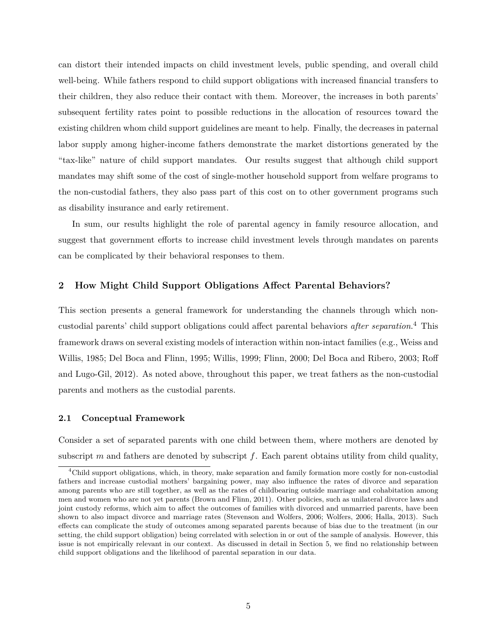can distort their intended impacts on child investment levels, public spending, and overall child well-being. While fathers respond to child support obligations with increased financial transfers to their children, they also reduce their contact with them. Moreover, the increases in both parents' subsequent fertility rates point to possible reductions in the allocation of resources toward the existing children whom child support guidelines are meant to help. Finally, the decreases in paternal labor supply among higher-income fathers demonstrate the market distortions generated by the "tax-like" nature of child support mandates. Our results suggest that although child support mandates may shift some of the cost of single-mother household support from welfare programs to the non-custodial fathers, they also pass part of this cost on to other government programs such as disability insurance and early retirement.

In sum, our results highlight the role of parental agency in family resource allocation, and suggest that government efforts to increase child investment levels through mandates on parents can be complicated by their behavioral responses to them.

### <span id="page-5-0"></span>**2 How Might Child Support Obligations Affect Parental Behaviors?**

This section presents a general framework for understanding the channels through which noncustodial parents' child support obligations could affect parental behaviors *after separation*. <sup>4</sup> This framework draws on several existing models of interaction within non-intact families (e.g., [Weiss and](#page-34-0) [Willis, 1985;](#page-34-0) [Del Boca and Flinn, 1995;](#page-32-5) [Willis, 1999;](#page-34-2) [Flinn, 2000;](#page-32-6) [Del Boca and Ribero, 2003;](#page-32-7) [Roff](#page-33-8) [and Lugo-Gil, 2012\)](#page-33-8). As noted above, throughout this paper, we treat fathers as the non-custodial parents and mothers as the custodial parents.

#### **2.1 Conceptual Framework**

Consider a set of separated parents with one child between them, where mothers are denoted by subscript *m* and fathers are denoted by subscript *f*. Each parent obtains utility from child quality,

<sup>&</sup>lt;sup>4</sup>Child support obligations, which, in theory, make separation and family formation more costly for non-custodial fathers and increase custodial mothers' bargaining power, may also influence the rates of divorce and separation among parents who are still together, as well as the rates of childbearing outside marriage and cohabitation among men and women who are not yet parents [\(Brown and Flinn, 2011\)](#page-31-6). Other policies, such as unilateral divorce laws and joint custody reforms, which aim to affect the outcomes of families with divorced and unmarried parents, have been shown to also impact divorce and marriage rates [\(Stevenson and Wolfers, 2006;](#page-33-9) [Wolfers, 2006;](#page-34-3) [Halla, 2013\)](#page-32-8). Such effects can complicate the study of outcomes among separated parents because of bias due to the treatment (in our setting, the child support obligation) being correlated with selection in or out of the sample of analysis. However, this issue is not empirically relevant in our context. As discussed in detail in Section [5,](#page-19-0) we find no relationship between child support obligations and the likelihood of parental separation in our data.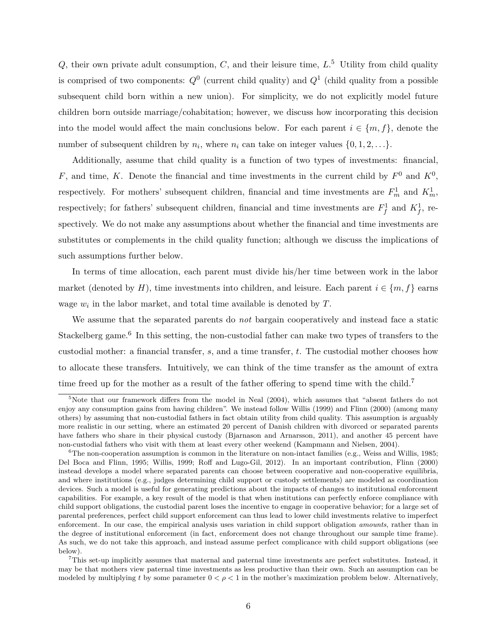*Q*, their own private adult consumption, *C*, and their leisure time, *L*. <sup>5</sup> Utility from child quality is comprised of two components:  $Q^0$  (current child quality) and  $Q^1$  (child quality from a possible subsequent child born within a new union). For simplicity, we do not explicitly model future children born outside marriage/cohabitation; however, we discuss how incorporating this decision into the model would affect the main conclusions below. For each parent  $i \in \{m, f\}$ , denote the number of subsequent children by  $n_i$ , where  $n_i$  can take on integer values  $\{0, 1, 2, \ldots\}$ .

Additionally, assume that child quality is a function of two types of investments: financial, *F*, and time, *K*. Denote the financial and time investments in the current child by  $F^0$  and  $K^0$ , respectively. For mothers' subsequent children, financial and time investments are  $F_m^1$  and  $K_m^1$ , respectively; for fathers' subsequent children, financial and time investments are  $F_f^1$  and  $K_f^1$ , respectively. We do not make any assumptions about whether the financial and time investments are substitutes or complements in the child quality function; although we discuss the implications of such assumptions further below.

In terms of time allocation, each parent must divide his/her time between work in the labor market (denoted by *H*), time investments into children, and leisure. Each parent  $i \in \{m, f\}$  earns wage  $w_i$  in the labor market, and total time available is denoted by  $T$ .

We assume that the separated parents do *not* bargain cooperatively and instead face a static Stackelberg game.<sup>6</sup> In this setting, the non-custodial father can make two types of transfers to the custodial mother: a financial transfer, *s*, and a time transfer, *t*. The custodial mother chooses how to allocate these transfers. Intuitively, we can think of the time transfer as the amount of extra time freed up for the mother as a result of the father offering to spend time with the child.<sup>7</sup>

<sup>&</sup>lt;sup>5</sup>Note that our framework differs from the model in [Neal](#page-33-10)  $(2004)$ , which assumes that "absent fathers do not enjoy any consumption gains from having children". We instead follow [Willis](#page-34-2) [\(1999\)](#page-34-2) and [Flinn](#page-32-6) [\(2000\)](#page-32-6) (among many others) by assuming that non-custodial fathers in fact obtain utility from child quality. This assumption is arguably more realistic in our setting, where an estimated 20 percent of Danish children with divorced or separated parents have fathers who share in their physical custody [\(Bjarnason and Arnarsson, 2011\)](#page-31-7), and another 45 percent have non-custodial fathers who visit with them at least every other weekend [\(Kampmann and Nielsen, 2004\)](#page-32-9).

 ${}^{6}$ The non-cooperation assumption is common in the literature on non-intact families (e.g., [Weiss and Willis, 1985;](#page-34-0) [Del Boca and Flinn, 1995;](#page-32-5) [Willis, 1999;](#page-34-2) [Roff and Lugo-Gil, 2012\)](#page-33-8). In an important contribution, [Flinn](#page-32-6) [\(2000\)](#page-32-6) instead develops a model where separated parents can choose between cooperative and non-cooperative equilibria, and where institutions (e.g., judges determining child support or custody settlements) are modeled as coordination devices. Such a model is useful for generating predictions about the impacts of changes to institutional enforcement capabilities. For example, a key result of the model is that when institutions can perfectly enforce compliance with child support obligations, the custodial parent loses the incentive to engage in cooperative behavior; for a large set of parental preferences, perfect child support enforcement can thus lead to lower child investments relative to imperfect enforcement. In our case, the empirical analysis uses variation in child support obligation *amounts*, rather than in the degree of institutional enforcement (in fact, enforcement does not change throughout our sample time frame). As such, we do not take this approach, and instead assume perfect complicance with child support obligations (see below).

<sup>7</sup>This set-up implicitly assumes that maternal and paternal time investments are perfect substitutes. Instead, it may be that mothers view paternal time investments as less productive than their own. Such an assumption can be modeled by multiplying t by some parameter  $0 < \rho < 1$  in the mother's maximization problem below. Alternatively,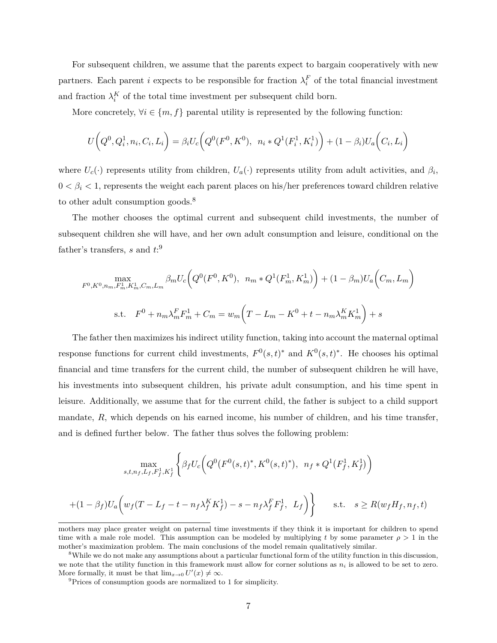For subsequent children, we assume that the parents expect to bargain cooperatively with new partners. Each parent *i* expects to be responsible for fraction  $\lambda_i^F$  of the total financial investment and fraction  $\lambda_i^K$  of the total time investment per subsequent child born.

More concretely,  $\forall i \in \{m, f\}$  parental utility is represented by the following function:

$$
U(Q^0, Q_i^1, n_i, C_i, L_i) = \beta_i U_c \left( Q^0(F^0, K^0), \ n_i * Q^1(F_i^1, K_i^1) \right) + (1 - \beta_i) U_a \left( C_i, L_i \right)
$$

where  $U_c(\cdot)$  represents utility from children,  $U_a(\cdot)$  represents utility from adult activities, and  $\beta_i$ ,  $0 < \beta_i < 1$ , represents the weight each parent places on his/her preferences toward children relative to other adult consumption goods.<sup>8</sup>

The mother chooses the optimal current and subsequent child investments, the number of subsequent children she will have, and her own adult consumption and leisure, conditional on the father's transfers, *s* and *t*: 9

$$
\max_{F^0, K^0, n_m, F_m^1, K_m^1, C_m, L_m} \beta_m U_c \big( Q^0(F^0, K^0), \quad n_m * Q^1(F_m^1, K_m^1) \big) + (1 - \beta_m) U_a \big( C_m, L_m \big)
$$
\n
$$
\text{s.t.} \quad F^0 + n_m \lambda_m^F F_m^1 + C_m = w_m \big( T - L_m - K^0 + t - n_m \lambda_m^K K_m^1 \big) + s
$$

The father then maximizes his indirect utility function, taking into account the maternal optimal response functions for current child investments,  $F^0(s,t)^*$  and  $K^0(s,t)^*$ . He chooses his optimal financial and time transfers for the current child, the number of subsequent children he will have, his investments into subsequent children, his private adult consumption, and his time spent in leisure. Additionally, we assume that for the current child, the father is subject to a child support mandate, R, which depends on his earned income, his number of children, and his time transfer, and is defined further below. The father thus solves the following problem:

$$
\max_{s,t,n_f,L_f,F_f^1,K_f^1} \left\{ \beta_f U_c \Big( Q^0 \big( F^0(s,t)^*, K^0(s,t)^* \big), \ n_f * Q^1 \big( F_f^1, K_f^1 \big) \Big) + (1 - \beta_f) U_a \Big( w_f (T - L_f - t - n_f \lambda_f^K K_f^1) - s - n_f \lambda_f^F F_f^1, \ L_f \Big) \right\} \quad \text{s.t.} \quad s \ge R(w_f H_f, n_f, t)
$$

mothers may place greater weight on paternal time investments if they think it is important for children to spend time with a male role model. This assumption can be modeled by multiplying t by some parameter  $\rho > 1$  in the mother's maximization problem. The main conclusions of the model remain qualitatively similar.

<sup>&</sup>lt;sup>8</sup>While we do not make any assumptions about a particular functional form of the utility function in this discussion. we note that the utility function in this framework must allow for corner solutions as  $n_i$  is allowed to be set to zero. More formally, it must be that  $\lim_{x\to 0} U'(x) \neq \infty$ .

<sup>9</sup>Prices of consumption goods are normalized to 1 for simplicity.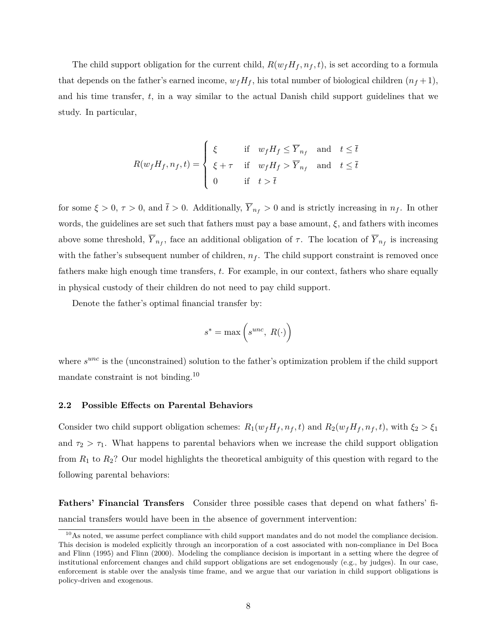The child support obligation for the current child,  $R(w_f H_f, n_f, t)$ , is set according to a formula that depends on the father's earned income,  $w_f H_f$ , his total number of biological children  $(n_f + 1)$ , and his time transfer, *t*, in a way similar to the actual Danish child support guidelines that we study. In particular,

$$
R(w_f H_f, n_f, t) = \begin{cases} \xi & \text{if } w_f H_f \leq \overline{Y}_{n_f} \text{ and } t \leq \overline{t} \\ \xi + \tau & \text{if } w_f H_f > \overline{Y}_{n_f} \text{ and } t \leq \overline{t} \\ 0 & \text{if } t > \overline{t} \end{cases}
$$

for some  $\xi > 0$ ,  $\tau > 0$ , and  $\bar{t} > 0$ . Additionally,  $\overline{Y}_{n_f} > 0$  and is strictly increasing in  $n_f$ . In other words, the guidelines are set such that fathers must pay a base amount,  $\xi$ , and fathers with incomes above some threshold,  $\overline{Y}_{n_f}$ , face an additional obligation of  $\tau$ . The location of  $\overline{Y}_{n_f}$  is increasing with the father's subsequent number of children,  $n_f$ . The child support constraint is removed once fathers make high enough time transfers, *t*. For example, in our context, fathers who share equally in physical custody of their children do not need to pay child support.

Denote the father's optimal financial transfer by:

$$
s^* = \max\left(s^{unc}, R(\cdot)\right)
$$

where  $s^{unc}$  is the (unconstrained) solution to the father's optimization problem if the child support mandate constraint is not binding.<sup>10</sup>

#### **2.2 Possible Effects on Parental Behaviors**

Consider two child support obligation schemes:  $R_1(w_f H_f, n_f, t)$  and  $R_2(w_f H_f, n_f, t)$ , with  $\xi_2 > \xi_1$ and  $\tau_2 > \tau_1$ . What happens to parental behaviors when we increase the child support obligation from *R*<sup>1</sup> to *R*2? Our model highlights the theoretical ambiguity of this question with regard to the following parental behaviors:

**Fathers' Financial Transfers** Consider three possible cases that depend on what fathers' financial transfers would have been in the absence of government intervention:

<sup>&</sup>lt;sup>10</sup>As noted, we assume perfect compliance with child support mandates and do not model the compliance decision. This decision is modeled explicitly through an incorporation of a cost associated with non-compliance in [Del Boca](#page-32-5) [and Flinn](#page-32-5) [\(1995\)](#page-32-5) and [Flinn](#page-32-6) [\(2000\)](#page-32-6). Modeling the compliance decision is important in a setting where the degree of institutional enforcement changes and child support obligations are set endogenously (e.g., by judges). In our case, enforcement is stable over the analysis time frame, and we argue that our variation in child support obligations is policy-driven and exogenous.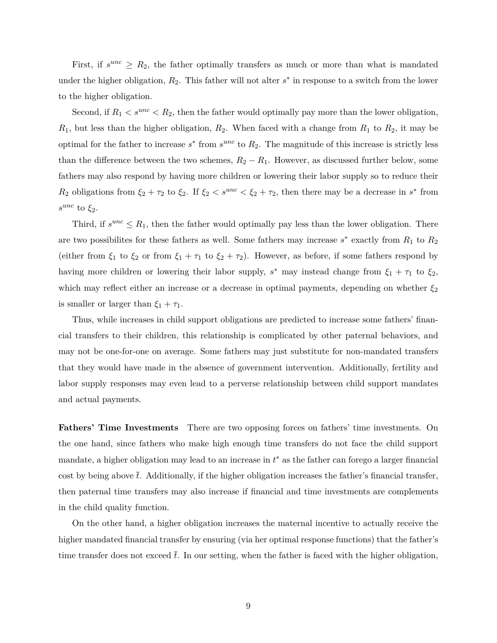First, if  $s^{unc} \geq R_2$ , the father optimally transfers as much or more than what is mandated under the higher obligation,  $R_2$ . This father will not alter  $s^*$  in response to a switch from the lower to the higher obligation.

Second, if  $R_1 < s^{unc} < R_2$ , then the father would optimally pay more than the lower obligation, *R*1, but less than the higher obligation, *R*2. When faced with a change from *R*<sup>1</sup> to *R*2, it may be optimal for the father to increase  $s^*$  from  $s^{unc}$  to  $R_2$ . The magnitude of this increase is strictly less than the difference between the two schemes,  $R_2 - R_1$ . However, as discussed further below, some fathers may also respond by having more children or lowering their labor supply so to reduce their *R*<sub>2</sub> obligations from  $\xi_2 + \tau_2$  to  $\xi_2$ . If  $\xi_2 < s^{unc} < \xi_2 + \tau_2$ , then there may be a decrease in  $s^*$  from *s unc* to *ξ*2.

Third, if  $s^{unc} \leq R_1$ , then the father would optimally pay less than the lower obligation. There are two possibilites for these fathers as well. Some fathers may increase *s* ∗ exactly from *R*<sup>1</sup> to *R*<sup>2</sup> (either from  $\xi_1$  to  $\xi_2$  or from  $\xi_1 + \tau_1$  to  $\xi_2 + \tau_2$ ). However, as before, if some fathers respond by having more children or lowering their labor supply,  $s^*$  may instead change from  $\xi_1 + \tau_1$  to  $\xi_2$ , which may reflect either an increase or a decrease in optimal payments, depending on whether *ξ*<sup>2</sup> is smaller or larger than  $\xi_1 + \tau_1$ .

Thus, while increases in child support obligations are predicted to increase some fathers' financial transfers to their children, this relationship is complicated by other paternal behaviors, and may not be one-for-one on average. Some fathers may just substitute for non-mandated transfers that they would have made in the absence of government intervention. Additionally, fertility and labor supply responses may even lead to a perverse relationship between child support mandates and actual payments.

**Fathers' Time Investments** There are two opposing forces on fathers' time investments. On the one hand, since fathers who make high enough time transfers do not face the child support mandate, a higher obligation may lead to an increase in *t* <sup>∗</sup> as the father can forego a larger financial cost by being above  $\bar{t}$ . Additionally, if the higher obligation increases the father's financial transfer, then paternal time transfers may also increase if financial and time investments are complements in the child quality function.

On the other hand, a higher obligation increases the maternal incentive to actually receive the higher mandated financial transfer by ensuring (via her optimal response functions) that the father's time transfer does not exceed  $\bar{t}$ . In our setting, when the father is faced with the higher obligation,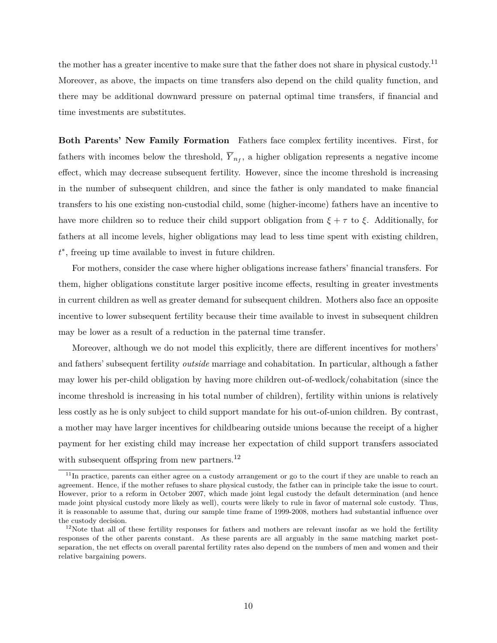the mother has a greater incentive to make sure that the father does not share in physical custody.<sup>11</sup> Moreover, as above, the impacts on time transfers also depend on the child quality function, and there may be additional downward pressure on paternal optimal time transfers, if financial and time investments are substitutes.

**Both Parents' New Family Formation** Fathers face complex fertility incentives. First, for fathers with incomes below the threshold,  $Y_{n_f}$ , a higher obligation represents a negative income effect, which may decrease subsequent fertility. However, since the income threshold is increasing in the number of subsequent children, and since the father is only mandated to make financial transfers to his one existing non-custodial child, some (higher-income) fathers have an incentive to have more children so to reduce their child support obligation from  $\xi + \tau$  to  $\xi$ . Additionally, for fathers at all income levels, higher obligations may lead to less time spent with existing children, *t* ∗ , freeing up time available to invest in future children.

For mothers, consider the case where higher obligations increase fathers' financial transfers. For them, higher obligations constitute larger positive income effects, resulting in greater investments in current children as well as greater demand for subsequent children. Mothers also face an opposite incentive to lower subsequent fertility because their time available to invest in subsequent children may be lower as a result of a reduction in the paternal time transfer.

Moreover, although we do not model this explicitly, there are different incentives for mothers' and fathers' subsequent fertility *outside* marriage and cohabitation. In particular, although a father may lower his per-child obligation by having more children out-of-wedlock/cohabitation (since the income threshold is increasing in his total number of children), fertility within unions is relatively less costly as he is only subject to child support mandate for his out-of-union children. By contrast, a mother may have larger incentives for childbearing outside unions because the receipt of a higher payment for her existing child may increase her expectation of child support transfers associated with subsequent offspring from new partners.<sup>12</sup>

 $11$ In practice, parents can either agree on a custody arrangement or go to the court if they are unable to reach an agreement. Hence, if the mother refuses to share physical custody, the father can in principle take the issue to court. However, prior to a reform in October 2007, which made joint legal custody the default determination (and hence made joint physical custody more likely as well), courts were likely to rule in favor of maternal sole custody. Thus, it is reasonable to assume that, during our sample time frame of 1999-2008, mothers had substantial influence over the custody decision.

 $12$ Note that all of these fertility responses for fathers and mothers are relevant insofar as we hold the fertility responses of the other parents constant. As these parents are all arguably in the same matching market postseparation, the net effects on overall parental fertility rates also depend on the numbers of men and women and their relative bargaining powers.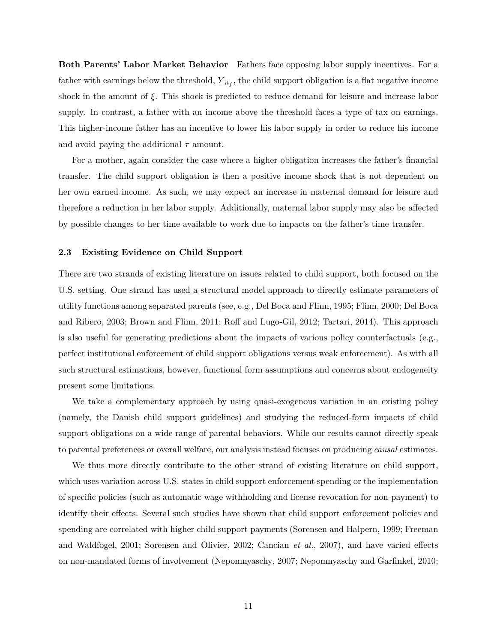**Both Parents' Labor Market Behavior** Fathers face opposing labor supply incentives. For a father with earnings below the threshold,  $\overline{Y}_{n_f}$ , the child support obligation is a flat negative income shock in the amount of *ξ*. This shock is predicted to reduce demand for leisure and increase labor supply. In contrast, a father with an income above the threshold faces a type of tax on earnings. This higher-income father has an incentive to lower his labor supply in order to reduce his income and avoid paying the additional  $\tau$  amount.

For a mother, again consider the case where a higher obligation increases the father's financial transfer. The child support obligation is then a positive income shock that is not dependent on her own earned income. As such, we may expect an increase in maternal demand for leisure and therefore a reduction in her labor supply. Additionally, maternal labor supply may also be affected by possible changes to her time available to work due to impacts on the father's time transfer.

#### **2.3 Existing Evidence on Child Support**

There are two strands of existing literature on issues related to child support, both focused on the U.S. setting. One strand has used a structural model approach to directly estimate parameters of utility functions among separated parents (see, e.g., [Del Boca and Flinn, 1995;](#page-32-5) [Flinn, 2000;](#page-32-6) [Del Boca](#page-32-7) [and Ribero, 2003;](#page-32-7) [Brown and Flinn, 2011;](#page-31-6) [Roff and Lugo-Gil, 2012;](#page-33-8) [Tartari, 2014\)](#page-33-11). This approach is also useful for generating predictions about the impacts of various policy counterfactuals (e.g., perfect institutional enforcement of child support obligations versus weak enforcement). As with all such structural estimations, however, functional form assumptions and concerns about endogeneity present some limitations.

We take a complementary approach by using quasi-exogenous variation in an existing policy (namely, the Danish child support guidelines) and studying the reduced-form impacts of child support obligations on a wide range of parental behaviors. While our results cannot directly speak to parental preferences or overall welfare, our analysis instead focuses on producing *causal* estimates.

We thus more directly contribute to the other strand of existing literature on child support, which uses variation across U.S. states in child support enforcement spending or the implementation of specific policies (such as automatic wage withholding and license revocation for non-payment) to identify their effects. Several such studies have shown that child support enforcement policies and spending are correlated with higher child support payments [\(Sorensen and Halpern, 1999;](#page-33-12) [Freeman](#page-32-10) [and Waldfogel, 2001;](#page-32-10) [Sorensen and Olivier, 2002;](#page-33-13) [Cancian](#page-31-8) *et al.*, [2007\)](#page-31-8), and have varied effects on non-mandated forms of involvement [\(Nepomnyaschy, 2007;](#page-33-14) [Nepomnyaschy and Garfinkel, 2010;](#page-33-15)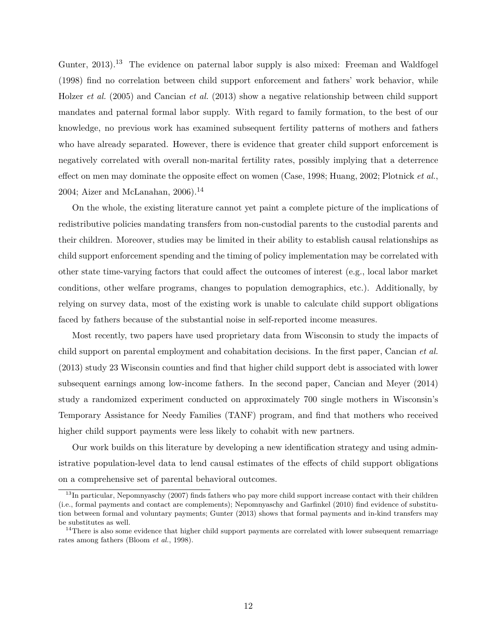[Gunter, 2013\)](#page-32-11).<sup>13</sup> The evidence on paternal labor supply is also mixed: [Freeman and Waldfogel](#page-32-12) [\(1998\)](#page-32-12) find no correlation between child support enforcement and fathers' work behavior, while [Holzer](#page-32-13) *et al.* [\(2005\)](#page-32-13) and [Cancian](#page-31-9) *et al.* [\(2013\)](#page-31-9) show a negative relationship between child support mandates and paternal formal labor supply. With regard to family formation, to the best of our knowledge, no previous work has examined subsequent fertility patterns of mothers and fathers who have already separated. However, there is evidence that greater child support enforcement is negatively correlated with overall non-marital fertility rates, possibly implying that a deterrence effect on men may dominate the opposite effect on women [\(Case, 1998;](#page-31-10) [Huang, 2002;](#page-32-14) [Plotnick](#page-33-16) *et al.*, [2004;](#page-33-16) Aizer and McLanahan,  $2006$ .<sup>14</sup>

On the whole, the existing literature cannot yet paint a complete picture of the implications of redistributive policies mandating transfers from non-custodial parents to the custodial parents and their children. Moreover, studies may be limited in their ability to establish causal relationships as child support enforcement spending and the timing of policy implementation may be correlated with other state time-varying factors that could affect the outcomes of interest (e.g., local labor market conditions, other welfare programs, changes to population demographics, etc.). Additionally, by relying on survey data, most of the existing work is unable to calculate child support obligations faced by fathers because of the substantial noise in self-reported income measures.

Most recently, two papers have used proprietary data from Wisconsin to study the impacts of child support on parental employment and cohabitation decisions. In the first paper, [Cancian](#page-31-9) *et al.* [\(2013\)](#page-31-9) study 23 Wisconsin counties and find that higher child support debt is associated with lower subsequent earnings among low-income fathers. In the second paper, [Cancian and Meyer](#page-31-12) [\(2014\)](#page-31-12) study a randomized experiment conducted on approximately 700 single mothers in Wisconsin's Temporary Assistance for Needy Families (TANF) program, and find that mothers who received higher child support payments were less likely to cohabit with new partners.

Our work builds on this literature by developing a new identification strategy and using administrative population-level data to lend causal estimates of the effects of child support obligations on a comprehensive set of parental behavioral outcomes.

<sup>&</sup>lt;sup>13</sup>In particular, [Nepomnyaschy](#page-33-14) [\(2007\)](#page-33-14) finds fathers who pay more child support increase contact with their children (i.e., formal payments and contact are complements); [Nepomnyaschy and Garfinkel](#page-33-15) [\(2010\)](#page-33-15) find evidence of substitution between formal and voluntary payments; [Gunter](#page-32-11) [\(2013\)](#page-32-11) shows that formal payments and in-kind transfers may be substitutes as well.

 $14$ There is also some evidence that higher child support payments are correlated with lower subsequent remarriage rates among fathers [\(Bloom](#page-31-13) *et al.*, [1998\)](#page-31-13).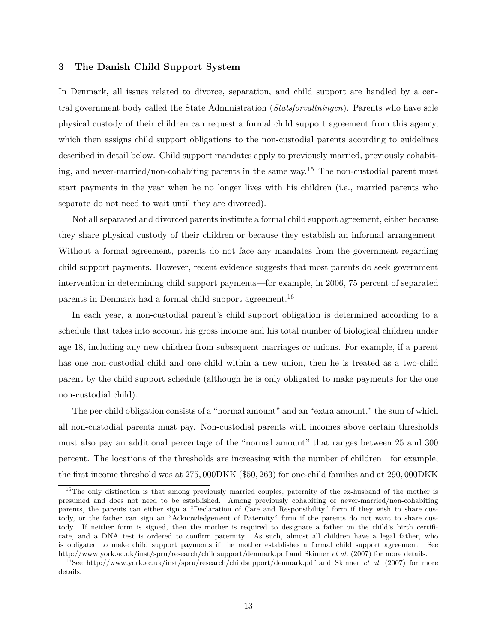### <span id="page-13-0"></span>**3 The Danish Child Support System**

In Denmark, all issues related to divorce, separation, and child support are handled by a central government body called the State Administration (*Statsforvaltningen*). Parents who have sole physical custody of their children can request a formal child support agreement from this agency, which then assigns child support obligations to the non-custodial parents according to guidelines described in detail below. Child support mandates apply to previously married, previously cohabiting, and never-married/non-cohabiting parents in the same way.<sup>15</sup> The non-custodial parent must start payments in the year when he no longer lives with his children (i.e., married parents who separate do not need to wait until they are divorced).

Not all separated and divorced parents institute a formal child support agreement, either because they share physical custody of their children or because they establish an informal arrangement. Without a formal agreement, parents do not face any mandates from the government regarding child support payments. However, recent evidence suggests that most parents do seek government intervention in determining child support payments—for example, in 2006, 75 percent of separated parents in Denmark had a formal child support agreement.<sup>16</sup>

In each year, a non-custodial parent's child support obligation is determined according to a schedule that takes into account his gross income and his total number of biological children under age 18, including any new children from subsequent marriages or unions. For example, if a parent has one non-custodial child and one child within a new union, then he is treated as a two-child parent by the child support schedule (although he is only obligated to make payments for the one non-custodial child).

The per-child obligation consists of a "normal amount" and an "extra amount," the sum of which all non-custodial parents must pay. Non-custodial parents with incomes above certain thresholds must also pay an additional percentage of the "normal amount" that ranges between 25 and 300 percent. The locations of the thresholds are increasing with the number of children—for example, the first income threshold was at 275*,* 000DKK (\$50*,* 263) for one-child families and at 290*,* 000DKK

<sup>&</sup>lt;sup>15</sup>The only distinction is that among previously married couples, paternity of the ex-husband of the mother is presumed and does not need to be established. Among previously cohabiting or never-married/non-cohabiting parents, the parents can either sign a "Declaration of Care and Responsibility" form if they wish to share custody, or the father can sign an "Acknowledgement of Paternity" form if the parents do not want to share custody. If neither form is signed, then the mother is required to designate a father on the child's birth certificate, and a DNA test is ordered to confirm paternity. As such, almost all children have a legal father, who is obligated to make child support payments if the mother establishes a formal child support agreement. See <http://www.york.ac.uk/inst/spru/research/childsupport/denmark.pdf> and [Skinner](#page-33-6) *et al.* [\(2007\)](#page-33-6) for more details.

<sup>16</sup>See<http://www.york.ac.uk/inst/spru/research/childsupport/denmark.pdf> and [Skinner](#page-33-6) *et al.* [\(2007\)](#page-33-6) for more details.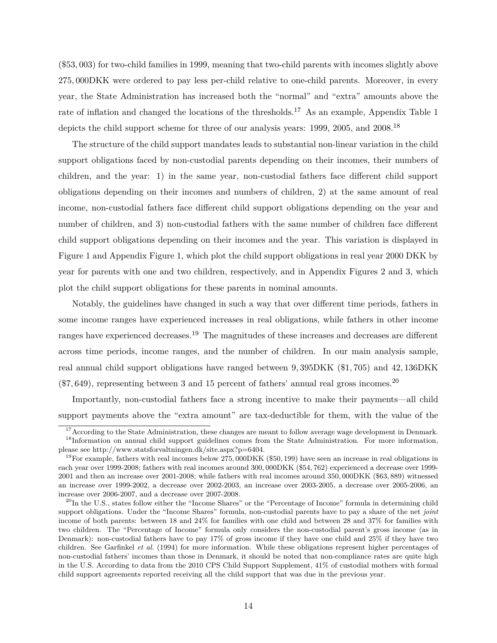(\$53*,* 003) for two-child families in 1999, meaning that two-child parents with incomes slightly above 275*,* 000DKK were ordered to pay less per-child relative to one-child parents. Moreover, in every year, the State Administration has increased both the "normal" and "extra" amounts above the rate of inflation and changed the locations of the thresholds.<sup>17</sup> As an example, Appendix Table [1](#page-47-0) depicts the child support scheme for three of our analysis years: 1999, 2005, and 2008.<sup>18</sup>

The structure of the child support mandates leads to substantial non-linear variation in the child support obligations faced by non-custodial parents depending on their incomes, their numbers of children, and the year: 1) in the same year, non-custodial fathers face different child support obligations depending on their incomes and numbers of children, 2) at the same amount of real income, non-custodial fathers face different child support obligations depending on the year and number of children, and 3) non-custodial fathers with the same number of children face different child support obligations depending on their incomes and the year. This variation is displayed in Figure [1](#page-34-4) and Appendix Figure [1,](#page-34-4) which plot the child support obligations in real year 2000 DKK by year for parents with one and two children, respectively, and in Appendix Figures [2](#page-35-0) and [3,](#page-43-0) which plot the child support obligations for these parents in nominal amounts.

Notably, the guidelines have changed in such a way that over different time periods, fathers in some income ranges have experienced increases in real obligations, while fathers in other income ranges have experienced decreases.<sup>19</sup> The magnitudes of these increases and decreases are different across time periods, income ranges, and the number of children. In our main analysis sample, real annual child support obligations have ranged between 9*,* 395DKK (\$1*,* 705) and 42*,* 136DKK (\$7*,* 649), representing between 3 and 15 percent of fathers' annual real gross incomes.<sup>20</sup>

Importantly, non-custodial fathers face a strong incentive to make their payments—all child support payments above the "extra amount" are tax-deductible for them, with the value of the

 $17$ According to the State Administration, these changes are meant to follow average wage development in Denmark.

<sup>&</sup>lt;sup>18</sup>Information on annual child support guidelines comes from the State Administration. For more information, please see [http://www.statsforvaltningen.dk/site.aspx?p=6404.](http://www.statsforvaltningen.dk/site.aspx?p=6404)

<sup>19</sup>For example, fathers with real incomes below 275*,* 000DKK (\$50*,* 199) have seen an increase in real obligations in each year over 1999-2008; fathers with real incomes around 300*,* 000DKK (\$54*,* 762) experienced a decrease over 1999- 2001 and then an increase over 2001-2008; while fathers with real incomes around 350*,* 000DKK (\$63*,* 889) witnessed an increase over 1999-2002, a decrease over 2002-2003, an increase over 2003-2005, a decrease over 2005-2006, an increase over 2006-2007, and a decrease over 2007-2008.

 $^{20}$ In the U.S., states follow either the "Income Shares" or the "Percentage of Income" formula in determining child support obligations. Under the "Income Shares" formula, non-custodial parents have to pay a share of the net *joint* income of both parents: between 18 and 24% for families with one child and between 28 and 37% for families with two children. The "Percentage of Income" formula only considers the non-custodial parent's gross income (as in Denmark): non-custodial fathers have to pay 17% of gross income if they have one child and 25% if they have two children. See [Garfinkel](#page-32-15) *et al.* [\(1994\)](#page-32-15) for more information. While these obligations represent higher percentages of non-custodial fathers' incomes than those in Denmark, it should be noted that non-compliance rates are quite high in the U.S. According to data from the 2010 CPS Child Support Supplement, 41% of custodial mothers with formal child support agreements reported receiving all the child support that was due in the previous year.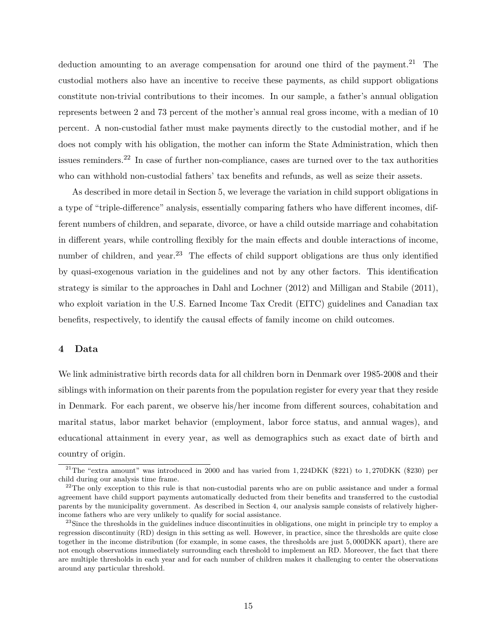deduction amounting to an average compensation for around one third of the payment.<sup>21</sup> The custodial mothers also have an incentive to receive these payments, as child support obligations constitute non-trivial contributions to their incomes. In our sample, a father's annual obligation represents between 2 and 73 percent of the mother's annual real gross income, with a median of 10 percent. A non-custodial father must make payments directly to the custodial mother, and if he does not comply with his obligation, the mother can inform the State Administration, which then issues reminders.<sup>22</sup> In case of further non-compliance, cases are turned over to the tax authorities who can withhold non-custodial fathers' tax benefits and refunds, as well as seize their assets.

As described in more detail in Section [5,](#page-19-0) we leverage the variation in child support obligations in a type of "triple-difference" analysis, essentially comparing fathers who have different incomes, different numbers of children, and separate, divorce, or have a child outside marriage and cohabitation in different years, while controlling flexibly for the main effects and double interactions of income, number of children, and year.<sup>23</sup> The effects of child support obligations are thus only identified by quasi-exogenous variation in the guidelines and not by any other factors. This identification strategy is similar to the approaches in [Dahl and Lochner](#page-31-14) [\(2012\)](#page-31-14) and [Milligan and Stabile](#page-33-17) [\(2011\)](#page-33-17), who exploit variation in the U.S. Earned Income Tax Credit (EITC) guidelines and Canadian tax benefits, respectively, to identify the causal effects of family income on child outcomes.

### <span id="page-15-0"></span>**4 Data**

We link administrative birth records data for all children born in Denmark over 1985-2008 and their siblings with information on their parents from the population register for every year that they reside in Denmark. For each parent, we observe his/her income from different sources, cohabitation and marital status, labor market behavior (employment, labor force status, and annual wages), and educational attainment in every year, as well as demographics such as exact date of birth and country of origin.

<sup>21</sup>The "extra amount" was introduced in 2000 and has varied from 1*,* 224DKK (\$221) to 1*,* 270DKK (\$230) per child during our analysis time frame.

<sup>&</sup>lt;sup>22</sup>The only exception to this rule is that non-custodial parents who are on public assistance and under a formal agreement have child support payments automatically deducted from their benefits and transferred to the custodial parents by the municipality government. As described in Section [4,](#page-15-0) our analysis sample consists of relatively higherincome fathers who are very unlikely to qualify for social assistance.

 $^{23}$ Since the thresholds in the guidelines induce discontinuities in obligations, one might in principle try to employ a regression discontinuity (RD) design in this setting as well. However, in practice, since the thresholds are quite close together in the income distribution (for example, in some cases, the thresholds are just 5*,* 000DKK apart), there are not enough observations immediately surrounding each threshold to implement an RD. Moreover, the fact that there are multiple thresholds in each year and for each number of children makes it challenging to center the observations around any particular threshold.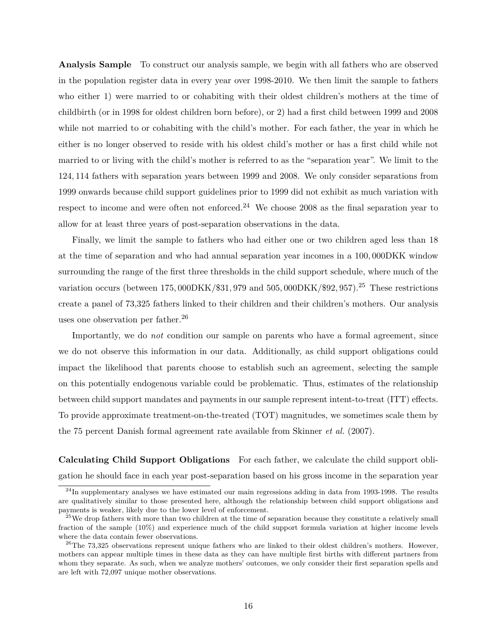**Analysis Sample** To construct our analysis sample, we begin with all fathers who are observed in the population register data in every year over 1998-2010. We then limit the sample to fathers who either 1) were married to or cohabiting with their oldest children's mothers at the time of childbirth (or in 1998 for oldest children born before), or 2) had a first child between 1999 and 2008 while not married to or cohabiting with the child's mother. For each father, the year in which he either is no longer observed to reside with his oldest child's mother or has a first child while not married to or living with the child's mother is referred to as the "separation year". We limit to the 124*,* 114 fathers with separation years between 1999 and 2008. We only consider separations from 1999 onwards because child support guidelines prior to 1999 did not exhibit as much variation with respect to income and were often not enforced.<sup>24</sup> We choose 2008 as the final separation year to allow for at least three years of post-separation observations in the data.

Finally, we limit the sample to fathers who had either one or two children aged less than 18 at the time of separation and who had annual separation year incomes in a 100*,* 000DKK window surrounding the range of the first three thresholds in the child support schedule, where much of the variation occurs (between 175*,* 000DKK/\$31*,* 979 and 505*,* 000DKK/\$92*,* 957).<sup>25</sup> These restrictions create a panel of 73,325 fathers linked to their children and their children's mothers. Our analysis uses one observation per father.<sup>26</sup>

Importantly, we do *not* condition our sample on parents who have a formal agreement, since we do not observe this information in our data. Additionally, as child support obligations could impact the likelihood that parents choose to establish such an agreement, selecting the sample on this potentially endogenous variable could be problematic. Thus, estimates of the relationship between child support mandates and payments in our sample represent intent-to-treat (ITT) effects. To provide approximate treatment-on-the-treated (TOT) magnitudes, we sometimes scale them by the 75 percent Danish formal agreement rate available from [Skinner](#page-33-6) *et al.* [\(2007\)](#page-33-6).

**Calculating Child Support Obligations** For each father, we calculate the child support obligation he should face in each year post-separation based on his gross income in the separation year

 $^{24}$ In supplementary analyses we have estimated our main regressions adding in data from 1993-1998. The results are qualitatively similar to those presented here, although the relationship between child support obligations and payments is weaker, likely due to the lower level of enforcement.

 $25$ We drop fathers with more than two children at the time of separation because they constitute a relatively small fraction of the sample (10%) and experience much of the child support formula variation at higher income levels where the data contain fewer observations.

 $^{26}$ The 73,325 observations represent unique fathers who are linked to their oldest children's mothers. However, mothers can appear multiple times in these data as they can have multiple first births with different partners from whom they separate. As such, when we analyze mothers' outcomes, we only consider their first separation spells and are left with 72,097 unique mother observations.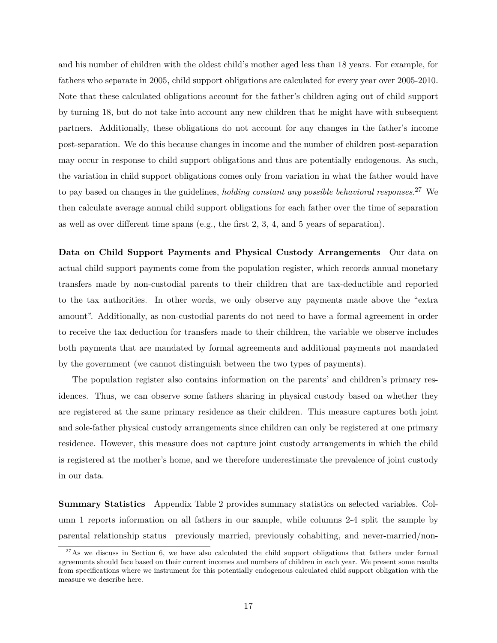and his number of children with the oldest child's mother aged less than 18 years. For example, for fathers who separate in 2005, child support obligations are calculated for every year over 2005-2010. Note that these calculated obligations account for the father's children aging out of child support by turning 18, but do not take into account any new children that he might have with subsequent partners. Additionally, these obligations do not account for any changes in the father's income post-separation. We do this because changes in income and the number of children post-separation may occur in response to child support obligations and thus are potentially endogenous. As such, the variation in child support obligations comes only from variation in what the father would have to pay based on changes in the guidelines, *holding constant any possible behavioral responses*. <sup>27</sup> We then calculate average annual child support obligations for each father over the time of separation as well as over different time spans (e.g., the first 2, 3, 4, and 5 years of separation).

**Data on Child Support Payments and Physical Custody Arrangements** Our data on actual child support payments come from the population register, which records annual monetary transfers made by non-custodial parents to their children that are tax-deductible and reported to the tax authorities. In other words, we only observe any payments made above the "extra amount". Additionally, as non-custodial parents do not need to have a formal agreement in order to receive the tax deduction for transfers made to their children, the variable we observe includes both payments that are mandated by formal agreements and additional payments not mandated by the government (we cannot distinguish between the two types of payments).

The population register also contains information on the parents' and children's primary residences. Thus, we can observe some fathers sharing in physical custody based on whether they are registered at the same primary residence as their children. This measure captures both joint and sole-father physical custody arrangements since children can only be registered at one primary residence. However, this measure does not capture joint custody arrangements in which the child is registered at the mother's home, and we therefore underestimate the prevalence of joint custody in our data.

**Summary Statistics** Appendix Table [2](#page-48-0) provides summary statistics on selected variables. Column 1 reports information on all fathers in our sample, while columns 2-4 split the sample by parental relationship status—previously married, previously cohabiting, and never-married/non-

 $^{27}$ As we discuss in Section [6,](#page-22-0) we have also calculated the child support obligations that fathers under formal agreements should face based on their current incomes and numbers of children in each year. We present some results from specifications where we instrument for this potentially endogenous calculated child support obligation with the measure we describe here.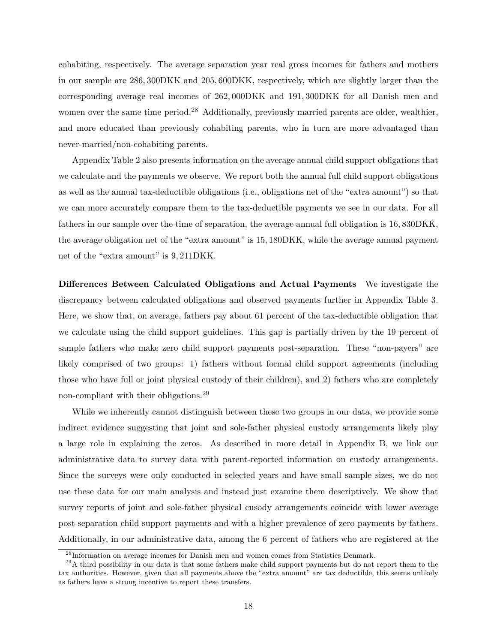cohabiting, respectively. The average separation year real gross incomes for fathers and mothers in our sample are 286*,* 300DKK and 205*,* 600DKK, respectively, which are slightly larger than the corresponding average real incomes of 262*,* 000DKK and 191*,* 300DKK for all Danish men and women over the same time period.<sup>28</sup> Additionally, previously married parents are older, wealthier, and more educated than previously cohabiting parents, who in turn are more advantaged than never-married/non-cohabiting parents.

Appendix Table [2](#page-48-0) also presents information on the average annual child support obligations that we calculate and the payments we observe. We report both the annual full child support obligations as well as the annual tax-deductible obligations (i.e., obligations net of the "extra amount") so that we can more accurately compare them to the tax-deductible payments we see in our data. For all fathers in our sample over the time of separation, the average annual full obligation is 16*,* 830DKK, the average obligation net of the "extra amount" is 15*,* 180DKK, while the average annual payment net of the "extra amount" is 9*,* 211DKK.

**Differences Between Calculated Obligations and Actual Payments** We investigate the discrepancy between calculated obligations and observed payments further in Appendix Table [3.](#page-49-0) Here, we show that, on average, fathers pay about 61 percent of the tax-deductible obligation that we calculate using the child support guidelines. This gap is partially driven by the 19 percent of sample fathers who make zero child support payments post-separation. These "non-payers" are likely comprised of two groups: 1) fathers without formal child support agreements (including those who have full or joint physical custody of their children), and 2) fathers who are completely non-compliant with their obligations.<sup>29</sup>

While we inherently cannot distinguish between these two groups in our data, we provide some indirect evidence suggesting that joint and sole-father physical custody arrangements likely play a large role in explaining the zeros. As described in more detail in Appendix [B,](#page-65-0) we link our administrative data to survey data with parent-reported information on custody arrangements. Since the surveys were only conducted in selected years and have small sample sizes, we do not use these data for our main analysis and instead just examine them descriptively. We show that survey reports of joint and sole-father physical cusody arrangements coincide with lower average post-separation child support payments and with a higher prevalence of zero payments by fathers. Additionally, in our administrative data, among the 6 percent of fathers who are registered at the

<sup>28</sup>Information on average incomes for Danish men and women comes from Statistics Denmark.

 $^{29}$ A third possibility in our data is that some fathers make child support payments but do not report them to the tax authorities. However, given that all payments above the "extra amount" are tax deductible, this seems unlikely as fathers have a strong incentive to report these transfers.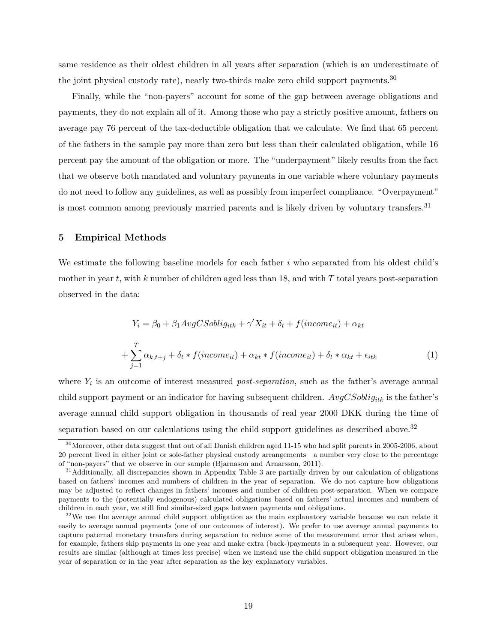same residence as their oldest children in all years after separation (which is an underestimate of the joint physical custody rate), nearly two-thirds make zero child support payments.<sup>30</sup>

Finally, while the "non-payers" account for some of the gap between average obligations and payments, they do not explain all of it. Among those who pay a strictly positive amount, fathers on average pay 76 percent of the tax-deductible obligation that we calculate. We find that 65 percent of the fathers in the sample pay more than zero but less than their calculated obligation, while 16 percent pay the amount of the obligation or more. The "underpayment" likely results from the fact that we observe both mandated and voluntary payments in one variable where voluntary payments do not need to follow any guidelines, as well as possibly from imperfect compliance. "Overpayment" is most common among previously married parents and is likely driven by voluntary transfers.<sup>31</sup>

#### <span id="page-19-0"></span>**5 Empirical Methods**

We estimate the following baseline models for each father *i* who separated from his oldest child's mother in year *t*, with *k* number of children aged less than 18, and with *T* total years post-separation observed in the data:

<span id="page-19-1"></span>
$$
Y_i = \beta_0 + \beta_1 AvgCSoblig_{itk} + \gamma' X_{it} + \delta_t + f(income_{it}) + \alpha_{kt}
$$

$$
+ \sum_{j=1}^T \alpha_{k,t+j} + \delta_t * f(income_{it}) + \alpha_{kt} * f(income_{it}) + \delta_t * \alpha_{kt} + \epsilon_{itk}
$$
(1)

where *Y<sup>i</sup>* is an outcome of interest measured *post-separation*, such as the father's average annual child support payment or an indicator for having subsequent children. *AvgCSobligitk* is the father's average annual child support obligation in thousands of real year 2000 DKK during the time of separation based on our calculations using the child support guidelines as described above.<sup>32</sup>

<sup>30</sup>Moreover, other data suggest that out of all Danish children aged 11-15 who had split parents in 2005-2006, about 20 percent lived in either joint or sole-father physical custody arrangements—a number very close to the percentage of "non-payers" that we observe in our sample [\(Bjarnason and Arnarsson, 2011\)](#page-31-7).

<sup>&</sup>lt;sup>31</sup>Additionally, all discrepancies shown in Appendix Table [3](#page-49-0) are partially driven by our calculation of obligations based on fathers' incomes and numbers of children in the year of separation. We do not capture how obligations may be adjusted to reflect changes in fathers' incomes and number of children post-separation. When we compare payments to the (potentially endogenous) calculated obligations based on fathers' actual incomes and numbers of children in each year, we still find similar-sized gaps between payments and obligations.

 $32\text{We}$  use the average annual child support obligation as the main explanatory variable because we can relate it easily to average annual payments (one of our outcomes of interest). We prefer to use average annual payments to capture paternal monetary transfers during separation to reduce some of the measurement error that arises when, for example, fathers skip payments in one year and make extra (back-)payments in a subsequent year. However, our results are similar (although at times less precise) when we instead use the child support obligation measured in the year of separation or in the year after separation as the key explanatory variables.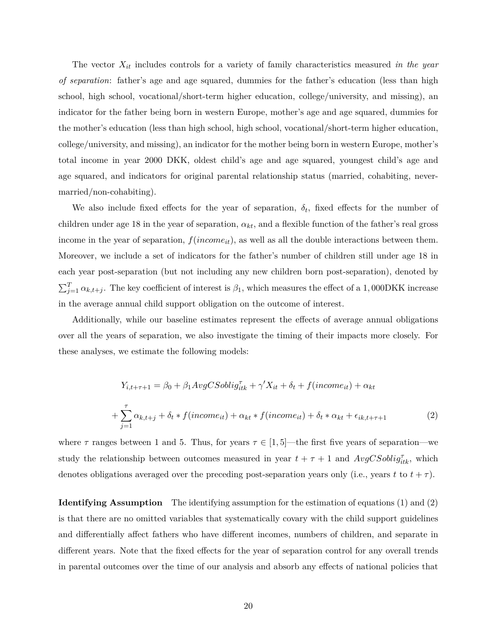The vector *Xit* includes controls for a variety of family characteristics measured *in the year of separation*: father's age and age squared, dummies for the father's education (less than high school, high school, vocational/short-term higher education, college/university, and missing), an indicator for the father being born in western Europe, mother's age and age squared, dummies for the mother's education (less than high school, high school, vocational/short-term higher education, college/university, and missing), an indicator for the mother being born in western Europe, mother's total income in year 2000 DKK, oldest child's age and age squared, youngest child's age and age squared, and indicators for original parental relationship status (married, cohabiting, nevermarried/non-cohabiting).

We also include fixed effects for the year of separation,  $\delta_t$ , fixed effects for the number of children under age 18 in the year of separation, *αkt*, and a flexible function of the father's real gross income in the year of separation,  $f(income_{it})$ , as well as all the double interactions between them. Moreover, we include a set of indicators for the father's number of children still under age 18 in each year post-separation (but not including any new children born post-separation), denoted by  $\sum_{j=1}^{T} \alpha_{k,t+j}$ . The key coefficient of interest is  $\beta_1$ , which measures the effect of a 1,000DKK increase in the average annual child support obligation on the outcome of interest.

Additionally, while our baseline estimates represent the effects of average annual obligations over all the years of separation, we also investigate the timing of their impacts more closely. For these analyses, we estimate the following models:

<span id="page-20-0"></span>
$$
Y_{i,t+\tau+1} = \beta_0 + \beta_1 AvgCSoblig_{itk}^{\tau} + \gamma' X_{it} + \delta_t + f(income_{it}) + \alpha_{kt}
$$

$$
+ \sum_{j=1}^{\tau} \alpha_{k,t+j} + \delta_t * f(income_{it}) + \alpha_{kt} * f(income_{it}) + \delta_t * \alpha_{kt} + \epsilon_{ik,t+\tau+1}
$$
(2)

where  $\tau$  ranges between 1 and 5. Thus, for years  $\tau \in [1, 5]$ —the first five years of separation—we study the relationship between outcomes measured in year  $t + \tau + 1$  and  $AvgCSoblig_{itk}^{\tau}$ , which denotes obligations averaged over the preceding post-separation years only (i.e., years *t* to  $t + \tau$ ).

**Identifying Assumption** The identifying assumption for the estimation of equations [\(1\)](#page-19-1) and [\(2\)](#page-20-0) is that there are no omitted variables that systematically covary with the child support guidelines and differentially affect fathers who have different incomes, numbers of children, and separate in different years. Note that the fixed effects for the year of separation control for any overall trends in parental outcomes over the time of our analysis and absorb any effects of national policies that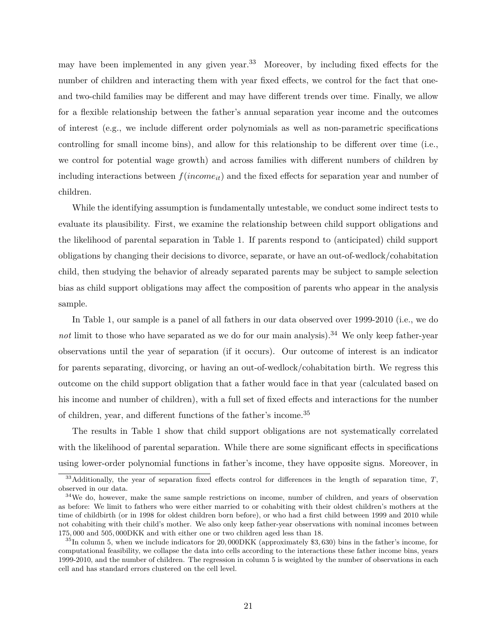may have been implemented in any given year.<sup>33</sup> Moreover, by including fixed effects for the number of children and interacting them with year fixed effects, we control for the fact that oneand two-child families may be different and may have different trends over time. Finally, we allow for a flexible relationship between the father's annual separation year income and the outcomes of interest (e.g., we include different order polynomials as well as non-parametric specifications controlling for small income bins), and allow for this relationship to be different over time (i.e., we control for potential wage growth) and across families with different numbers of children by including interactions between *f*(*incomeit*) and the fixed effects for separation year and number of children.

While the identifying assumption is fundamentally untestable, we conduct some indirect tests to evaluate its plausibility. First, we examine the relationship between child support obligations and the likelihood of parental separation in Table [1.](#page-36-0) If parents respond to (anticipated) child support obligations by changing their decisions to divorce, separate, or have an out-of-wedlock/cohabitation child, then studying the behavior of already separated parents may be subject to sample selection bias as child support obligations may affect the composition of parents who appear in the analysis sample.

In Table [1,](#page-36-0) our sample is a panel of all fathers in our data observed over 1999-2010 (i.e., we do *not* limit to those who have separated as we do for our main analysis).<sup>34</sup> We only keep father-year observations until the year of separation (if it occurs). Our outcome of interest is an indicator for parents separating, divorcing, or having an out-of-wedlock/cohabitation birth. We regress this outcome on the child support obligation that a father would face in that year (calculated based on his income and number of children), with a full set of fixed effects and interactions for the number of children, year, and different functions of the father's income.<sup>35</sup>

The results in Table [1](#page-36-0) show that child support obligations are not systematically correlated with the likelihood of parental separation. While there are some significant effects in specifications using lower-order polynomial functions in father's income, they have opposite signs. Moreover, in

<sup>33</sup>Additionally, the year of separation fixed effects control for differences in the length of separation time, *T*, observed in our data.

<sup>&</sup>lt;sup>34</sup>We do, however, make the same sample restrictions on income, number of children, and years of observation as before: We limit to fathers who were either married to or cohabiting with their oldest children's mothers at the time of childbirth (or in 1998 for oldest children born before), or who had a first child between 1999 and 2010 while not cohabiting with their child's mother. We also only keep father-year observations with nominal incomes between 175*,* 000 and 505*,* 000DKK and with either one or two children aged less than 18.

<sup>35</sup>In column 5, when we include indicators for 20*,* 000DKK (approximately \$3*,* 630) bins in the father's income, for computational feasibility, we collapse the data into cells according to the interactions these father income bins, years 1999-2010, and the number of children. The regression in column 5 is weighted by the number of observations in each cell and has standard errors clustered on the cell level.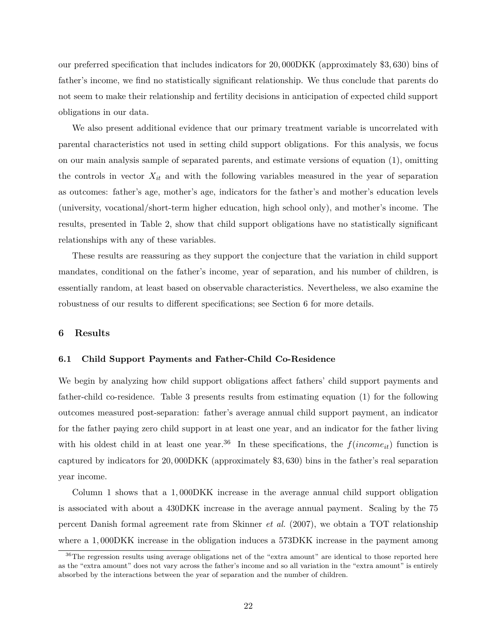our preferred specification that includes indicators for 20*,* 000DKK (approximately \$3*,* 630) bins of father's income, we find no statistically significant relationship. We thus conclude that parents do not seem to make their relationship and fertility decisions in anticipation of expected child support obligations in our data.

We also present additional evidence that our primary treatment variable is uncorrelated with parental characteristics not used in setting child support obligations. For this analysis, we focus on our main analysis sample of separated parents, and estimate versions of equation [\(1\)](#page-19-1), omitting the controls in vector  $X_{it}$  and with the following variables measured in the year of separation as outcomes: father's age, mother's age, indicators for the father's and mother's education levels (university, vocational/short-term higher education, high school only), and mother's income. The results, presented in Table [2,](#page-37-0) show that child support obligations have no statistically significant relationships with any of these variables.

These results are reassuring as they support the conjecture that the variation in child support mandates, conditional on the father's income, year of separation, and his number of children, is essentially random, at least based on observable characteristics. Nevertheless, we also examine the robustness of our results to different specifications; see Section [6](#page-22-0) for more details.

#### <span id="page-22-0"></span>**6 Results**

#### **6.1 Child Support Payments and Father-Child Co-Residence**

We begin by analyzing how child support obligations affect fathers' child support payments and father-child co-residence. Table [3](#page-38-0) presents results from estimating equation [\(1\)](#page-19-1) for the following outcomes measured post-separation: father's average annual child support payment, an indicator for the father paying zero child support in at least one year, and an indicator for the father living with his oldest child in at least one year.<sup>36</sup> In these specifications, the  $f(income_{it})$  function is captured by indicators for 20*,* 000DKK (approximately \$3*,* 630) bins in the father's real separation year income.

Column 1 shows that a 1*,* 000DKK increase in the average annual child support obligation is associated with about a 430DKK increase in the average annual payment. Scaling by the 75 percent Danish formal agreement rate from [Skinner](#page-33-6) *et al.* [\(2007\)](#page-33-6), we obtain a TOT relationship where a 1,000DKK increase in the obligation induces a 573DKK increase in the payment among

<sup>36</sup>The regression results using average obligations net of the "extra amount" are identical to those reported here as the "extra amount" does not vary across the father's income and so all variation in the "extra amount" is entirely absorbed by the interactions between the year of separation and the number of children.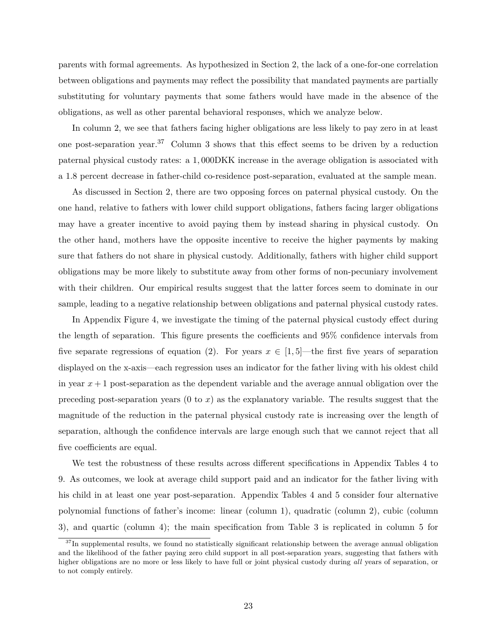parents with formal agreements. As hypothesized in Section [2,](#page-5-0) the lack of a one-for-one correlation between obligations and payments may reflect the possibility that mandated payments are partially substituting for voluntary payments that some fathers would have made in the absence of the obligations, as well as other parental behavioral responses, which we analyze below.

In column 2, we see that fathers facing higher obligations are less likely to pay zero in at least one post-separation year.<sup>37</sup> Column 3 shows that this effect seems to be driven by a reduction paternal physical custody rates: a 1*,* 000DKK increase in the average obligation is associated with a 1.8 percent decrease in father-child co-residence post-separation, evaluated at the sample mean.

As discussed in Section [2,](#page-5-0) there are two opposing forces on paternal physical custody. On the one hand, relative to fathers with lower child support obligations, fathers facing larger obligations may have a greater incentive to avoid paying them by instead sharing in physical custody. On the other hand, mothers have the opposite incentive to receive the higher payments by making sure that fathers do not share in physical custody. Additionally, fathers with higher child support obligations may be more likely to substitute away from other forms of non-pecuniary involvement with their children. Our empirical results suggest that the latter forces seem to dominate in our sample, leading to a negative relationship between obligations and paternal physical custody rates.

In Appendix Figure [4,](#page-44-0) we investigate the timing of the paternal physical custody effect during the length of separation. This figure presents the coefficients and 95% confidence intervals from five separate regressions of equation [\(2\)](#page-20-0). For years  $x \in [1, 5]$ —the first five years of separation displayed on the x-axis—each regression uses an indicator for the father living with his oldest child in year  $x + 1$  post-separation as the dependent variable and the average annual obligation over the preceding post-separation years (0 to *x*) as the explanatory variable. The results suggest that the magnitude of the reduction in the paternal physical custody rate is increasing over the length of separation, although the confidence intervals are large enough such that we cannot reject that all five coefficients are equal.

We test the robustness of these results across different specifications in Appendix Tables [4](#page-50-0) to [9.](#page-55-0) As outcomes, we look at average child support paid and an indicator for the father living with his child in at least one year post-separation. Appendix Tables [4](#page-50-0) and [5](#page-51-0) consider four alternative polynomial functions of father's income: linear (column 1), quadratic (column 2), cubic (column 3), and quartic (column 4); the main specification from Table [3](#page-38-0) is replicated in column 5 for

<sup>&</sup>lt;sup>37</sup>In supplemental results, we found no statistically significant relationship between the average annual obligation and the likelihood of the father paying zero child support in all post-separation years, suggesting that fathers with higher obligations are no more or less likely to have full or joint physical custody during *all* years of separation, or to not comply entirely.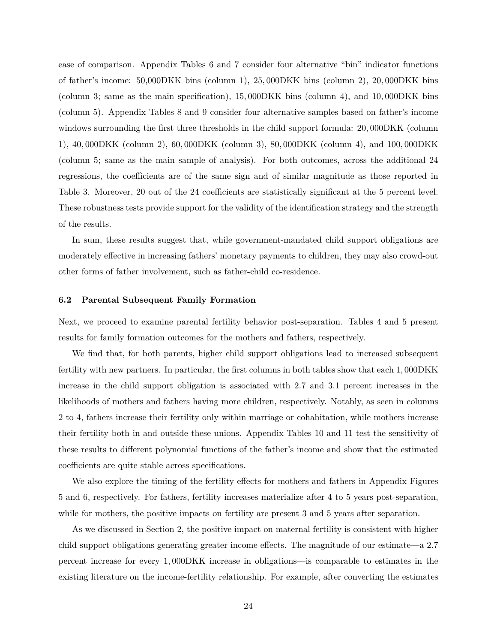ease of comparison. Appendix Tables [6](#page-52-0) and [7](#page-53-0) consider four alternative "bin" indicator functions of father's income: 50,000DKK bins (column 1), 25*,* 000DKK bins (column 2), 20*,* 000DKK bins (column 3; same as the main specification), 15*,* 000DKK bins (column 4), and 10*,* 000DKK bins (column 5). Appendix Tables [8](#page-54-0) and [9](#page-55-0) consider four alternative samples based on father's income windows surrounding the first three thresholds in the child support formula: 20*,* 000DKK (column 1), 40*,* 000DKK (column 2), 60*,* 000DKK (column 3), 80*,* 000DKK (column 4), and 100*,* 000DKK (column 5; same as the main sample of analysis). For both outcomes, across the additional 24 regressions, the coefficients are of the same sign and of similar magnitude as those reported in Table [3.](#page-38-0) Moreover, 20 out of the 24 coefficients are statistically significant at the 5 percent level. These robustness tests provide support for the validity of the identification strategy and the strength of the results.

In sum, these results suggest that, while government-mandated child support obligations are moderately effective in increasing fathers' monetary payments to children, they may also crowd-out other forms of father involvement, such as father-child co-residence.

### **6.2 Parental Subsequent Family Formation**

Next, we proceed to examine parental fertility behavior post-separation. Tables [4](#page-39-0) and [5](#page-39-1) present results for family formation outcomes for the mothers and fathers, respectively.

We find that, for both parents, higher child support obligations lead to increased subsequent fertility with new partners. In particular, the first columns in both tables show that each 1*,* 000DKK increase in the child support obligation is associated with 2.7 and 3.1 percent increases in the likelihoods of mothers and fathers having more children, respectively. Notably, as seen in columns 2 to 4, fathers increase their fertility only within marriage or cohabitation, while mothers increase their fertility both in and outside these unions. Appendix Tables [10](#page-56-0) and [11](#page-57-0) test the sensitivity of these results to different polynomial functions of the father's income and show that the estimated coefficients are quite stable across specifications.

We also explore the timing of the fertility effects for mothers and fathers in Appendix Figures [5](#page-45-0) and [6,](#page-46-0) respectively. For fathers, fertility increases materialize after 4 to 5 years post-separation, while for mothers, the positive impacts on fertility are present 3 and 5 years after separation.

As we discussed in Section [2,](#page-5-0) the positive impact on maternal fertility is consistent with higher child support obligations generating greater income effects. The magnitude of our estimate—a 2.7 percent increase for every 1*,* 000DKK increase in obligations—is comparable to estimates in the existing literature on the income-fertility relationship. For example, after converting the estimates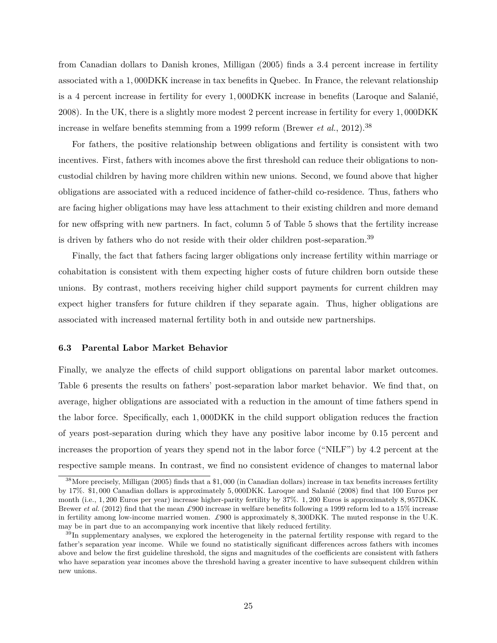from Canadian dollars to Danish krones, [Milligan](#page-33-7) [\(2005\)](#page-33-7) finds a 3.4 percent increase in fertility associated with a 1*,* 000DKK increase in tax benefits in Quebec. In France, the relevant relationship is a 4 percent increase in fertility for every 1*,* 000DKK increase in benefits [\(Laroque and Salanié,](#page-32-4) [2008\)](#page-32-4). In the UK, there is a slightly more modest 2 percent increase in fertility for every 1*,* 000DKK increase in welfare benefits stemming from a 1999 reform [\(Brewer](#page-31-1) *et al.*, [2012\)](#page-31-1).<sup>38</sup>

For fathers, the positive relationship between obligations and fertility is consistent with two incentives. First, fathers with incomes above the first threshold can reduce their obligations to noncustodial children by having more children within new unions. Second, we found above that higher obligations are associated with a reduced incidence of father-child co-residence. Thus, fathers who are facing higher obligations may have less attachment to their existing children and more demand for new offspring with new partners. In fact, column 5 of Table [5](#page-39-1) shows that the fertility increase is driven by fathers who do not reside with their older children post-separation.<sup>39</sup>

Finally, the fact that fathers facing larger obligations only increase fertility within marriage or cohabitation is consistent with them expecting higher costs of future children born outside these unions. By contrast, mothers receiving higher child support payments for current children may expect higher transfers for future children if they separate again. Thus, higher obligations are associated with increased maternal fertility both in and outside new partnerships.

#### **6.3 Parental Labor Market Behavior**

Finally, we analyze the effects of child support obligations on parental labor market outcomes. Table [6](#page-40-0) presents the results on fathers' post-separation labor market behavior. We find that, on average, higher obligations are associated with a reduction in the amount of time fathers spend in the labor force. Specifically, each 1*,* 000DKK in the child support obligation reduces the fraction of years post-separation during which they have any positive labor income by 0.15 percent and increases the proportion of years they spend not in the labor force ("NILF") by 4.2 percent at the respective sample means. In contrast, we find no consistent evidence of changes to maternal labor

<sup>38</sup>More precisely, [Milligan](#page-33-7) [\(2005\)](#page-33-7) finds that a \$1*,* 000 (in Canadian dollars) increase in tax benefits increases fertility by 17%. \$1*,* 000 Canadian dollars is approximately 5*,* 000DKK. [Laroque and Salanié](#page-32-4) [\(2008\)](#page-32-4) find that 100 Euros per month (i.e., 1*,* 200 Euros per year) increase higher-parity fertility by 37%. 1*,* 200 Euros is approximately 8*,* 957DKK. [Brewer](#page-31-1) *et al.* [\(2012\)](#page-31-1) find that the mean *£*900 increase in welfare benefits following a 1999 reform led to a 15% increase in fertility among low-income married women. *£*900 is approximately 8*,* 300DKK. The muted response in the U.K. may be in part due to an accompanying work incentive that likely reduced fertility.

<sup>&</sup>lt;sup>39</sup>In supplementary analyses, we explored the heterogeneity in the paternal fertility response with regard to the father's separation year income. While we found no statistically significant differences across fathers with incomes above and below the first guideline threshold, the signs and magnitudes of the coefficients are consistent with fathers who have separation year incomes above the threshold having a greater incentive to have subsequent children within new unions.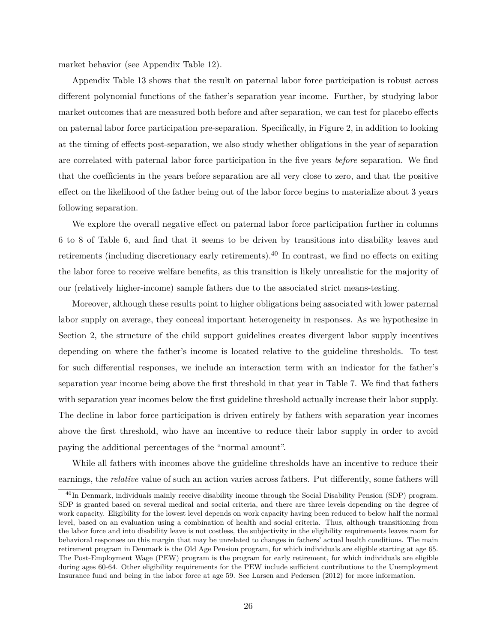market behavior (see Appendix Table [12\)](#page-58-0).

Appendix Table [13](#page-59-0) shows that the result on paternal labor force participation is robust across different polynomial functions of the father's separation year income. Further, by studying labor market outcomes that are measured both before and after separation, we can test for placebo effects on paternal labor force participation pre-separation. Specifically, in Figure [2,](#page-35-0) in addition to looking at the timing of effects post-separation, we also study whether obligations in the year of separation are correlated with paternal labor force participation in the five years *before* separation. We find that the coefficients in the years before separation are all very close to zero, and that the positive effect on the likelihood of the father being out of the labor force begins to materialize about 3 years following separation.

We explore the overall negative effect on paternal labor force participation further in columns 6 to 8 of Table [6,](#page-40-0) and find that it seems to be driven by transitions into disability leaves and retirements (including discretionary early retirements).<sup>40</sup> In contrast, we find no effects on exiting the labor force to receive welfare benefits, as this transition is likely unrealistic for the majority of our (relatively higher-income) sample fathers due to the associated strict means-testing.

Moreover, although these results point to higher obligations being associated with lower paternal labor supply on average, they conceal important heterogeneity in responses. As we hypothesize in Section [2,](#page-5-0) the structure of the child support guidelines creates divergent labor supply incentives depending on where the father's income is located relative to the guideline thresholds. To test for such differential responses, we include an interaction term with an indicator for the father's separation year income being above the first threshold in that year in Table [7.](#page-41-0) We find that fathers with separation year incomes below the first guideline threshold actually increase their labor supply. The decline in labor force participation is driven entirely by fathers with separation year incomes above the first threshold, who have an incentive to reduce their labor supply in order to avoid paying the additional percentages of the "normal amount".

While all fathers with incomes above the guideline thresholds have an incentive to reduce their earnings, the *relative* value of such an action varies across fathers. Put differently, some fathers will

<sup>&</sup>lt;sup>40</sup>In Denmark, individuals mainly receive disability income through the Social Disability Pension (SDP) program. SDP is granted based on several medical and social criteria, and there are three levels depending on the degree of work capacity. Eligibility for the lowest level depends on work capacity having been reduced to below half the normal level, based on an evaluation using a combination of health and social criteria. Thus, although transitioning from the labor force and into disability leave is not costless, the subjectivity in the eligibility requirements leaves room for behavioral responses on this margin that may be unrelated to changes in fathers' actual health conditions. The main retirement program in Denmark is the Old Age Pension program, for which individuals are eligible starting at age 65. The Post-Employment Wage (PEW) program is the program for early retirement, for which individuals are eligible during ages 60-64. Other eligibility requirements for the PEW include sufficient contributions to the Unemployment Insurance fund and being in the labor force at age 59. See [Larsen and Pedersen](#page-33-18) [\(2012\)](#page-33-18) for more information.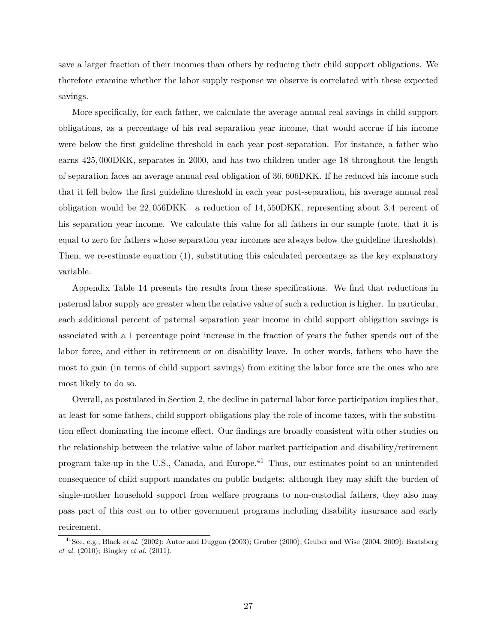save a larger fraction of their incomes than others by reducing their child support obligations. We therefore examine whether the labor supply response we observe is correlated with these expected savings.

More specifically, for each father, we calculate the average annual real savings in child support obligations, as a percentage of his real separation year income, that would accrue if his income were below the first guideline threshold in each year post-separation. For instance, a father who earns 425*,* 000DKK, separates in 2000, and has two children under age 18 throughout the length of separation faces an average annual real obligation of 36*,* 606DKK. If he reduced his income such that it fell below the first guideline threshold in each year post-separation, his average annual real obligation would be 22*,* 056DKK—a reduction of 14*,* 550DKK, representing about 3*.*4 percent of his separation year income. We calculate this value for all fathers in our sample (note, that it is equal to zero for fathers whose separation year incomes are always below the guideline thresholds). Then, we re-estimate equation [\(1\)](#page-19-1), substituting this calculated percentage as the key explanatory variable.

Appendix Table [14](#page-60-0) presents the results from these specifications. We find that reductions in paternal labor supply are greater when the relative value of such a reduction is higher. In particular, each additional percent of paternal separation year income in child support obligation savings is associated with a 1 percentage point increase in the fraction of years the father spends out of the labor force, and either in retirement or on disability leave. In other words, fathers who have the most to gain (in terms of child support savings) from exiting the labor force are the ones who are most likely to do so.

Overall, as postulated in Section [2,](#page-5-0) the decline in paternal labor force participation implies that, at least for some fathers, child support obligations play the role of income taxes, with the substitution effect dominating the income effect. Our findings are broadly consistent with other studies on the relationship between the relative value of labor market participation and disability/retirement program take-up in the U.S., Canada, and Europe.<sup>41</sup> Thus, our estimates point to an unintended consequence of child support mandates on public budgets: although they may shift the burden of single-mother household support from welfare programs to non-custodial fathers, they also may pass part of this cost on to other government programs including disability insurance and early retirement.

<sup>&</sup>lt;sup>41</sup>See, e.g., [Black](#page-31-4) *et al.* [\(2002\)](#page-31-4); [Autor and Duggan](#page-31-5) [\(2003\)](#page-31-5); [Gruber](#page-32-16) [\(2000\)](#page-32-16); [Gruber and Wise](#page-32-17) [\(2004,](#page-32-17) [2009\)](#page-32-18); [Bratsberg](#page-31-2) *[et al.](#page-31-2)* [\(2010\)](#page-31-2); [Bingley](#page-31-3) *et al.* [\(2011\)](#page-31-3).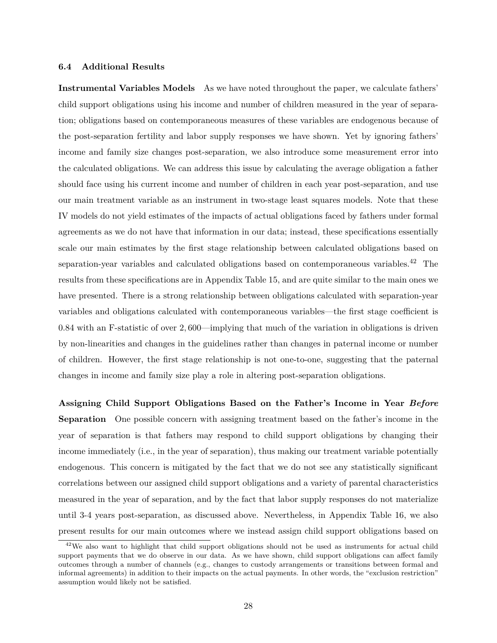#### **6.4 Additional Results**

**Instrumental Variables Models** As we have noted throughout the paper, we calculate fathers' child support obligations using his income and number of children measured in the year of separation; obligations based on contemporaneous measures of these variables are endogenous because of the post-separation fertility and labor supply responses we have shown. Yet by ignoring fathers' income and family size changes post-separation, we also introduce some measurement error into the calculated obligations. We can address this issue by calculating the average obligation a father should face using his current income and number of children in each year post-separation, and use our main treatment variable as an instrument in two-stage least squares models. Note that these IV models do not yield estimates of the impacts of actual obligations faced by fathers under formal agreements as we do not have that information in our data; instead, these specifications essentially scale our main estimates by the first stage relationship between calculated obligations based on separation-year variables and calculated obligations based on contemporaneous variables.<sup>42</sup> The results from these specifications are in Appendix Table [15,](#page-61-0) and are quite similar to the main ones we have presented. There is a strong relationship between obligations calculated with separation-year variables and obligations calculated with contemporaneous variables—the first stage coefficient is 0*.*84 with an F-statistic of over 2*,* 600—implying that much of the variation in obligations is driven by non-linearities and changes in the guidelines rather than changes in paternal income or number of children. However, the first stage relationship is not one-to-one, suggesting that the paternal changes in income and family size play a role in altering post-separation obligations.

**Assigning Child Support Obligations Based on the Father's Income in Year** *Before* **Separation** One possible concern with assigning treatment based on the father's income in the year of separation is that fathers may respond to child support obligations by changing their income immediately (i.e., in the year of separation), thus making our treatment variable potentially endogenous. This concern is mitigated by the fact that we do not see any statistically significant correlations between our assigned child support obligations and a variety of parental characteristics measured in the year of separation, and by the fact that labor supply responses do not materialize until 3-4 years post-separation, as discussed above. Nevertheless, in Appendix Table [16,](#page-62-0) we also present results for our main outcomes where we instead assign child support obligations based on

<sup>&</sup>lt;sup>42</sup>We also want to highlight that child support obligations should not be used as instruments for actual child support payments that we do observe in our data. As we have shown, child support obligations can affect family outcomes through a number of channels (e.g., changes to custody arrangements or transitions between formal and informal agreements) in addition to their impacts on the actual payments. In other words, the "exclusion restriction" assumption would likely not be satisfied.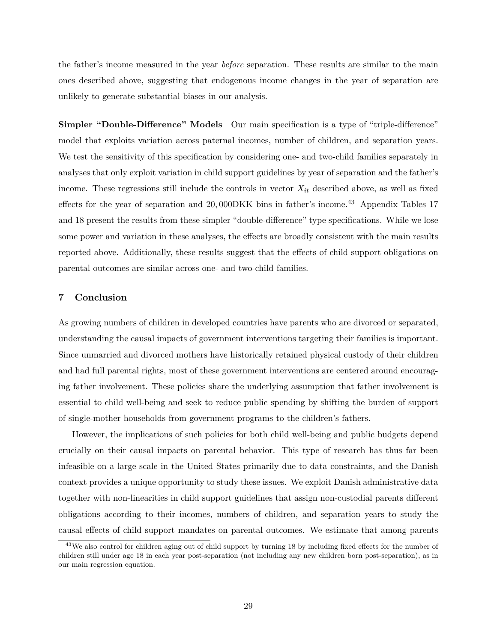the father's income measured in the year *before* separation. These results are similar to the main ones described above, suggesting that endogenous income changes in the year of separation are unlikely to generate substantial biases in our analysis.

**Simpler "Double-Difference" Models** Our main specification is a type of "triple-difference" model that exploits variation across paternal incomes, number of children, and separation years. We test the sensitivity of this specification by considering one- and two-child families separately in analyses that only exploit variation in child support guidelines by year of separation and the father's income. These regressions still include the controls in vector *Xit* described above, as well as fixed effects for the year of separation and 20,000DKK bins in father's income.<sup>43</sup> Appendix Tables [17](#page-63-0) and [18](#page-64-0) present the results from these simpler "double-difference" type specifications. While we lose some power and variation in these analyses, the effects are broadly consistent with the main results reported above. Additionally, these results suggest that the effects of child support obligations on parental outcomes are similar across one- and two-child families.

### <span id="page-29-0"></span>**7 Conclusion**

As growing numbers of children in developed countries have parents who are divorced or separated, understanding the causal impacts of government interventions targeting their families is important. Since unmarried and divorced mothers have historically retained physical custody of their children and had full parental rights, most of these government interventions are centered around encouraging father involvement. These policies share the underlying assumption that father involvement is essential to child well-being and seek to reduce public spending by shifting the burden of support of single-mother households from government programs to the children's fathers.

However, the implications of such policies for both child well-being and public budgets depend crucially on their causal impacts on parental behavior. This type of research has thus far been infeasible on a large scale in the United States primarily due to data constraints, and the Danish context provides a unique opportunity to study these issues. We exploit Danish administrative data together with non-linearities in child support guidelines that assign non-custodial parents different obligations according to their incomes, numbers of children, and separation years to study the causal effects of child support mandates on parental outcomes. We estimate that among parents

<sup>&</sup>lt;sup>43</sup>We also control for children aging out of child support by turning 18 by including fixed effects for the number of children still under age 18 in each year post-separation (not including any new children born post-separation), as in our main regression equation.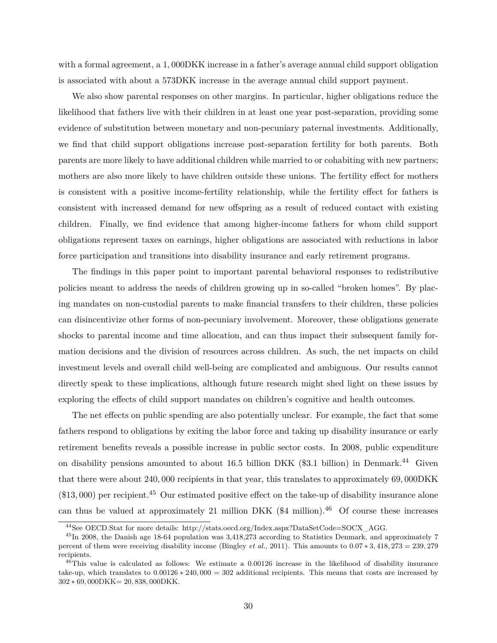with a formal agreement, a 1*,* 000DKK increase in a father's average annual child support obligation is associated with about a 573DKK increase in the average annual child support payment.

We also show parental responses on other margins. In particular, higher obligations reduce the likelihood that fathers live with their children in at least one year post-separation, providing some evidence of substitution between monetary and non-pecuniary paternal investments. Additionally, we find that child support obligations increase post-separation fertility for both parents. Both parents are more likely to have additional children while married to or cohabiting with new partners; mothers are also more likely to have children outside these unions. The fertility effect for mothers is consistent with a positive income-fertility relationship, while the fertility effect for fathers is consistent with increased demand for new offspring as a result of reduced contact with existing children. Finally, we find evidence that among higher-income fathers for whom child support obligations represent taxes on earnings, higher obligations are associated with reductions in labor force participation and transitions into disability insurance and early retirement programs.

The findings in this paper point to important parental behavioral responses to redistributive policies meant to address the needs of children growing up in so-called "broken homes". By placing mandates on non-custodial parents to make financial transfers to their children, these policies can disincentivize other forms of non-pecuniary involvement. Moreover, these obligations generate shocks to parental income and time allocation, and can thus impact their subsequent family formation decisions and the division of resources across children. As such, the net impacts on child investment levels and overall child well-being are complicated and ambiguous. Our results cannot directly speak to these implications, although future research might shed light on these issues by exploring the effects of child support mandates on children's cognitive and health outcomes.

The net effects on public spending are also potentially unclear. For example, the fact that some fathers respond to obligations by exiting the labor force and taking up disability insurance or early retirement benefits reveals a possible increase in public sector costs. In 2008, public expenditure on disability pensions amounted to about 16.5 billion DKK (\$3.1 billion) in Denmark.<sup>44</sup> Given that there were about 240*,* 000 recipients in that year, this translates to approximately 69*,* 000DKK (\$13*,* 000) per recipient.<sup>45</sup> Our estimated positive effect on the take-up of disability insurance alone can thus be valued at approximately 21 million DKK  $(\$4$  million).<sup>46</sup> Of course these increases

<sup>44</sup>See OECD.Stat for more details: [http://stats.oecd.org/Index.aspx?DataSetCode=SOCX\\_AGG.](http://stats.oecd.org/Index.aspx?DataSetCode=SOCX_AGG)

<sup>&</sup>lt;sup>45</sup>In 2008, the Danish age 18-64 population was 3,418,273 according to Statistics Denmark, and approximately 7 percent of them were receiving disability income [\(Bingley](#page-31-3) *et al.*, [2011\)](#page-31-3). This amounts to 0*.*07 ∗ 3*,* 418*,* 273 = 239*,* 279 recipients.

<sup>46</sup>This value is calculated as follows: We estimate a 0*.*00126 increase in the likelihood of disability insurance take-up, which translates to 0*.*00126 ∗ 240*,* 000 = 302 additional recipients. This means that costs are increased by 302 ∗ 69*,* 000DKK= 20*,* 838*,* 000DKK.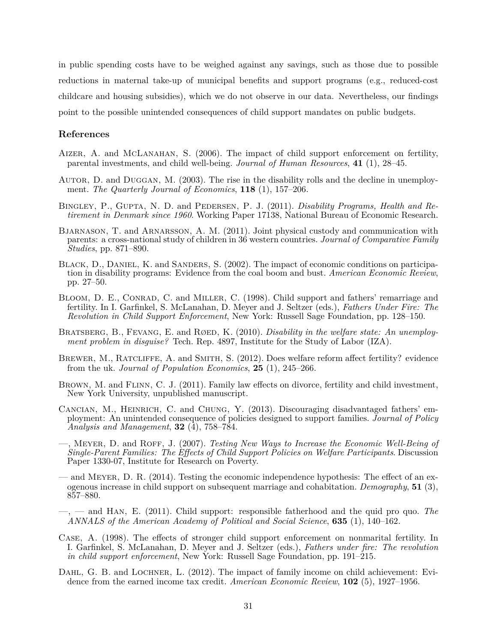in public spending costs have to be weighed against any savings, such as those due to possible reductions in maternal take-up of municipal benefits and support programs (e.g., reduced-cost childcare and housing subsidies), which we do not observe in our data. Nevertheless, our findings point to the possible unintended consequences of child support mandates on public budgets.

#### **References**

- <span id="page-31-11"></span>AIZER, A. and MCLANAHAN, S. (2006). The impact of child support enforcement on fertility, parental investments, and child well-being. *Journal of Human Resources*, **41** (1), 28–45.
- <span id="page-31-5"></span>Autor, D. and Duggan, M. (2003). The rise in the disability rolls and the decline in unemployment. *The Quarterly Journal of Economics*, **118** (1), 157–206.
- <span id="page-31-3"></span>Bingley, P., Gupta, N. D. and Pedersen, P. J. (2011). *Disability Programs, Health and Retirement in Denmark since 1960*. Working Paper 17138, National Bureau of Economic Research.
- <span id="page-31-7"></span>Bjarnason, T. and Arnarsson, A. M. (2011). Joint physical custody and communication with parents: a cross-national study of children in 36 western countries. *Journal of Comparative Family Studies*, pp. 871–890.
- <span id="page-31-4"></span>BLACK, D., DANIEL, K. and SANDERS, S. (2002). The impact of economic conditions on participation in disability programs: Evidence from the coal boom and bust. *American Economic Review*, pp. 27–50.
- <span id="page-31-13"></span>BLOOM, D. E., CONRAD, C. and MILLER, C. (1998). Child support and fathers' remarriage and fertility. In I. Garfinkel, S. McLanahan, D. Meyer and J. Seltzer (eds.), *Fathers Under Fire: The Revolution in Child Support Enforcement*, New York: Russell Sage Foundation, pp. 128–150.
- <span id="page-31-2"></span>BRATSBERG, B., FEVANG, E. and RØED, K. (2010). *Disability in the welfare state: An unemployment problem in disguise?* Tech. Rep. 4897, Institute for the Study of Labor (IZA).
- <span id="page-31-1"></span>BREWER, M., RATCLIFFE, A. and SMITH, S. (2012). Does welfare reform affect fertility? evidence from the uk. *Journal of Population Economics*, **25** (1), 245–266.
- <span id="page-31-6"></span>BROWN, M. and FLINN, C. J. (2011). Family law effects on divorce, fertility and child investment, New York University, unpublished manuscript.
- <span id="page-31-9"></span>Cancian, M., Heinrich, C. and Chung, Y. (2013). Discouraging disadvantaged fathers' employment: An unintended consequence of policies designed to support families. *Journal of Policy Analysis and Management*, **32** (4), 758–784.
- <span id="page-31-8"></span>—, Meyer, D. and Roff, J. (2007). *Testing New Ways to Increase the Economic Well-Being of Single-Parent Families: The Effects of Child Support Policies on Welfare Participants*. Discussion Paper 1330-07, Institute for Research on Poverty.
- <span id="page-31-12"></span>— and Meyer, D. R. (2014). Testing the economic independence hypothesis: The effect of an exogenous increase in child support on subsequent marriage and cohabitation. *Demography*, **51** (3), 857–880.
- <span id="page-31-0"></span>—, — and Han, E. (2011). Child support: responsible fatherhood and the quid pro quo. *The ANNALS of the American Academy of Political and Social Science*, **635** (1), 140–162.
- <span id="page-31-10"></span>Case, A. (1998). The effects of stronger child support enforcement on nonmarital fertility. In I. Garfinkel, S. McLanahan, D. Meyer and J. Seltzer (eds.), *Fathers under fire: The revolution in child support enforcement*, New York: Russell Sage Foundation, pp. 191–215.
- <span id="page-31-14"></span>DAHL, G. B. and LOCHNER, L. (2012). The impact of family income on child achievement: Evidence from the earned income tax credit. *American Economic Review*, **102** (5), 1927–1956.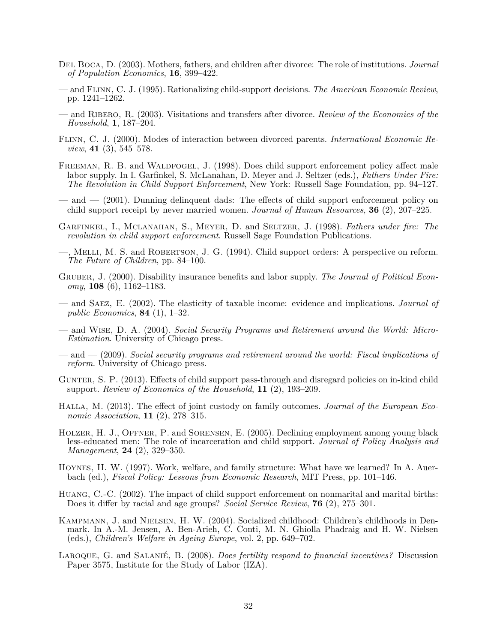- <span id="page-32-3"></span>Del Boca, D. (2003). Mothers, fathers, and children after divorce: The role of institutions. *Journal of Population Economics*, **16**, 399–422.
- <span id="page-32-5"></span>— and Flinn, C. J. (1995). Rationalizing child-support decisions. *The American Economic Review*, pp. 1241–1262.
- <span id="page-32-7"></span>— and Ribero, R. (2003). Visitations and transfers after divorce. *Review of the Economics of the Household*, **1**, 187–204.
- <span id="page-32-6"></span>Flinn, C. J. (2000). Modes of interaction between divorced parents. *International Economic Review*, **41** (3), 545–578.
- <span id="page-32-12"></span>FREEMAN, R. B. and WALDFOGEL, J. (1998). Does child support enforcement policy affect male labor supply. In I. Garfinkel, S. McLanahan, D. Meyer and J. Seltzer (eds.), *Fathers Under Fire: The Revolution in Child Support Enforcement*, New York: Russell Sage Foundation, pp. 94–127.
- <span id="page-32-10"></span>— and — (2001). Dunning delinquent dads: The effects of child support enforcement policy on child support receipt by never married women. *Journal of Human Resources*, **36** (2), 207–225.
- <span id="page-32-2"></span>Garfinkel, I., Mclanahan, S., Meyer, D. and Seltzer, J. (1998). *Fathers under fire: The revolution in child support enforcement*. Russell Sage Foundation Publications.
- <span id="page-32-15"></span>—, Melli, M. S. and Robertson, J. G. (1994). Child support orders: A perspective on reform. *The Future of Children*, pp. 84–100.
- <span id="page-32-16"></span>GRUBER, J. (2000). Disability insurance benefits and labor supply. *The Journal of Political Economy*, **108** (6), 1162–1183.
- <span id="page-32-0"></span>— and Saez, E. (2002). The elasticity of taxable income: evidence and implications. *Journal of public Economics*, **84** (1), 1–32.
- <span id="page-32-17"></span>— and Wise, D. A. (2004). *Social Security Programs and Retirement around the World: Micro-Estimation*. University of Chicago press.
- <span id="page-32-18"></span>— and — (2009). *Social security programs and retirement around the world: Fiscal implications of reform*. University of Chicago press.
- <span id="page-32-11"></span>GUNTER, S. P. (2013). Effects of child support pass-through and disregard policies on in-kind child support. *Review of Economics of the Household*, **11** (2), 193–209.
- <span id="page-32-8"></span>Halla, M. (2013). The effect of joint custody on family outcomes. *Journal of the European Economic Association*, **11** (2), 278–315.
- <span id="page-32-13"></span>HOLZER, H. J., OFFNER, P. and SORENSEN, E. (2005). Declining employment among young black less-educated men: The role of incarceration and child support. *Journal of Policy Analysis and Management*, **24** (2), 329–350.
- <span id="page-32-1"></span>Hoynes, H. W. (1997). Work, welfare, and family structure: What have we learned? In A. Auerbach (ed.), *Fiscal Policy: Lessons from Economic Research*, MIT Press, pp. 101–146.
- <span id="page-32-14"></span>Huang, C.-C. (2002). The impact of child support enforcement on nonmarital and marital births: Does it differ by racial and age groups? *Social Service Review*, **76** (2), 275–301.
- <span id="page-32-9"></span>Kampmann, J. and Nielsen, H. W. (2004). Socialized childhood: Children's childhoods in Denmark. In A.-M. Jensen, A. Ben-Arieh, C. Conti, M. N. Ghiolla Phadraig and H. W. Nielsen (eds.), *Children's Welfare in Ageing Europe*, vol. 2, pp. 649–702.
- <span id="page-32-4"></span>Laroque, G. and Salanié, B. (2008). *Does fertility respond to financial incentives?* Discussion Paper 3575, Institute for the Study of Labor (IZA).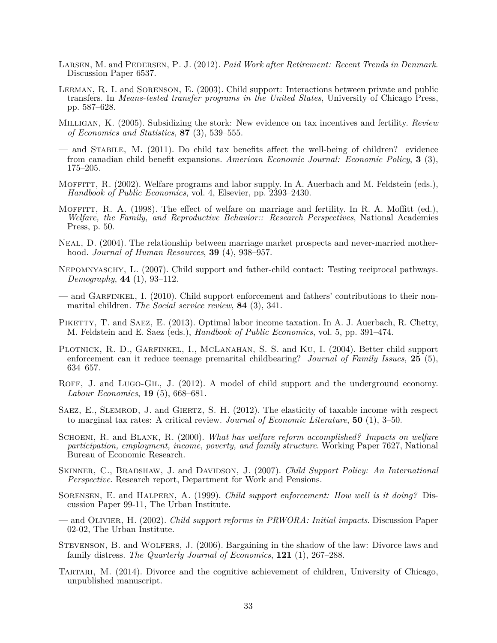- <span id="page-33-18"></span>Larsen, M. and Pedersen, P. J. (2012). *Paid Work after Retirement: Recent Trends in Denmark*. Discussion Paper 6537.
- <span id="page-33-5"></span>Lerman, R. I. and Sorenson, E. (2003). Child support: Interactions between private and public transfers. In *Means-tested transfer programs in the United States*, University of Chicago Press, pp. 587–628.
- <span id="page-33-7"></span>Milligan, K. (2005). Subsidizing the stork: New evidence on tax incentives and fertility. *Review of Economics and Statistics*, **87** (3), 539–555.
- <span id="page-33-17"></span>— and Stabile, M. (2011). Do child tax benefits affect the well-being of children? evidence from canadian child benefit expansions. *American Economic Journal: Economic Policy*, **3** (3), 175–205.
- <span id="page-33-4"></span>MOFFITT, R. (2002). Welfare programs and labor supply. In A. Auerbach and M. Feldstein (eds.), *Handbook of Public Economics*, vol. 4, Elsevier, pp. 2393–2430.
- <span id="page-33-2"></span>MOFFITT, R. A. (1998). The effect of welfare on marriage and fertility. In R. A. Moffitt (ed.), *Welfare, the Family, and Reproductive Behavior:: Research Perspectives*, National Academies Press, p. 50.
- <span id="page-33-10"></span>Neal, D. (2004). The relationship between marriage market prospects and never-married motherhood. *Journal of Human Resources*, **39** (4), 938–957.
- <span id="page-33-14"></span>Nepomnyaschy, L. (2007). Child support and father-child contact: Testing reciprocal pathways. *Demography*, **44** (1), 93–112.
- <span id="page-33-15"></span>— and GARFINKEL, I. (2010). Child support enforcement and fathers' contributions to their nonmarital children. *The Social service review*, **84** (3), 341.
- <span id="page-33-1"></span>PIKETTY, T. and SAEZ, E. (2013). Optimal labor income taxation. In A. J. Auerbach, R. Chetty, M. Feldstein and E. Saez (eds.), *Handbook of Public Economics*, vol. 5, pp. 391–474.
- <span id="page-33-16"></span>PLOTNICK, R. D., GARFINKEL, I., MCLANAHAN, S. S. and KU, I. (2004). Better child support enforcement can it reduce teenage premarital childbearing? *Journal of Family Issues*, **25** (5), 634–657.
- <span id="page-33-8"></span>ROFF, J. and LUGO-GIL, J. (2012). A model of child support and the underground economy. *Labour Economics*, **19** (5), 668–681.
- <span id="page-33-0"></span>SAEZ, E., SLEMROD, J. and GIERTZ, S. H. (2012). The elasticity of taxable income with respect to marginal tax rates: A critical review. *Journal of Economic Literature*, **50** (1), 3–50.
- <span id="page-33-3"></span>Schoeni, R. and Blank, R. (2000). *What has welfare reform accomplished? Impacts on welfare participation, employment, income, poverty, and family structure*. Working Paper 7627, National Bureau of Economic Research.
- <span id="page-33-6"></span>SKINNER, C., BRADSHAW, J. and DAVIDSON, J. (2007). *Child Support Policy: An International Perspective*. Research report, Department for Work and Pensions.
- <span id="page-33-12"></span>Sorensen, E. and Halpern, A. (1999). *Child support enforcement: How well is it doing?* Discussion Paper 99-11, The Urban Institute.
- <span id="page-33-13"></span>— and Olivier, H. (2002). *Child support reforms in PRWORA: Initial impacts*. Discussion Paper 02-02, The Urban Institute.
- <span id="page-33-9"></span>Stevenson, B. and Wolfers, J. (2006). Bargaining in the shadow of the law: Divorce laws and family distress. *The Quarterly Journal of Economics*, **121** (1), 267–288.
- <span id="page-33-11"></span>Tartari, M. (2014). Divorce and the cognitive achievement of children, University of Chicago, unpublished manuscript.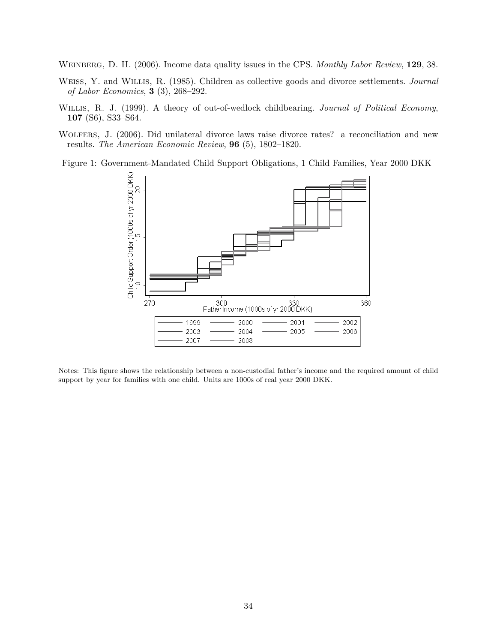<span id="page-34-1"></span>Weinberg, D. H. (2006). Income data quality issues in the CPS. *Monthly Labor Review*, **129**, 38.

- <span id="page-34-0"></span>Weiss, Y. and Willis, R. (1985). Children as collective goods and divorce settlements. *Journal of Labor Economics*, **3** (3), 268–292.
- <span id="page-34-2"></span>Willis, R. J. (1999). A theory of out-of-wedlock childbearing. *Journal of Political Economy*, **107** (S6), S33–S64.
- <span id="page-34-3"></span>Wolfers, J. (2006). Did unilateral divorce laws raise divorce rates? a reconciliation and new results. *The American Economic Review*, **96** (5), 1802–1820.

Figure 1: Government-Mandated Child Support Obligations, 1 Child Families, Year 2000 DKK

<span id="page-34-4"></span>

Notes: This figure shows the relationship between a non-custodial father's income and the required amount of child support by year for families with one child. Units are 1000s of real year 2000 DKK.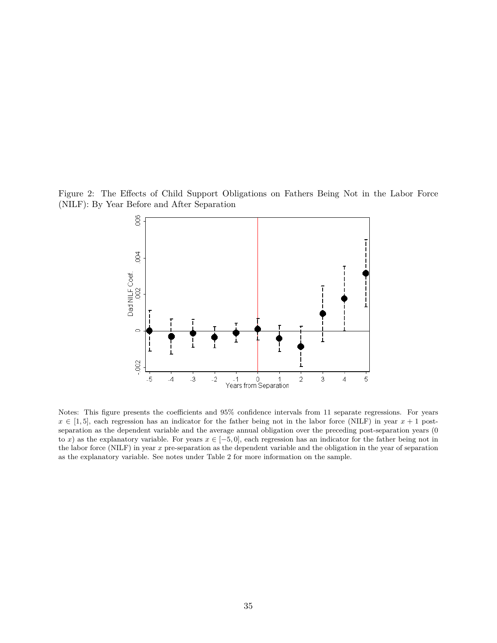Figure 2: The Effects of Child Support Obligations on Fathers Being Not in the Labor Force (NILF): By Year Before and After Separation

<span id="page-35-0"></span>

Notes: This figure presents the coefficients and 95% confidence intervals from 11 separate regressions. For years  $x \in [1, 5]$ , each regression has an indicator for the father being not in the labor force (NILF) in year  $x + 1$  postseparation as the dependent variable and the average annual obligation over the preceding post-separation years (0 to *x*) as the explanatory variable. For years  $x \in [-5, 0]$ , each regression has an indicator for the father being not in the labor force (NILF) in year *x* pre-separation as the dependent variable and the obligation in the year of separation as the explanatory variable. See notes under Table [2](#page-37-0) for more information on the sample.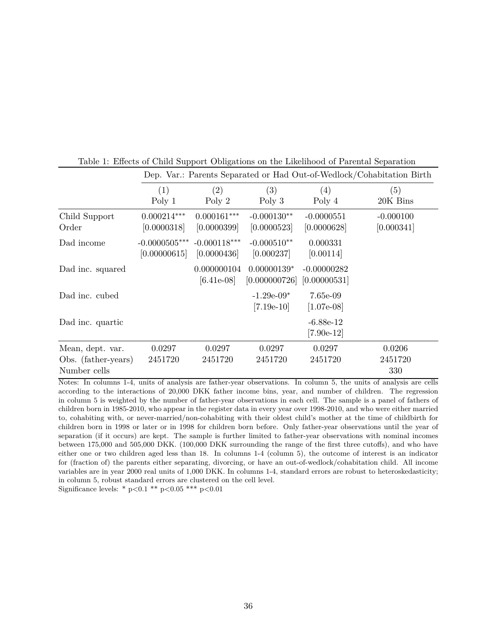|                                                         |                                 |                               |                                |                               | Dep. var.: Parents Separated or Had Out-of-Wedlock/Conabitation Birth |
|---------------------------------------------------------|---------------------------------|-------------------------------|--------------------------------|-------------------------------|-----------------------------------------------------------------------|
|                                                         | (1)                             | (2)                           | (3)                            | (4)                           | (5)                                                                   |
|                                                         | Poly 1                          | Poly 2                        | Poly $3$                       | Poly 4                        | 20K Bins                                                              |
| Child Support<br>Order                                  | $0.000214***$<br>[0.0000318]    | $0.000161***$<br>[0.0000399]  | $-0.000130**$<br>[0.0000523]   | $-0.0000551$<br>[0.0000628]   | $-0.000100$<br>[0.000341]                                             |
| Dad income                                              | $-0.0000505***$<br>[0.00000615] | $-0.000118***$<br>[0.0000436] | $-0.000510**$<br>[0.000237]    | 0.000331<br>[0.00114]         |                                                                       |
| Dad inc. squared                                        |                                 | 0.000000104<br>$[6.41e-08]$   | $0.00000139*$<br>[0.000000726] | $-0.00000282$<br>[0.00000531] |                                                                       |
| Dad inc. cubed                                          |                                 |                               | $-1.29e-09*$<br>$[7.19e-10]$   | 7.65e-09<br>$[1.07e-08]$      |                                                                       |
| Dad inc. quartic                                        |                                 |                               |                                | $-6.88e-12$<br>$[7.90e-12]$   |                                                                       |
| Mean, dept. var.<br>Obs. (father-years)<br>Number cells | 0.0297<br>2451720               | 0.0297<br>2451720             | 0.0297<br>2451720              | 0.0297<br>2451720             | 0.0206<br>2451720<br>330                                              |

<span id="page-36-0"></span>Table 1: Effects of Child Support Obligations on the Likelihood of Parental Separation Dep. Var.: Parents Separated or Had Out-of-Wedlock/Cohabitation Birth

Notes: In columns 1-4, units of analysis are father-year observations. In column 5, the units of analysis are cells according to the interactions of 20,000 DKK father income bins, year, and number of children. The regression in column 5 is weighted by the number of father-year observations in each cell. The sample is a panel of fathers of children born in 1985-2010, who appear in the register data in every year over 1998-2010, and who were either married to, cohabiting with, or never-married/non-cohabiting with their oldest child's mother at the time of childbirth for children born in 1998 or later or in 1998 for children born before. Only father-year observations until the year of separation (if it occurs) are kept. The sample is further limited to father-year observations with nominal incomes between 175,000 and 505,000 DKK. (100,000 DKK surrounding the range of the first three cutoffs), and who have either one or two children aged less than 18. In columns 1-4 (column 5), the outcome of interest is an indicator for (fraction of) the parents either separating, divorcing, or have an out-of-wedlock/cohabitation child. All income variables are in year 2000 real units of 1,000 DKK. In columns 1-4, standard errors are robust to heteroskedasticity; in column 5, robust standard errors are clustered on the cell level. Significance levels: \* p*<*0.1 \*\* p*<*0.05 \*\*\* p*<*0.01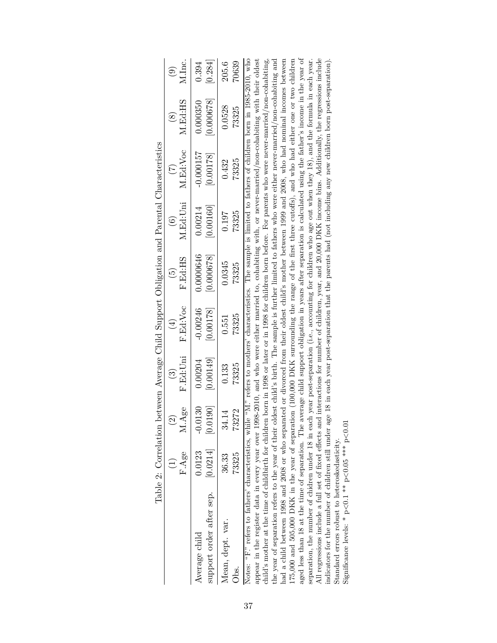<span id="page-37-0"></span>

|                                                                                                                                                                     | Table 2: Correlation |           |           |                              |                      | between Average Child Support Obligation and Parental Characteristics |             |                        |                        |
|---------------------------------------------------------------------------------------------------------------------------------------------------------------------|----------------------|-----------|-----------|------------------------------|----------------------|-----------------------------------------------------------------------|-------------|------------------------|------------------------|
|                                                                                                                                                                     |                      |           | $\odot$   | $\left( \frac{4}{3} \right)$ | $\widetilde{\Theta}$ | $\widehat{6}$                                                         | (7)         | $\widehat{\mathbb{S}}$ | $\widehat{\mathbf{e}}$ |
|                                                                                                                                                                     | F.Age                | M.Age     | F.Ed:Uni  | F.Ed:Voc                     | F.Ed:HS              | M.Ed:Uni                                                              | M.Ed:Voc    | M.Ed:HS                | M.Inc.                 |
| Average child                                                                                                                                                       | 0.0123               | $-0.0130$ | 0.00204   | $-0.00246$                   | 0.0000646            | 0.00214                                                               | $-0.000157$ | 0.000350               | 0.394                  |
| support order after sep.                                                                                                                                            | [0.0214]             | [0.0190]  | [0.00149] | [0.00178]                    | [0.000678]           | [0.00160]                                                             | [0.00178]   | [0.000678]             | 0.284                  |
| Mean, dept. var.                                                                                                                                                    | 36.33                | 34.14     | 0.133     | 0.551                        | 0.0345               | 0.197                                                                 | 0.432       | 0.0528                 | 205.6                  |
| .<br>Disc                                                                                                                                                           | 73325                | 73272     | 73325     | 73325                        | 73325                | 73325                                                                 | 73325       | 73325                  | 70639                  |
| Notes: "F." refers to fathers' characteristics, while "M." refers to mothers' characteristics. The sample is limited to fathers of children born in 1985-2010, who  |                      |           |           |                              |                      |                                                                       |             |                        |                        |
| appear in the register data in every year over 1998-2010, and who were either married to, cohabiting with, or never-married/non-cohabiting with their oldest        |                      |           |           |                              |                      |                                                                       |             |                        |                        |
| child's mother at the time of childbirth for children born in 1998 or later or in 1998 for children born before. For parents who were never-married/non-cohabiting, |                      |           |           |                              |                      |                                                                       |             |                        |                        |
| the year of separation refers to the year of their oldest child's birth. The sample is further limited to fathers who were either never-married/non-cohabiting and  |                      |           |           |                              |                      |                                                                       |             |                        |                        |
| had a child between 1998 and 2008 or who separated or divorced from their oldest child's mother between 1999 and 2008, who had nominal incomes between              |                      |           |           |                              |                      |                                                                       |             |                        |                        |
| 175,000 and 505,000 DKK in the year of separation (100,000 DKK surrounding the range of the first three cutoffs), and who had either one or two children            |                      |           |           |                              |                      |                                                                       |             |                        |                        |
| aged less than 18 at the time of separation. The average child support obligation in years after separation is calculated using the father's income in the year of  |                      |           |           |                              |                      |                                                                       |             |                        |                        |

| $\overline{1}$<br>ì<br>j                                                                                                                                              |  |
|-----------------------------------------------------------------------------------------------------------------------------------------------------------------------|--|
| eparation, the number of chidren under 18 in each year post-separation (i.e., accounting for children who age out when they 18), and the formula in each year.        |  |
| Il regressions include a full set of fixed effects and interactions for number of children, year, and $20,000$ DKK income bins. Additionally, the regressions include |  |
| indicators for the number of children still under age 18 in each year post-separation that the parents had (not including any new children born post-separation)      |  |
| itandard errors robust to heteroskedasticity.                                                                                                                         |  |

aged less than 18 at the time of separation. The average child support obligation in years after separation is calculated using the father's income in the year of separation, the number of chidren under 18 in each year post-separation (i.e., accounting for children who age out when they 18), and the formula in each year.

Significance levels: \* p *<*0.1 \*\* p  $<$  0.05 \*\*\* p $\cdot$ *<*0.01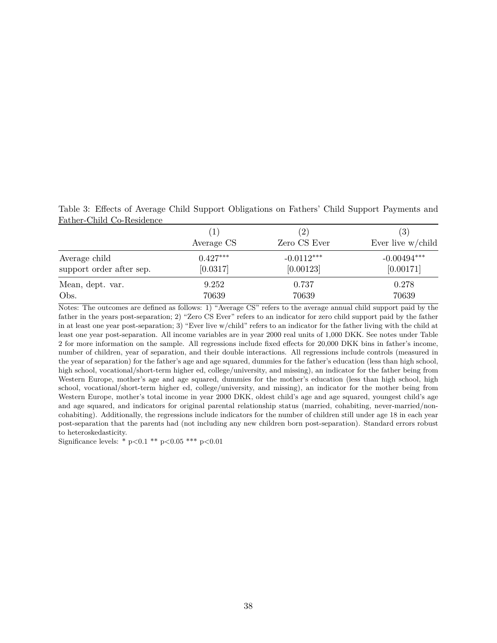<span id="page-38-0"></span>Table 3: Effects of Average Child Support Obligations on Fathers' Child Support Payments and Father-Child Co-Residence

|                                           |                        | $\left( 2\right)$         | $\left( 3\right)$          |
|-------------------------------------------|------------------------|---------------------------|----------------------------|
|                                           | Average CS             | Zero CS Ever              | Ever live $w$ /child       |
| Average child<br>support order after sep. | $0.427***$<br>[0.0317] | $-0.0112***$<br>[0.00123] | $-0.00494***$<br>[0.00171] |
| Mean, dept. var.                          | 9.252                  | 0.737                     | 0.278                      |
| Obs.                                      | 70639                  | 70639                     | 70639                      |

Notes: The outcomes are defined as follows: 1) "Average CS" refers to the average annual child support paid by the father in the years post-separation; 2) "Zero CS Ever" refers to an indicator for zero child support paid by the father in at least one year post-separation; 3) "Ever live w/child" refers to an indicator for the father living with the child at least one year post-separation. All income variables are in year 2000 real units of 1,000 DKK. See notes under Table [2](#page-37-0) for more information on the sample. All regressions include fixed effects for 20,000 DKK bins in father's income, number of children, year of separation, and their double interactions. All regressions include controls (measured in the year of separation) for the father's age and age squared, dummies for the father's education (less than high school, high school, vocational/short-term higher ed, college/university, and missing), an indicator for the father being from Western Europe, mother's age and age squared, dummies for the mother's education (less than high school, high school, vocational/short-term higher ed, college/university, and missing), an indicator for the mother being from Western Europe, mother's total income in year 2000 DKK, oldest child's age and age squared, youngest child's age and age squared, and indicators for original parental relationship status (married, cohabiting, never-married/noncohabiting). Additionally, the regressions include indicators for the number of children still under age 18 in each year post-separation that the parents had (not including any new children born post-separation). Standard errors robust to heteroskedasticity.

Significance levels: \* p*<*0.1 \*\* p*<*0.05 \*\*\* p*<*0.01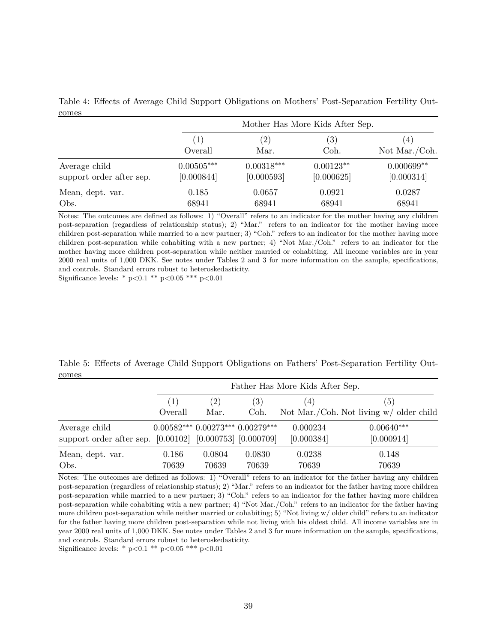| 0.1100                   |              |                   | Mother Has More Kids After Sep. |                  |
|--------------------------|--------------|-------------------|---------------------------------|------------------|
|                          | $\perp$      | $\left( 2\right)$ | $\left( 3\right)$               | $\left(4\right)$ |
|                          | Overall      | Mar.              | Coh.                            | Not Mar./Coh.    |
| Average child            | $0.00505***$ | $0.00318***$      | $0.00123**$                     | $0.000699**$     |
| support order after sep. | [0.000844]   | [0.000593]        | [0.000625]                      | [0.000314]       |
| Mean, dept. var.         | 0.185        | 0.0657            | 0.0921                          | 0.0287           |
| Obs.                     | 68941        | 68941             | 68941                           | 68941            |

<span id="page-39-0"></span>Table 4: Effects of Average Child Support Obligations on Mothers' Post-Separation Fertility Outcomes

Notes: The outcomes are defined as follows: 1) "Overall" refers to an indicator for the mother having any children post-separation (regardless of relationship status); 2) "Mar." refers to an indicator for the mother having more children post-separation while married to a new partner; 3) "Coh." refers to an indicator for the mother having more children post-separation while cohabiting with a new partner; 4) "Not Mar./Coh." refers to an indicator for the mother having more children post-separation while neither married or cohabiting. All income variables are in year 2000 real units of 1,000 DKK. See notes under Tables [2](#page-37-0) and [3](#page-38-0) for more information on the sample, specifications, and controls. Standard errors robust to heteroskedasticity.

Significance levels: \* p*<*0.1 \*\* p*<*0.05 \*\*\* p*<*0.01

<span id="page-39-1"></span>Table 5: Effects of Average Child Support Obligations on Fathers' Post-Separation Fertility Outcomes

|                                                                           |                |                 |                                  | Father Has More Kids After Sep. |                                                  |
|---------------------------------------------------------------------------|----------------|-----------------|----------------------------------|---------------------------------|--------------------------------------------------|
|                                                                           | (1)<br>Overall | (2)<br>Mar.     | (3)<br>Coh.                      | $\left(4\right)$                | (5)<br>Not Mar./Coh. Not living $w/$ older child |
| Average child<br>support order after sep. [0.00102] [0.000753] [0.000709] |                |                 | $0.00582***0.00273***0.00279***$ | 0.000234<br>[0.000384]          | $0.00640***$<br>[0.000914]                       |
| Mean, dept. var.<br>Obs.                                                  | 0.186<br>70639 | 0.0804<br>70639 | 0.0830<br>70639                  | 0.0238<br>70639                 | 0.148<br>70639                                   |

Notes: The outcomes are defined as follows: 1) "Overall" refers to an indicator for the father having any children post-separation (regardless of relationship status); 2) "Mar." refers to an indicator for the father having more children post-separation while married to a new partner; 3) "Coh." refers to an indicator for the father having more children post-separation while cohabiting with a new partner; 4) "Not Mar./Coh." refers to an indicator for the father having more children post-separation while neither married or cohabiting; 5) "Not living w/ older child" refers to an indicator for the father having more children post-separation while not living with his oldest child. All income variables are in year 2000 real units of 1,000 DKK. See notes under Tables [2](#page-37-0) and [3](#page-38-0) for more information on the sample, specifications, and controls. Standard errors robust to heteroskedasticity.

Significance levels: \* p*<*0.1 \*\* p*<*0.05 \*\*\* p*<*0.01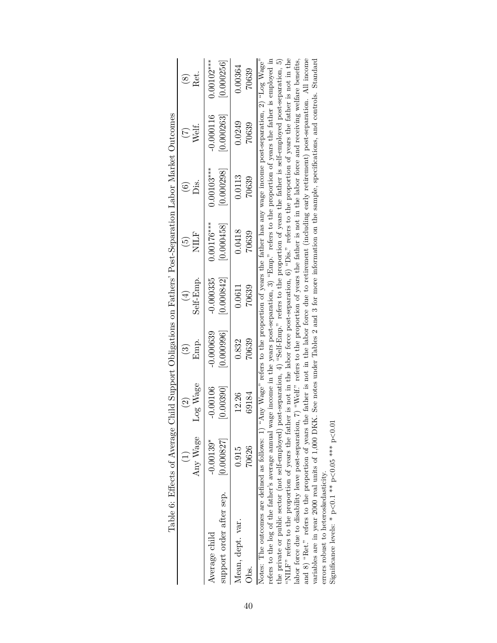|                                                                                                                                                                                                                                                                                                                                                                                                                                                                                                                                                                                                                                                                            | Lable 0. Lutecto 01 AVEL dese |                           | CHIM DAN I SHERIN TORE HOP I DISPERSED I OPERATOR TO THE THE STATE OF THE DISPOSED IN THE UPPER THE UPPER THE U |                            |                            |                           |                            |
|----------------------------------------------------------------------------------------------------------------------------------------------------------------------------------------------------------------------------------------------------------------------------------------------------------------------------------------------------------------------------------------------------------------------------------------------------------------------------------------------------------------------------------------------------------------------------------------------------------------------------------------------------------------------------|-------------------------------|---------------------------|-----------------------------------------------------------------------------------------------------------------|----------------------------|----------------------------|---------------------------|----------------------------|
|                                                                                                                                                                                                                                                                                                                                                                                                                                                                                                                                                                                                                                                                            | $\widehat{\Omega}$            | $\widehat{\mathbb{G}}$    | $\bigoplus$                                                                                                     | $\widetilde{\Theta}$       | $\widehat{\circ}$          | $(\vec{z})$               | $\widehat{\otimes}$        |
| Any Wage                                                                                                                                                                                                                                                                                                                                                                                                                                                                                                                                                                                                                                                                   | Log Wage                      | Emp.                      | Self-Emp                                                                                                        | NILF                       | Ďі́s                       | Welf.                     | Ret.                       |
| [0.000827]<br>$-0.00139*$<br>support order after sep.<br>Average child                                                                                                                                                                                                                                                                                                                                                                                                                                                                                                                                                                                                     | $-0.00106$<br>[0.00390]       | $-0.000639$<br>[0.000996] | $-0.000335$<br>[0.000842]                                                                                       | $0.00176***$<br>[0.000458] | [0.000298]<br>$0.00103***$ | $-0.000116$<br>[0.000263] | $0.00102***$<br>[0.000256] |
| 70626<br>0.915<br>Mean, dept. var.<br>Jbs.                                                                                                                                                                                                                                                                                                                                                                                                                                                                                                                                                                                                                                 | 69184<br>12.26                | 70639<br>0.832            | 70639<br>0.0611                                                                                                 | 0.0418<br>70639            | 0.0113<br>70639            | 0.0249<br>70639           | 0.00364<br>70639           |
| refers to the log of the father's average annual wage income in the years post-separation, 3) "Emp." refers to the proportion of years the father is employed in<br>"NILF" refers to the proportion of years the father is not in the labor force post-separation, 6) "Dis." refers to the proportion of years the father is not in the<br>Notes: The outcomes are defined as follows: 1) "Any Wage" refers to the proportion of years the father has any wage income post-separation, 2) "Log Wage"<br>the private or public sector (not self-employed) post-separation, 4) "Self-Emp." refers to the proportion of years the father is self-employed post-separation, 5) |                               |                           |                                                                                                                 |                            |                            |                           |                            |

| Ç                                                                                                                                                                                            |  |
|----------------------------------------------------------------------------------------------------------------------------------------------------------------------------------------------|--|
| $\frac{1}{2}$<br>$\overline{a}$<br>֕<br>$\sim$ $\sim$ $\sim$                                                                                                                                 |  |
| ここ くさくする<br>l                                                                                                                                                                                |  |
| J<br>I<br>֕<br>i                                                                                                                                                                             |  |
| ֧֖֖֖֖֧֧ׅ֧֧֧֦֧֧֖֧֧֧֚֚֚֚֚֚֚֚֚֚֚֚֚֚֚֚֚֚֚֚֝֝֓֝֬֓֓֝֬֓֝֓֝֬֝֓֝֬֝֬֓֝֬֝֓֝֬֝֬<br>ļ<br>֦֚<br>;<br>;<br>;<br>$\frac{1}{2}$<br>)<br>֖֖֖֧ׅׅׅׅׅׅ֧ׅ֧֚֚֚֚֚֚֚֚֚֚֚֚֚֚֚֚֚֚֚֚֚֚֚֚֚֚֚֚֡֝֝֬֓֡֓֬֝֓֬֝֬֓֓֞֬֝֓֞֬֝֓֞֝֬֝֬ |  |
| I<br>I<br>i<br>١<br>l<br>$\frac{1}{2}$                                                                                                                                                       |  |
| Ì<br>l<br>l<br>$\frac{1}{2}$                                                                                                                                                                 |  |
| Ş<br>ļ<br>٦<br>į<br>l<br>İ                                                                                                                                                                   |  |
|                                                                                                                                                                                              |  |

<span id="page-40-0"></span>labor force due to disability leave post-separation,  $7$ ) "Welf." refers to the proportion of years the father is not in the labor force and receiving welfare benefits, and 8) "Ret." refers to the proportion of years the "NILF" refers to the proportion of years the father is not in the labor force post-separation, 6) "Dis." refers to the proportion of years the father is not in the and 8) "Ret." refers to the proportion of years the father is not in the labor force due to retirement (including early retirement) post-separation. All income variables are in year 2000 real units of 1,000 DKK. See notes under Tables [2](#page-37-0) and [3](#page-38-0) for more information on the sample, specifications, and controls. Standard labor force due to disability leave post-separation, 7) "Welf." refers to the proportion of years the father is not in the labor force and receiving welfare benefits, errors robust to heteroskedasticity.

Significance levels: \* p *<*0.1 \*\* p  $<$  0.05 \*\*\* p $\cdot$ *<*0.01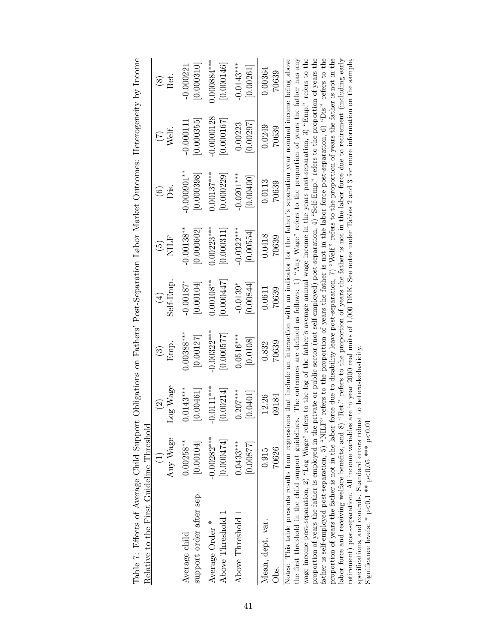<span id="page-41-0"></span>

| Table 7: Effects of Average Child Support Obligations on Fathers' Post-Separation Labor Market Outcomes: Heterogeneity by Income                                                                                                                                                                                              |                                          |                    |               |              |                 |                                                                                                                    |                         |               |
|-------------------------------------------------------------------------------------------------------------------------------------------------------------------------------------------------------------------------------------------------------------------------------------------------------------------------------|------------------------------------------|--------------------|---------------|--------------|-----------------|--------------------------------------------------------------------------------------------------------------------|-------------------------|---------------|
| Relative to the First Guideline Threshold                                                                                                                                                                                                                                                                                     |                                          |                    |               |              |                 |                                                                                                                    |                         |               |
|                                                                                                                                                                                                                                                                                                                               | $\begin{array}{c} \boxed{1} \end{array}$ | $\widehat{\Omega}$ | $\odot$       | $\bigoplus$  | $\widetilde{5}$ | $\odot$                                                                                                            | $(\tilde{\mathcal{L}})$ | $\circledS$   |
|                                                                                                                                                                                                                                                                                                                               | Any Wage                                 | Log Wage           | Emp.          | Self-Emp.    | NILF            | òis.                                                                                                               | Welf.                   | Ret.          |
| Average child                                                                                                                                                                                                                                                                                                                 | $0.00258***$                             | $0.0143***$        | $0.00388***$  | $-0.00187*$  | $-0.00138**$    | $-0.000901**$                                                                                                      | $-0.000111$             | $-0.000221$   |
| support order after sep.                                                                                                                                                                                                                                                                                                      | [0.00104]                                | [0.00461]          | [0.00127]     | [0.00104]    | [0.000602]      | [0.000398]                                                                                                         | [0.000355]              | [0.000310]    |
| Average Order *                                                                                                                                                                                                                                                                                                               | $-0.00282***$                            | $-0.0111***$       | $-0.00322***$ | $0.00108***$ | $0.00223***$    | $0.00137***$                                                                                                       | $-0.0000128$            | $0.000884***$ |
| Above Threshold 1                                                                                                                                                                                                                                                                                                             | [0.000474]                               | [0.00214]          | [0.000577]    | 0.000447     | 0.000311        | 0.000229                                                                                                           | [0.000167]              | [0.000146]    |
| Above Threshold 1                                                                                                                                                                                                                                                                                                             | $0.0433***$                              | $0.207***$         | $0.0516***$   | $-0.0139*$   | $-0.0322***$    | $-0.0201***$                                                                                                       | 0.00223                 | $-0.0143***$  |
|                                                                                                                                                                                                                                                                                                                               | [0.00877]                                | [0.0401]           | [0.0108]      | 0.00844      | [0.00554]       | [0.00400]                                                                                                          | [0.00297]               | [0.00261]     |
| Mean, dept. var.                                                                                                                                                                                                                                                                                                              | 0.915                                    | 12.26              | 0.832         | 0.0611       | 0.0418          | 0.0113                                                                                                             | 0.0249                  | 0.00364       |
| Obs.                                                                                                                                                                                                                                                                                                                          | 70626                                    | 69184              | 70639         | 70639        | 70639           | 70639                                                                                                              | 70639                   | 70639         |
| Notes: This table presents results from regressions that include an interaction with an indicator for the father's separation year nominal income being above                                                                                                                                                                 |                                          |                    |               |              |                 |                                                                                                                    |                         |               |
| wage income post-separation, 2) "Log Wage" refers to the log of the father's average annual wage income in the years post-separation, 3) "Emp." refers to the<br>the first threshold in the child support guidelines. The outcomes are defined as follows: 1) "Any Wage" refers to the proportion of years the father has any |                                          |                    |               |              |                 |                                                                                                                    |                         |               |
| father is self-employed post-separation, 5) "NILF" refers to the proportion of years the father is not in the labor force post-separation, 6) "Dis." refers to the<br>proportion of years the father is employed in the p                                                                                                     |                                          |                    |               |              |                 | private or public sector (not self-employed) post-separation, 4) "Self-Emp." refers to the proportion of years the |                         |               |
| proportion of years the father is not in the labor force due to disability leave post-separation, 7) "Welf." refers to the proportion of years the father is not in the                                                                                                                                                       |                                          |                    |               |              |                 |                                                                                                                    |                         |               |
| labor force and receiving welfare benefits, and 8)                                                                                                                                                                                                                                                                            |                                          |                    |               |              |                 | "Ret." refers to the proportion of years the father is not in the labor force due to retirement (including early   |                         |               |

Table 7: Effects of Average Child Support Obligations on Fathers' Post-Separation Labor Market Outcomes: Heterogeneity by Income  $\alpha$ ity by Inco  $H_{\alpha t}$  $\ddot{\zeta}$ ration Labor Market Out on Eathers' Post-Sen ge Child Support Obligations  $\frac{6}{5}$ Table 7: Effects of Ave

labor force and receiving welfare benefits, and 8) "Ret." refers to the proportion of years the father is not in the labor force due to retirement (including early retirement) post-separation. All income variables are in year 2000 real units of 1,000 DKK. See notes under Tables [2](#page-37-0) and [3](#page-38-0) for more information on the sample, specifications, and controls. Standard errors robust to heteroskedasticity. Significance levels: \* p *<*0.1 \*\* p  $<$ 0.05 \*\*\* p $\cdot$ *<*0.01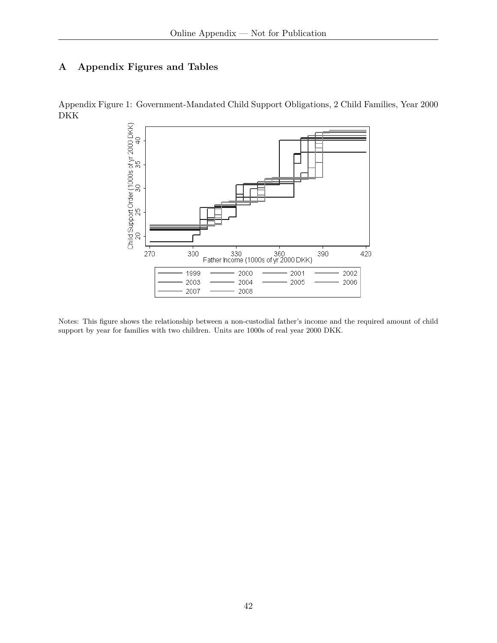## **A Appendix Figures and Tables**

Appendix Figure 1: Government-Mandated Child Support Obligations, 2 Child Families, Year 2000 DKK



Notes: This figure shows the relationship between a non-custodial father's income and the required amount of child support by year for families with two children. Units are 1000s of real year 2000 DKK.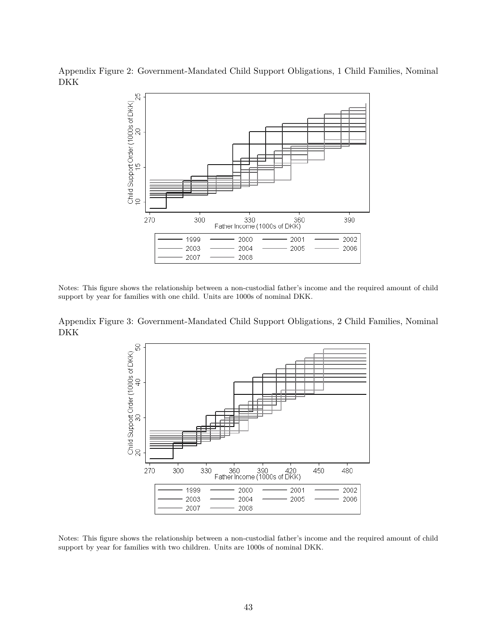Appendix Figure 2: Government-Mandated Child Support Obligations, 1 Child Families, Nominal DKK



Notes: This figure shows the relationship between a non-custodial father's income and the required amount of child support by year for families with one child. Units are 1000s of nominal DKK.

Appendix Figure 3: Government-Mandated Child Support Obligations, 2 Child Families, Nominal DKK

<span id="page-43-0"></span>

Notes: This figure shows the relationship between a non-custodial father's income and the required amount of child support by year for families with two children. Units are 1000s of nominal DKK.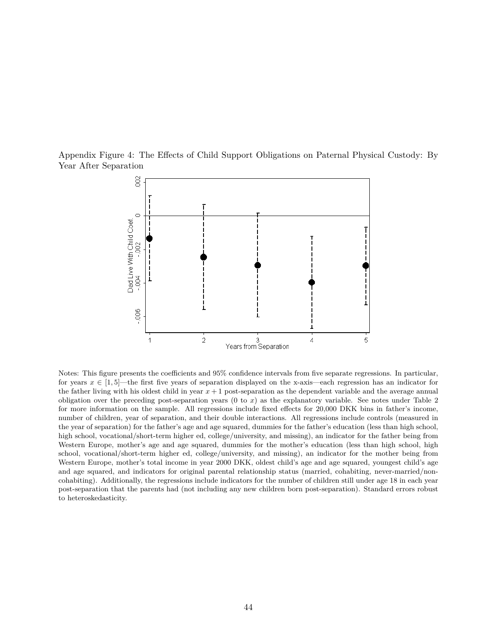Appendix Figure 4: The Effects of Child Support Obligations on Paternal Physical Custody: By Year After Separation

<span id="page-44-0"></span>

Notes: This figure presents the coefficients and 95% confidence intervals from five separate regressions. In particular, for years  $x \in [1, 5]$ —the first five years of separation displayed on the x-axis—each regression has an indicator for the father living with his oldest child in year *x* + 1 post-separation as the dependent variable and the average annual obligation over the preceding post-separation years (0 to *x*) as the explanatory variable. See notes under Table [2](#page-37-0) for more information on the sample. All regressions include fixed effects for 20,000 DKK bins in father's income, number of children, year of separation, and their double interactions. All regressions include controls (measured in the year of separation) for the father's age and age squared, dummies for the father's education (less than high school, high school, vocational/short-term higher ed, college/university, and missing), an indicator for the father being from Western Europe, mother's age and age squared, dummies for the mother's education (less than high school, high school, vocational/short-term higher ed, college/university, and missing), an indicator for the mother being from Western Europe, mother's total income in year 2000 DKK, oldest child's age and age squared, youngest child's age and age squared, and indicators for original parental relationship status (married, cohabiting, never-married/noncohabiting). Additionally, the regressions include indicators for the number of children still under age 18 in each year post-separation that the parents had (not including any new children born post-separation). Standard errors robust to heteroskedasticity.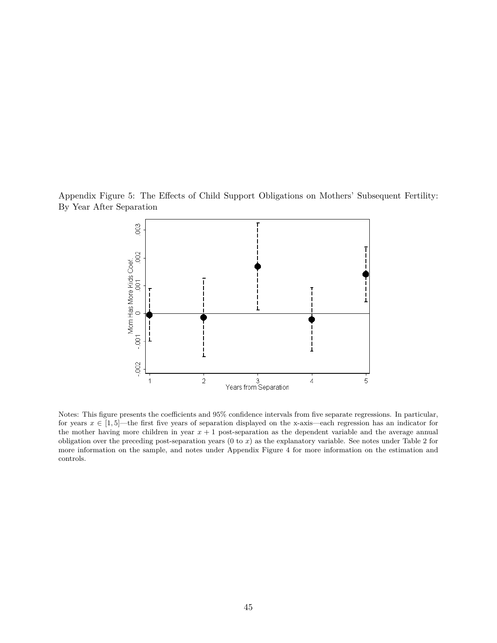Appendix Figure 5: The Effects of Child Support Obligations on Mothers' Subsequent Fertility: By Year After Separation

<span id="page-45-0"></span>

Notes: This figure presents the coefficients and 95% confidence intervals from five separate regressions. In particular, for years  $x \in [1, 5]$ —the first five years of separation displayed on the x-axis—each regression has an indicator for the mother having more children in year *x* + 1 post-separation as the dependent variable and the average annual obligation over the preceding post-separation years (0 to *x*) as the explanatory variable. See notes under Table [2](#page-37-0) for more information on the sample, and notes under Appendix Figure [4](#page-44-0) for more information on the estimation and controls.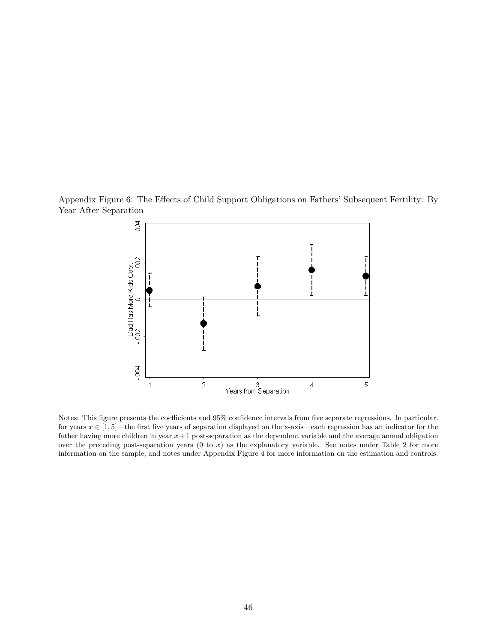Appendix Figure 6: The Effects of Child Support Obligations on Fathers' Subsequent Fertility: By Year After Separation

<span id="page-46-0"></span>

Notes: This figure presents the coefficients and 95% confidence intervals from five separate regressions. In particular, for years  $x \in [1, 5]$ —the first five years of separation displayed on the x-axis—each regression has an indicator for the father having more children in year *x*+ 1 post-separation as the dependent variable and the average annual obligation over the preceding post-separation years  $(0 \text{ to } x)$  as the explanatory variable. See notes under Table [2](#page-37-0) for more information on the sample, and notes under Appendix Figure [4](#page-44-0) for more information on the estimation and controls.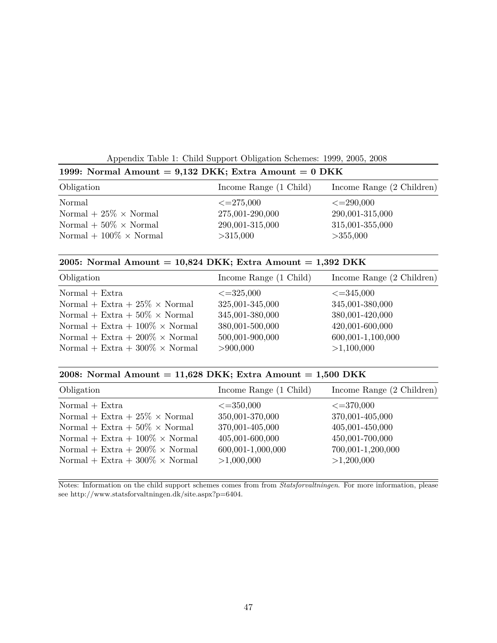<span id="page-47-0"></span>Appendix Table 1: Child Support Obligation Schemes: 1999, 2005, 2008

| 1999: Normal Amount = 9,132 DKK; Extra Amount = $0$ DKK |                        |                           |
|---------------------------------------------------------|------------------------|---------------------------|
| Obligation                                              | Income Range (1 Child) | Income Range (2 Children) |
| Normal                                                  | $\leq=275,000$         | $\leq = 290,000$          |
| Normal + $25\% \times \text{Normal}$                    | 275,001-290,000        | 290,001-315,000           |
| Normal + $50\% \times \text{Normal}$                    | 290,001-315,000        | 315,001-355,000           |
| Normal + $100\% \times \text{Normal}$                   | >315,000               | >355,000                  |

### **2005: Normal Amount = 10,824 DKK; Extra Amount = 1,392 DKK**

| Obligation                                    | Income Range (1 Child) | Income Range (2 Children) |
|-----------------------------------------------|------------------------|---------------------------|
| $Normal + Extra$                              | $\leq = 325,000$       | $\leq = 345,000$          |
| Normal + Extra + $25\% \times \text{Normal}$  | 325,001-345,000        | 345,001-380,000           |
| Normal + Extra + $50\% \times \text{Normal}$  | 345,001-380,000        | 380,001-420,000           |
| Normal + Extra + $100\% \times \text{Normal}$ | 380,001-500,000        | 420,001-600,000           |
| Normal + Extra + $200\% \times \text{Normal}$ | 500,001-900,000        | 600,001-1,100,000         |
| Normal + Extra + $300\% \times \text{Normal}$ | > 900,000              | >1,100,000                |

### **2008: Normal Amount = 11,628 DKK; Extra Amount = 1,500 DKK**

| Obligation                                    | Income Range (1 Child) | Income Range (2 Children) |
|-----------------------------------------------|------------------------|---------------------------|
| $Normal + Extra$                              | $\leq = 350,000$       | $\leq = 370,000$          |
| Normal + Extra + $25\% \times \text{Normal}$  | 350,001-370,000        | 370,001-405,000           |
| Normal + Extra + $50\% \times \text{Normal}$  | 370,001-405,000        | 405,001-450,000           |
| Normal + Extra + $100\% \times \text{Normal}$ | 405,001-600,000        | 450,001-700,000           |
| Normal + Extra + $200\% \times \text{Normal}$ | 600,001-1,000,000      | 700,001-1,200,000         |
| Normal + Extra + $300\% \times \text{Normal}$ | >1,000,000             | >1,200,000                |

Notes: Information on the child support schemes comes from from *Statsforvaltningen*. For more information, please see [http://www.statsforvaltningen.dk/site.aspx?p=6404.](http://www.statsforvaltningen.dk/site.aspx?p=6404)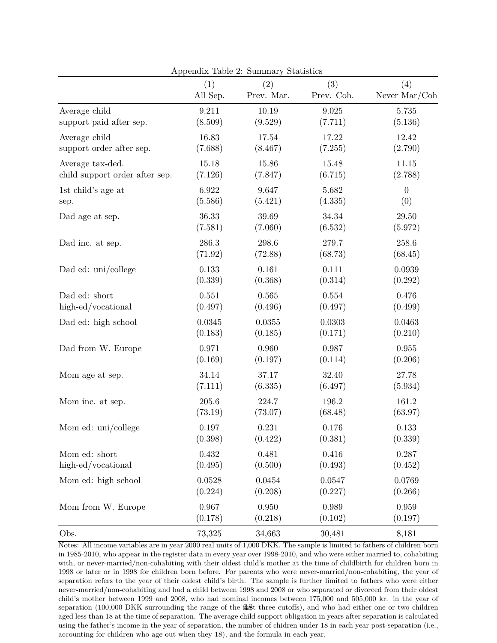|                                | (1)      | (2)        | <b>Demondent</b><br>(3) | (4)              |
|--------------------------------|----------|------------|-------------------------|------------------|
|                                | All Sep. | Prev. Mar. | Prev. Coh.              | Never Mar/Coh    |
| Average child                  | 9.211    | 10.19      | $\boldsymbol{9.025}$    | 5.735            |
| support paid after sep.        | (8.509)  | (9.529)    | (7.711)                 | (5.136)          |
| Average child                  | 16.83    | 17.54      | 17.22                   | 12.42            |
| support order after sep.       | (7.688)  | (8.467)    | (7.255)                 | (2.790)          |
| Average tax-ded.               | 15.18    | 15.86      | 15.48                   | 11.15            |
| child support order after sep. | (7.126)  | (7.847)    | (6.715)                 | (2.788)          |
| 1st child's age at             | 6.922    | 9.647      | 5.682                   | $\boldsymbol{0}$ |
| sep.                           | (5.586)  | (5.421)    | (4.335)                 | (0)              |
| Dad age at sep.                | 36.33    | 39.69      | 34.34                   | 29.50            |
|                                | (7.581)  | (7.060)    | (6.532)                 | (5.972)          |
| Dad inc. at sep.               | 286.3    | 298.6      | 279.7                   | 258.6            |
|                                | (71.92)  | (72.88)    | (68.73)                 | (68.45)          |
| Dad ed: uni/college            | 0.133    | 0.161      | $0.111\,$               | 0.0939           |
|                                | (0.339)  | (0.368)    | (0.314)                 | (0.292)          |
| Dad ed: short                  | 0.551    | 0.565      | 0.554                   | 0.476            |
| high-ed/vocational             | (0.497)  | (0.496)    | (0.497)                 | (0.499)          |
| Dad ed: high school            | 0.0345   | 0.0355     | 0.0303                  | 0.0463           |
|                                | (0.183)  | (0.185)    | (0.171)                 | (0.210)          |
| Dad from W. Europe             | 0.971    | 0.960      | 0.987                   | 0.955            |
|                                | (0.169)  | (0.197)    | (0.114)                 | (0.206)          |
| Mom age at sep.                | 34.14    | 37.17      | 32.40                   | 27.78            |
|                                | (7.111)  | (6.335)    | (6.497)                 | (5.934)          |
| Mom inc. at sep.               | 205.6    | 224.7      | 196.2                   | 161.2            |
|                                | (73.19)  | (73.07)    | (68.48)                 | (63.97)          |
| Mom ed: uni/college            | 0.197    | 0.231      | 0.176                   | 0.133            |
|                                | (0.398)  | (0.422)    | (0.381)                 | (0.339)          |
| Mom ed: short                  | 0.432    | 0.481      | 0.416                   | 0.287            |
| high-ed/vocational             | (0.495)  | (0.500)    | (0.493)                 | (0.452)          |
| Mom ed: high school            | 0.0528   | 0.0454     | 0.0547                  | 0.0769           |
|                                | (0.224)  | (0.208)    | (0.227)                 | (0.266)          |
| Mom from W. Europe             | 0.967    | 0.950      | 0.989                   | 0.959            |
|                                | (0.178)  | (0.218)    | (0.102)                 | (0.197)          |
| Obs.                           | 73,325   | 34,663     | 30,481                  | 8,181            |

<span id="page-48-0"></span>Appendix Table 2: Summary Statistics

Notes: All income variables are in year 2000 real units of 1,000 DKK. The sample is limited to fathers of children born in 1985-2010, who appear in the register data in every year over 1998-2010, and who were either married to, cohabiting with, or never-married/non-cohabiting with their oldest child's mother at the time of childbirth for children born in 1998 or later or in 1998 for children born before. For parents who were never-married/non-cohabiting, the year of separation refers to the year of their oldest child's birth. The sample is further limited to fathers who were either never-married/non-cohabiting and had a child between 1998 and 2008 or who separated or divorced from their oldest child's mother between 1999 and 2008, who had nominal incomes between 175,000 and 505,000 kr. in the year of separation (100,000 DKK surrounding the range of the  $\frac{48}{100}$ t three cutoffs), and who had either one or two children aged less than 18 at the time of separation. The average child support obligation in years after separation is calculated using the father's income in the year of separation, the number of chidren under 18 in each year post-separation (i.e., accounting for children who age out when they 18), and the formula in each year.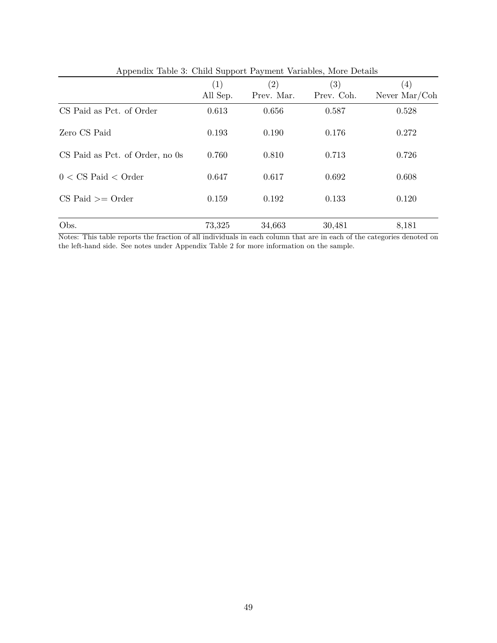| $\mu$ , $\mu$ , $\mu$ , $\mu$ , $\mu$ , $\sigma$ , $\sigma$ , $\sigma$ , $\sigma$ , $\mu$ , $\sigma$ , $\sigma$ , $\sigma$ , $\sigma$ , $\sigma$ , $\sigma$ , $\sigma$ , $\sigma$ , $\sigma$ , $\sigma$ , $\sigma$ , $\sigma$ , $\sigma$ , $\sigma$ , $\sigma$ , $\sigma$ , $\sigma$ , $\sigma$ , $\sigma$ , $\sigma$ , $\sigma$ , $\sigma$ , $\sigma$ , $\sigma$ , $\sigma$ , $\sigma$ , $\sigma$ , |                   |                   |            |                        |
|------------------------------------------------------------------------------------------------------------------------------------------------------------------------------------------------------------------------------------------------------------------------------------------------------------------------------------------------------------------------------------------------------|-------------------|-------------------|------------|------------------------|
|                                                                                                                                                                                                                                                                                                                                                                                                      | $\left( 1\right)$ | $\left( 2\right)$ | (3)        | $\left( 4\right)$      |
|                                                                                                                                                                                                                                                                                                                                                                                                      | All Sep.          | Prev. Mar.        | Prev. Coh. | Never $\text{Mar/Coh}$ |
| CS Paid as Pct. of Order                                                                                                                                                                                                                                                                                                                                                                             | 0.613             | 0.656             | 0.587      | 0.528                  |
| Zero CS Paid                                                                                                                                                                                                                                                                                                                                                                                         | 0.193             | 0.190             | 0.176      | 0.272                  |
| CS Paid as Pct. of Order, no 0s                                                                                                                                                                                                                                                                                                                                                                      | 0.760             | 0.810             | 0.713      | 0.726                  |
| $0 < \text{CS}$ Paid $<$ Order                                                                                                                                                                                                                                                                                                                                                                       | 0.647             | 0.617             | 0.692      | 0.608                  |
| $CS$ Paid $\geq$ Order                                                                                                                                                                                                                                                                                                                                                                               | 0.159             | 0.192             | 0.133      | 0.120                  |
| Obs.                                                                                                                                                                                                                                                                                                                                                                                                 | 73,325            | 34,663            | 30,481     | 8,181                  |

<span id="page-49-0"></span>Appendix Table 3: Child Support Payment Variables, More Details

Notes: This table reports the fraction of all individuals in each column that are in each of the categories denoted on the left-hand side. See notes under Appendix Table [2](#page-48-0) for more information on the sample.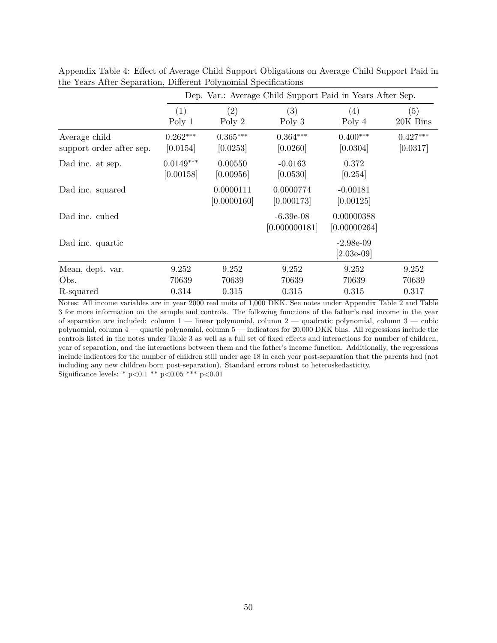|                                           |                          | Dep. Var.: Average Child Support Paid in Years After Sep. |                              |                             |                        |  |  |
|-------------------------------------------|--------------------------|-----------------------------------------------------------|------------------------------|-----------------------------|------------------------|--|--|
|                                           | (1)<br>Poly 1            | (2)<br>Poly $2$                                           | (3)<br>Poly 3                | (4)<br>Poly 4               | (5)<br>20K Bins        |  |  |
| Average child<br>support order after sep. | $0.262***$<br>[0.0154]   | $0.365***$<br>[0.0253]                                    | $0.364***$<br>[0.0260]       | $0.400***$<br>[0.0304]      | $0.427***$<br>[0.0317] |  |  |
| Dad inc. at sep.                          | $0.0149***$<br>[0.00158] | 0.00550<br>[0.00956]                                      | $-0.0163$<br>[0.0530]        | 0.372<br>[0.254]            |                        |  |  |
| Dad inc. squared                          |                          | 0.0000111<br>[0.0000160]                                  | 0.0000774<br>[0.000173]      | $-0.00181$<br>[0.00125]     |                        |  |  |
| Dad inc. cubed                            |                          |                                                           | $-6.39e-08$<br>[0.000000181] | 0.00000388<br>[0.00000264]  |                        |  |  |
| Dad inc. quartic                          |                          |                                                           |                              | $-2.98e-09$<br>$[2.03e-09]$ |                        |  |  |
| Mean, dept. var.<br>Obs.                  | 9.252<br>70639           | 9.252<br>70639                                            | 9.252<br>70639               | 9.252<br>70639              | 9.252<br>70639         |  |  |
| R-squared                                 | 0.314                    | 0.315                                                     | 0.315                        | 0.315                       | 0.317                  |  |  |

<span id="page-50-0"></span>Appendix Table 4: Effect of Average Child Support Obligations on Average Child Support Paid in the Years After Separation, Different Polynomial Specifications

Notes: All income variables are in year 2000 real units of 1,000 DKK. See notes under Appendix Table [2](#page-48-0) and Table [3](#page-38-0) for more information on the sample and controls. The following functions of the father's real income in the year of separation are included: column 1 — linear polynomial, column 2 — quadratic polynomial, column 3 — cubic polynomial, column 4 — quartic polynomial, column 5 — indicators for 20,000 DKK bins. All regressions include the controls listed in the notes under Table [3](#page-38-0) as well as a full set of fixed effects and interactions for number of children, year of separation, and the interactions between them and the father's income function. Additionally, the regressions include indicators for the number of children still under age 18 in each year post-separation that the parents had (not including any new children born post-separation). Standard errors robust to heteroskedasticity. Significance levels: \* p*<*0.1 \*\* p*<*0.05 \*\*\* p*<*0.01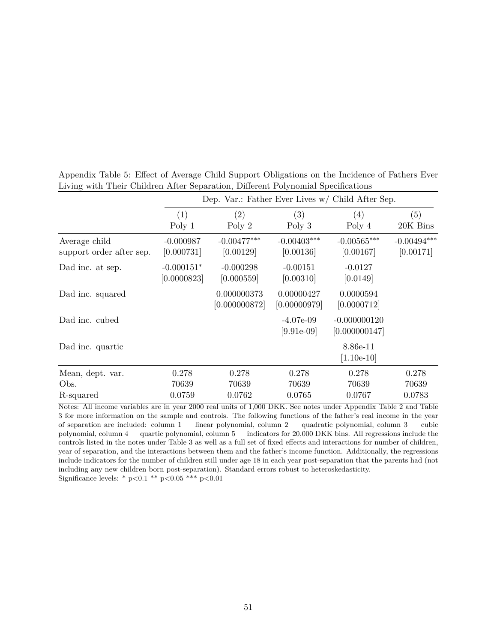|                                           |                             | Dep. Var.: Father Ever Lives $w/$ Child After Sep. |                              |                                 |                            |
|-------------------------------------------|-----------------------------|----------------------------------------------------|------------------------------|---------------------------------|----------------------------|
|                                           | (1)<br>Poly 1               | (2)<br>Poly $2$                                    | (3)<br>Poly $3$              | (4)<br>Poly 4                   | (5)<br>20K Bins            |
| Average child<br>support order after sep. | $-0.000987$<br>[0.000731]   | $-0.00477***$<br>[0.00129]                         | $-0.00403***$<br>[0.00136]   | $-0.00565***$<br>[0.00167]      | $-0.00494***$<br>[0.00171] |
| Dad inc. at sep.                          | $-0.000151*$<br>[0.0000823] | $-0.000298$<br>[0.000559]                          | $-0.00151$<br>[0.00310]      | $-0.0127$<br>[0.0149]           |                            |
| Dad inc. squared                          |                             | 0.000000373<br>[0.000000872]                       | 0.00000427<br>[0.00000979]   | 0.0000594<br>[0.0000712]        |                            |
| Dad inc. cubed                            |                             |                                                    | $-4.07e-09$<br>$[9.91e-0.9]$ | $-0.000000120$<br>[0.000000147] |                            |
| Dad inc. quartic                          |                             |                                                    |                              | 8.86e-11<br>$[1.10e-10]$        |                            |
| Mean, dept. var.                          | 0.278                       | 0.278                                              | 0.278                        | 0.278                           | 0.278                      |
| Obs.                                      | 70639                       | 70639                                              | 70639                        | 70639                           | 70639                      |
| R-squared                                 | 0.0759                      | 0.0762                                             | 0.0765                       | 0.0767                          | 0.0783                     |

<span id="page-51-0"></span>Appendix Table 5: Effect of Average Child Support Obligations on the Incidence of Fathers Ever Living with Their Children After Separation, Different Polynomial Specifications

Notes: All income variables are in year 2000 real units of 1,000 DKK. See notes under Appendix Table [2](#page-48-0) and Table [3](#page-38-0) for more information on the sample and controls. The following functions of the father's real income in the year of separation are included: column 1 — linear polynomial, column 2 — quadratic polynomial, column 3 — cubic polynomial, column 4 — quartic polynomial, column 5 — indicators for 20,000 DKK bins. All regressions include the controls listed in the notes under Table [3](#page-38-0) as well as a full set of fixed effects and interactions for number of children, year of separation, and the interactions between them and the father's income function. Additionally, the regressions include indicators for the number of children still under age 18 in each year post-separation that the parents had (not including any new children born post-separation). Standard errors robust to heteroskedasticity. Significance levels: \* p*<*0.1 \*\* p*<*0.05 \*\*\* p*<*0.01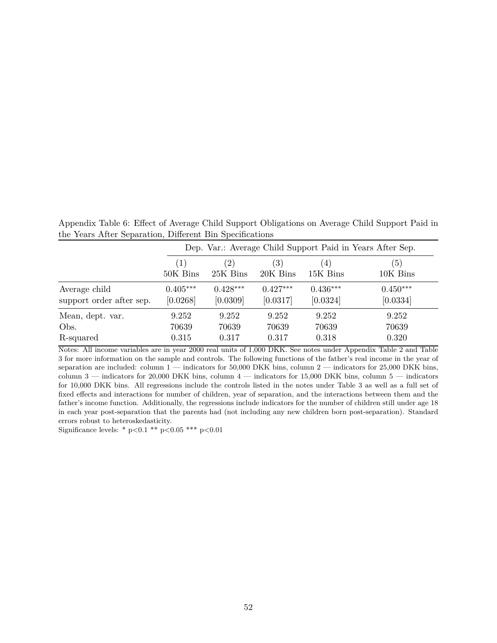<span id="page-52-0"></span>Appendix Table 6: Effect of Average Child Support Obligations on Average Child Support Paid in the Years After Separation, Different Bin Specifications

|                          | Dep. Var.: Average Child Support Paid in Years After Sep. |               |                   |            |            |  |  |
|--------------------------|-----------------------------------------------------------|---------------|-------------------|------------|------------|--|--|
|                          | $\left  \right $                                          | $^{\prime}2)$ | $\left( 3\right)$ | (4)        | (5)        |  |  |
|                          | 50K Bins                                                  | 25K Bins      | 20K Bins          | 15K Bins   | 10K Bins   |  |  |
| Average child            | $0.405***$                                                | $0.428***$    | $0.427***$        | $0.436***$ | $0.450***$ |  |  |
| support order after sep. | [0.0268]                                                  | [0.0309]      | [0.0317]          | [0.0324]   | [0.0334]   |  |  |
| Mean, dept. var.         | 9.252                                                     | 9.252         | 9.252             | 9.252      | 9.252      |  |  |
| Obs.                     | 70639                                                     | 70639         | 70639             | 70639      | 70639      |  |  |
| R-squared                | 0.315                                                     | 0.317         | 0.317             | 0.318      | 0.320      |  |  |

Notes: All income variables are in year 2000 real units of 1,000 DKK. See notes under Appendix Table [2](#page-48-0) and Table [3](#page-38-0) for more information on the sample and controls. The following functions of the father's real income in the year of separation are included: column 1 — indicators for 50,000 DKK bins, column 2 — indicators for 25,000 DKK bins, column 3 — indicators for 20,000 DKK bins, column 4 — indicators for 15,000 DKK bins, column 5 — indicators for 10,000 DKK bins. All regressions include the controls listed in the notes under Table [3](#page-38-0) as well as a full set of fixed effects and interactions for number of children, year of separation, and the interactions between them and the father's income function. Additionally, the regressions include indicators for the number of children still under age 18 in each year post-separation that the parents had (not including any new children born post-separation). Standard errors robust to heteroskedasticity.

Significance levels: \* p*<*0.1 \*\* p*<*0.05 \*\*\* p*<*0.01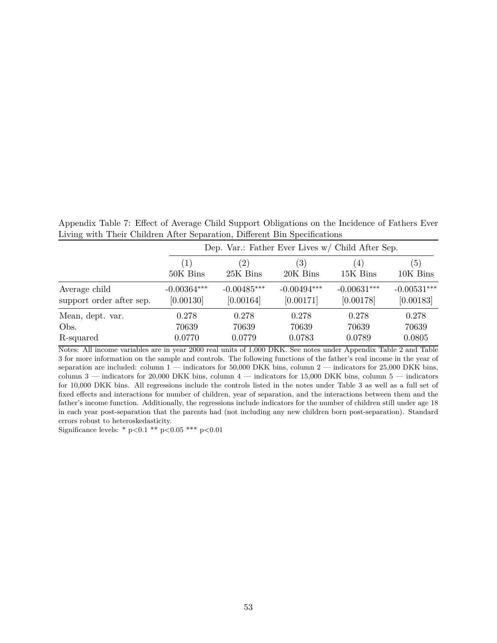<span id="page-53-0"></span>Appendix Table 7: Effect of Average Child Support Obligations on the Incidence of Fathers Ever Living with Their Children After Separation, Different Bin Specifications

|                          |                  | Dep. Var.: Father Ever Lives w/ Child After Sep. |                   |               |               |  |  |
|--------------------------|------------------|--------------------------------------------------|-------------------|---------------|---------------|--|--|
|                          | $\left(1\right)$ | $^{\prime}2)$                                    | $\left( 3\right)$ | (4)           | (5)           |  |  |
|                          | 50K Bins         | 25K Bins                                         | 20K Bins          | 15K Bins      | 10K Bins      |  |  |
| Average child            | $-0.00364***$    | $-0.00485***$                                    | $-0.00494***$     | $-0.00631***$ | $-0.00531***$ |  |  |
| support order after sep. | [0.00130]        | [0.00164]                                        | [0.00171]         | [0.00178]     | [0.00183]     |  |  |
| Mean, dept. var.         | 0.278            | 0.278                                            | 0.278             | 0.278         | 0.278         |  |  |
| Obs.                     | 70639            | 70639                                            | 70639             | 70639         | 70639         |  |  |
| R-squared                | 0.0770           | 0.0779                                           | 0.0783            | 0.0789        | 0.0805        |  |  |

Notes: All income variables are in year 2000 real units of 1,000 DKK. See notes under Appendix Table [2](#page-48-0) and Table [3](#page-38-0) for more information on the sample and controls. The following functions of the father's real income in the year of separation are included: column 1 — indicators for 50,000 DKK bins, column 2 — indicators for 25,000 DKK bins, column 3 — indicators for 20,000 DKK bins, column 4 — indicators for 15,000 DKK bins, column 5 — indicators for 10,000 DKK bins. All regressions include the controls listed in the notes under Table [3](#page-38-0) as well as a full set of fixed effects and interactions for number of children, year of separation, and the interactions between them and the father's income function. Additionally, the regressions include indicators for the number of children still under age 18 in each year post-separation that the parents had (not including any new children born post-separation). Standard errors robust to heteroskedasticity.

Significance levels: \* p*<*0.1 \*\* p*<*0.05 \*\*\* p*<*0.01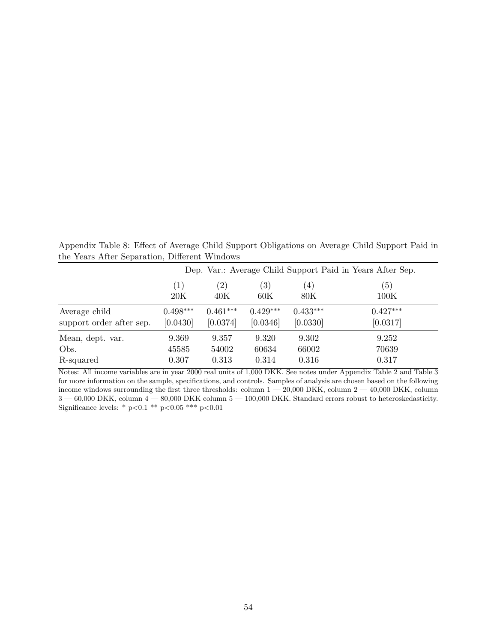<span id="page-54-0"></span>Appendix Table 8: Effect of Average Child Support Obligations on Average Child Support Paid in the Years After Separation, Different Windows

|                          | Dep. Var.: Average Child Support Paid in Years After Sep. |                   |                   |            |            |  |  |
|--------------------------|-----------------------------------------------------------|-------------------|-------------------|------------|------------|--|--|
|                          | $\left(1\right)$                                          | $\left( 2\right)$ | $\left( 3\right)$ | (4)        | (5)        |  |  |
|                          | 20K                                                       | 40K               | 60K               | 80K        | 100K       |  |  |
| Average child            | $0.498***$                                                | $0.461***$        | $0.429***$        | $0.433***$ | $0.427***$ |  |  |
| support order after sep. | [0.0430]                                                  | [0.0374]          | [0.0346]          | [0.0330]   | [0.0317]   |  |  |
| Mean, dept. var.         | 9.369                                                     | 9.357             | 9.320             | 9.302      | 9.252      |  |  |
| Obs.                     | 45585                                                     | 54002             | 60634             | 66002      | 70639      |  |  |
| R-squared                | 0.307                                                     | 0.313             | 0.314             | 0.316      | 0.317      |  |  |

Notes: All income variables are in year 2000 real units of 1,000 DKK. See notes under Appendix Table [2](#page-48-0) and Table [3](#page-38-0) for more information on the sample, specifications, and controls. Samples of analysis are chosen based on the following income windows surrounding the first three thresholds: column  $1 - 20{,}000$  DKK, column  $2 - 40{,}000$  DKK, column  $3-60,\!000$  DKK, column  $4-80,\!000$  DKK column  $5-100,\!000$  DKK. Standard errors robust to heteroskedasticity. Significance levels: \* p*<*0.1 \*\* p*<*0.05 \*\*\* p*<*0.01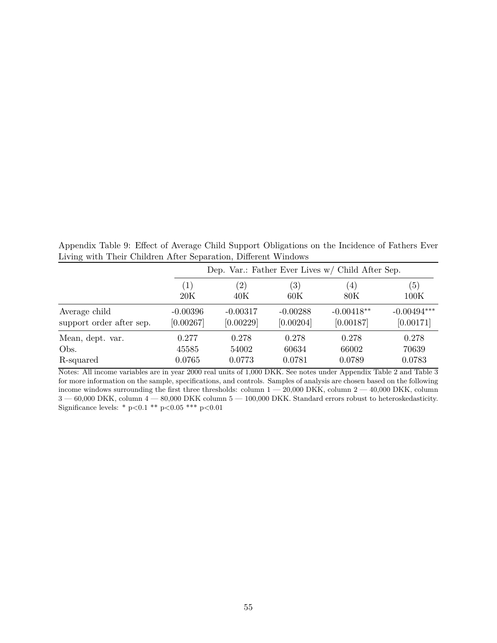<span id="page-55-0"></span>Appendix Table 9: Effect of Average Child Support Obligations on the Incidence of Fathers Ever Living with Their Children After Separation, Different Windows

|                          |            | Dep. Var.: Father Ever Lives $w/$ Child After Sep. |                   |              |               |  |  |
|--------------------------|------------|----------------------------------------------------|-------------------|--------------|---------------|--|--|
|                          | (1)        | $\left( 2\right)$                                  | $\left( 3\right)$ | (4)          | (5)           |  |  |
|                          | 20K        | 40K                                                | 60K               | 80K          | 100K          |  |  |
| Average child            | $-0.00396$ | $-0.00317$                                         | $-0.00288$        | $-0.00418**$ | $-0.00494***$ |  |  |
| support order after sep. | [0.00267]  | [0.00229]                                          | [0.00204]         | [0.00187]    | [0.00171]     |  |  |
| Mean, dept. var.         | 0.277      | 0.278                                              | 0.278             | 0.278        | 0.278         |  |  |
| Obs.                     | 45585      | 54002                                              | 60634             | 66002        | 70639         |  |  |
| R-squared                | 0.0765     | 0.0773                                             | 0.0781            | 0.0789       | 0.0783        |  |  |

Notes: All income variables are in year 2000 real units of 1,000 DKK. See notes under Appendix Table [2](#page-48-0) and Table [3](#page-38-0) for more information on the sample, specifications, and controls. Samples of analysis are chosen based on the following income windows surrounding the first three thresholds: column  $1 - 20,000$  DKK, column  $2 - 40,000$  DKK, column  $3-60,\!000$  DKK, column  $4-80,\!000$  DKK column  $5-100,\!000$  DKK. Standard errors robust to heteroskedasticity. Significance levels: \* p*<*0.1 \*\* p*<*0.05 \*\*\* p*<*0.01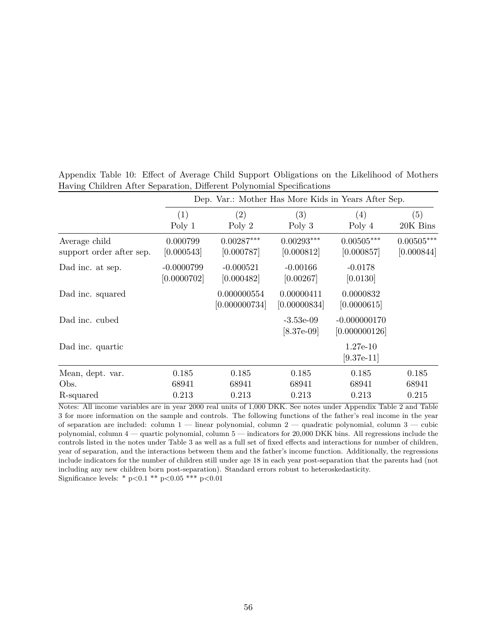|                                           |                             | Dep. Var.: Mother Has More Kids in Years After Sep. |                              |                                 |                            |
|-------------------------------------------|-----------------------------|-----------------------------------------------------|------------------------------|---------------------------------|----------------------------|
|                                           | (1)                         | (2)                                                 | (3)                          | (4)                             | (5)                        |
|                                           | Poly 1                      | Poly $2$                                            | Poly $3$                     | Poly 4                          | 20K Bins                   |
| Average child<br>support order after sep. | 0.000799<br>[0.000543]      | $0.00287***$<br>[0.000787]                          | $0.00293***$<br>[0.000812]   | $0.00505***$<br>[0.000857]      | $0.00505***$<br>[0.000844] |
| Dad inc. at sep.                          | $-0.0000799$<br>[0.0000702] | $-0.000521$<br>[0.000482]                           | $-0.00166$<br>[0.00267]      | $-0.0178$<br>[0.0130]           |                            |
| Dad inc. squared                          |                             | 0.000000554<br>[0.000000734]                        | 0.00000411<br>[0.00000834]   | 0.0000832<br>[0.0000615]        |                            |
| Dad inc. cubed                            |                             |                                                     | $-3.53e-09$<br>$[8.37e-0.9]$ | $-0.000000170$<br>[0.000000126] |                            |
| Dad inc. quartic                          |                             |                                                     |                              | $1.27e-10$<br>$[9.37e-11]$      |                            |
| Mean, dept. var.                          | 0.185                       | 0.185                                               | 0.185                        | 0.185                           | 0.185                      |
| Obs.                                      | 68941                       | 68941                                               | 68941                        | 68941                           | 68941                      |
| R-squared                                 | 0.213                       | 0.213                                               | 0.213                        | 0.213                           | 0.215                      |

<span id="page-56-0"></span>Appendix Table 10: Effect of Average Child Support Obligations on the Likelihood of Mothers Having Children After Separation, Different Polynomial Specifications

Notes: All income variables are in year 2000 real units of 1,000 DKK. See notes under Appendix Table [2](#page-48-0) and Table [3](#page-38-0) for more information on the sample and controls. The following functions of the father's real income in the year of separation are included: column 1 — linear polynomial, column 2 — quadratic polynomial, column 3 — cubic polynomial, column 4 — quartic polynomial, column 5 — indicators for 20,000 DKK bins. All regressions include the controls listed in the notes under Table [3](#page-38-0) as well as a full set of fixed effects and interactions for number of children, year of separation, and the interactions between them and the father's income function. Additionally, the regressions include indicators for the number of children still under age 18 in each year post-separation that the parents had (not including any new children born post-separation). Standard errors robust to heteroskedasticity. Significance levels: \* p*<*0.1 \*\* p*<*0.05 \*\*\* p*<*0.01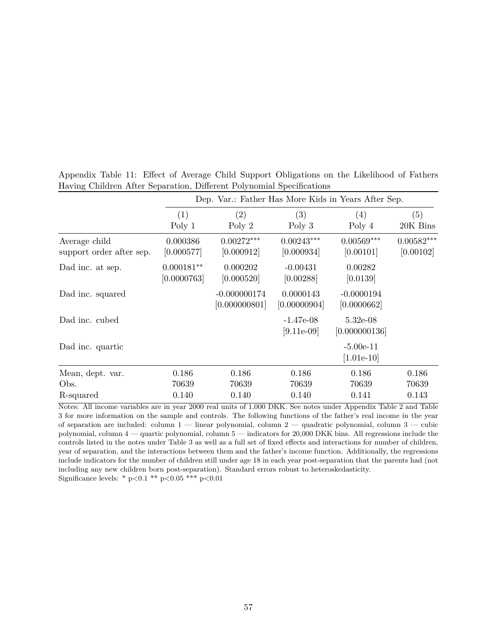|                                           |                             | Dep. Var.: Father Has More Kids in Years After Sep. |                             |                             |                           |
|-------------------------------------------|-----------------------------|-----------------------------------------------------|-----------------------------|-----------------------------|---------------------------|
|                                           | (1)                         | (2)                                                 | (3)                         | (4)                         | (5)                       |
|                                           | Poly 1                      | Poly 2                                              | Poly $3$                    | Poly 4                      | 20K Bins                  |
| Average child<br>support order after sep. | 0.000386<br>[0.000577]      | $0.00272***$<br>[0.000912]                          | $0.00243***$<br>[0.000934]  | $0.00569***$<br>[0.00101]   | $0.00582***$<br>[0.00102] |
| Dad inc. at sep.                          | $0.000181**$<br>[0.0000763] | 0.000202<br>[0.000520]                              | $-0.00431$<br>[0.00288]     | 0.00282<br>[0.0139]         |                           |
| Dad inc. squared                          |                             | $-0.000000174$<br>[0.000000801]                     | 0.0000143<br>[0.00000904]   | $-0.0000194$<br>[0.0000662] |                           |
| Dad inc. cubed                            |                             |                                                     | $-1.47e-08$<br>$[9.11e-09]$ | $5.32e-08$<br>[0.000000136] |                           |
| Dad inc. quartic                          |                             |                                                     |                             | $-5.00e-11$<br>$[1.01e-10]$ |                           |
| Mean, dept. var.                          | 0.186                       | 0.186                                               | 0.186                       | 0.186                       | 0.186                     |
| Obs.                                      | 70639                       | 70639                                               | 70639                       | 70639                       | 70639                     |
| R-squared                                 | 0.140                       | 0.140                                               | 0.140                       | 0.141                       | 0.143                     |

<span id="page-57-0"></span>Appendix Table 11: Effect of Average Child Support Obligations on the Likelihood of Fathers Having Children After Separation, Different Polynomial Specifications

Notes: All income variables are in year 2000 real units of 1,000 DKK. See notes under Appendix Table [2](#page-48-0) and Table [3](#page-38-0) for more information on the sample and controls. The following functions of the father's real income in the year of separation are included: column 1 — linear polynomial, column 2 — quadratic polynomial, column 3 — cubic polynomial, column 4 — quartic polynomial, column 5 — indicators for 20,000 DKK bins. All regressions include the controls listed in the notes under Table [3](#page-38-0) as well as a full set of fixed effects and interactions for number of children, year of separation, and the interactions between them and the father's income function. Additionally, the regressions include indicators for the number of children still under age 18 in each year post-separation that the parents had (not including any new children born post-separation). Standard errors robust to heteroskedasticity. Significance levels: \* p*<*0.1 \*\* p*<*0.05 \*\*\* p*<*0.01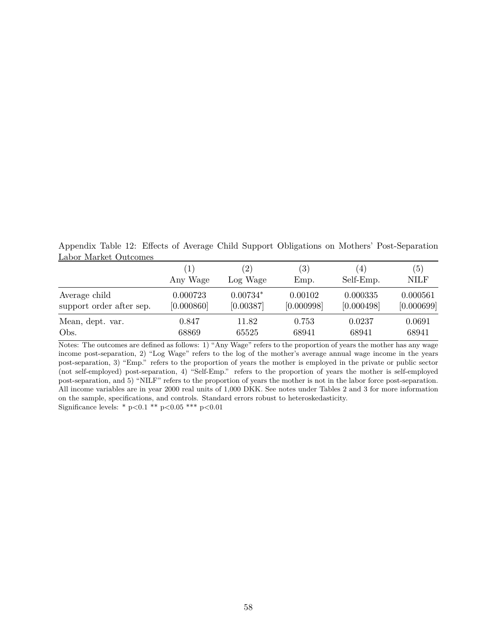<span id="page-58-0"></span>Appendix Table 12: Effects of Average Child Support Obligations on Mothers' Post-Separation Labor Market Outcomes

|                          | 1)         | $\left( 2\right)$ | (3)        | $\left(4\right)$ | (5)         |
|--------------------------|------------|-------------------|------------|------------------|-------------|
|                          | Any Wage   | Log Wage          | Emp.       | Self-Emp.        | <b>NILF</b> |
| Average child            | 0.000723   | $0.00734*$        | 0.00102    | 0.000335         | 0.000561    |
| support order after sep. | [0.000860] | [0.00387]         | [0.000998] | [0.000498]       | [0.000699]  |
| Mean, dept. var.         | 0.847      | 11.82             | 0.753      | 0.0237           | 0.0691      |
| Obs.                     | 68869      | 65525             | 68941      | 68941            | 68941       |

Notes: The outcomes are defined as follows: 1) "Any Wage" refers to the proportion of years the mother has any wage income post-separation, 2) "Log Wage" refers to the log of the mother's average annual wage income in the years post-separation, 3) "Emp." refers to the proportion of years the mother is employed in the private or public sector (not self-employed) post-separation, 4) "Self-Emp." refers to the proportion of years the mother is self-employed post-separation, and 5) "NILF" refers to the proportion of years the mother is not in the labor force post-separation. All income variables are in year 2000 real units of 1,000 DKK. See notes under Tables [2](#page-37-0) and [3](#page-38-0) for more information on the sample, specifications, and controls. Standard errors robust to heteroskedasticity. Significance levels: \* p*<*0.1 \*\* p*<*0.05 \*\*\* p*<*0.01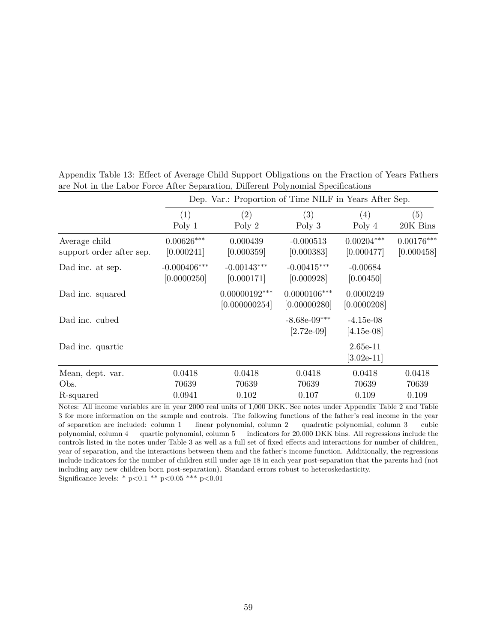|                                           |                               | Dep. Var.: Proportion of Time NILF in Years After Sep. |                                 |                             |                            |
|-------------------------------------------|-------------------------------|--------------------------------------------------------|---------------------------------|-----------------------------|----------------------------|
|                                           | (1)                           | (2)                                                    | (3)                             | (4)                         | (5)                        |
|                                           | Poly 1                        | Poly 2                                                 | Poly 3                          | Poly 4                      | 20K Bins                   |
| Average child<br>support order after sep. | $0.00626***$<br>[0.000241]    | 0.000439<br>[0.000359]                                 | $-0.000513$<br>[0.000383]       | $0.00204***$<br>[0.000477]  | $0.00176***$<br>[0.000458] |
| Dad inc. at sep.                          | $-0.000406***$<br>[0.0000250] | $-0.00143***$<br>[0.000171]                            | $-0.00415***$<br>[0.000928]     | $-0.00684$<br>[0.00450]     |                            |
| Dad inc. squared                          |                               | $0.00000192***$<br>[0.000000254]                       | $0.0000106***$<br>[0.00000280]  | 0.0000249<br>[0.0000208]    |                            |
| Dad inc. cubed                            |                               |                                                        | $-8.68e-09***$<br>$[2.72e-0.9]$ | $-4.15e-08$<br>$[4.15e-08]$ |                            |
| Dad inc. quartic                          |                               |                                                        |                                 | $2.65e-11$<br>$[3.02e-11]$  |                            |
| Mean, dept. var.                          | 0.0418                        | 0.0418                                                 | 0.0418                          | 0.0418                      | 0.0418                     |
| Obs.                                      | 70639                         | 70639                                                  | 70639                           | 70639                       | 70639                      |
| R-squared                                 | 0.0941                        | 0.102                                                  | 0.107                           | 0.109                       | 0.109                      |

<span id="page-59-0"></span>Appendix Table 13: Effect of Average Child Support Obligations on the Fraction of Years Fathers are Not in the Labor Force After Separation, Different Polynomial Specifications

Notes: All income variables are in year 2000 real units of 1,000 DKK. See notes under Appendix Table [2](#page-48-0) and Table [3](#page-38-0) for more information on the sample and controls. The following functions of the father's real income in the year of separation are included: column 1 — linear polynomial, column 2 — quadratic polynomial, column 3 — cubic polynomial, column 4 — quartic polynomial, column 5 — indicators for 20,000 DKK bins. All regressions include the controls listed in the notes under Table [3](#page-38-0) as well as a full set of fixed effects and interactions for number of children, year of separation, and the interactions between them and the father's income function. Additionally, the regressions include indicators for the number of children still under age 18 in each year post-separation that the parents had (not including any new children born post-separation). Standard errors robust to heteroskedasticity. Significance levels: \* p*<*0.1 \*\* p*<*0.05 \*\*\* p*<*0.01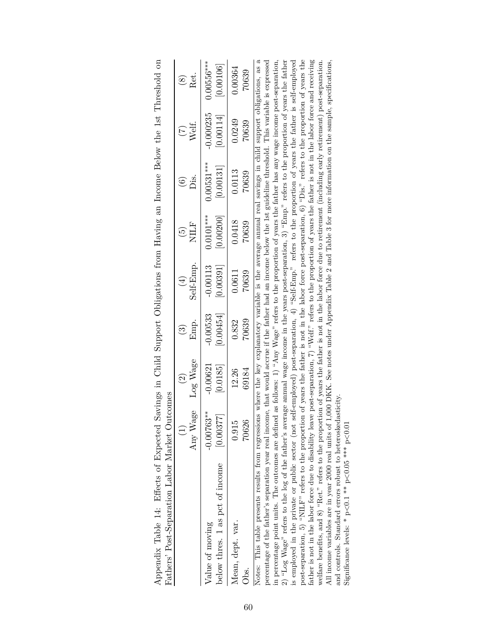<span id="page-60-0"></span>

| Fathers' Post-Separation Labor Market Outcomes                                                                                                                                                                                                                                                                                                                                                                                                                                                                                                                                                                                                                                                                                                                                                                                                                                                                                                                                                                                                                                                                                                                                                                                                                                                                                                                                                                                                |                                   |                         |                        |            |                          |                                                                                                                                                                                                                             |             |               |
|-----------------------------------------------------------------------------------------------------------------------------------------------------------------------------------------------------------------------------------------------------------------------------------------------------------------------------------------------------------------------------------------------------------------------------------------------------------------------------------------------------------------------------------------------------------------------------------------------------------------------------------------------------------------------------------------------------------------------------------------------------------------------------------------------------------------------------------------------------------------------------------------------------------------------------------------------------------------------------------------------------------------------------------------------------------------------------------------------------------------------------------------------------------------------------------------------------------------------------------------------------------------------------------------------------------------------------------------------------------------------------------------------------------------------------------------------|-----------------------------------|-------------------------|------------------------|------------|--------------------------|-----------------------------------------------------------------------------------------------------------------------------------------------------------------------------------------------------------------------------|-------------|---------------|
|                                                                                                                                                                                                                                                                                                                                                                                                                                                                                                                                                                                                                                                                                                                                                                                                                                                                                                                                                                                                                                                                                                                                                                                                                                                                                                                                                                                                                                               | Any Wage                          | Log Wage                | Emp.                   | Self-Emp.  | NILF                     | .<br>Öis                                                                                                                                                                                                                    | Welf.       | Ret.          |
|                                                                                                                                                                                                                                                                                                                                                                                                                                                                                                                                                                                                                                                                                                                                                                                                                                                                                                                                                                                                                                                                                                                                                                                                                                                                                                                                                                                                                                               | $\begin{pmatrix} 1 \end{pmatrix}$ | $\widehat{\mathcal{C}}$ | $\widehat{\mathbb{C}}$ | $(\pm)$    | $\widetilde{\mathbf{e}}$ | $\widetilde{\mathbf{e}}$                                                                                                                                                                                                    | E           | $\circledast$ |
| below thres. 1 as pct of income                                                                                                                                                                                                                                                                                                                                                                                                                                                                                                                                                                                                                                                                                                                                                                                                                                                                                                                                                                                                                                                                                                                                                                                                                                                                                                                                                                                                               | $-0.00763***$                     | $-0.00621$              | [0.00454]              | $-0.00113$ | $0.0101***$              | $0.00531***$                                                                                                                                                                                                                | $-0.000235$ | $0.00556***$  |
| Value of moving                                                                                                                                                                                                                                                                                                                                                                                                                                                                                                                                                                                                                                                                                                                                                                                                                                                                                                                                                                                                                                                                                                                                                                                                                                                                                                                                                                                                                               | [0.00377]                         | [0.0185]                | $-0.00533$             | [0.00391]  | [0.00200]                | [0.00131]                                                                                                                                                                                                                   | [0.00114]   | [0.00106]     |
| Mean, dept. var.                                                                                                                                                                                                                                                                                                                                                                                                                                                                                                                                                                                                                                                                                                                                                                                                                                                                                                                                                                                                                                                                                                                                                                                                                                                                                                                                                                                                                              | 70626                             | 12.26                   | 70639                  | 70639      | 0.0418                   | 0.0113                                                                                                                                                                                                                      | 0.0249      | 0.00364       |
| Obs.                                                                                                                                                                                                                                                                                                                                                                                                                                                                                                                                                                                                                                                                                                                                                                                                                                                                                                                                                                                                                                                                                                                                                                                                                                                                                                                                                                                                                                          | 0.915                             | 69184                   | 0.832                  | 0.0611     | 70639                    | 70639                                                                                                                                                                                                                       | 70639       | 70639         |
| post-separation, 5) "NILF" refers to the proportion of years the father is not in the labor force post-separation, 6) "Dis." refers to the proportion of years the<br>father is not in the labor force due to disability leave post-separation, 7) "Welf." refers to the proportion of years the father is not in the labor force and receiving<br>2) "Log Wage" refers to the log of the father's average annual wage income in the years post-separation, 3) "Emp." refers to the proportion of years the father<br>welfare benefits, and $8)$ "Ret." refers to the proportion of years the father is not in the labor force due to retirement (including early retirement) post-separation.<br>Notes: This table presents results from regressions where the key explanatory variable is the average annual real savings in child support obligations, as a<br>in percentage point units. The outcomes are defined as follows: 1) "Any Wage" refers to the proportion of years the father has any wage income post-separation,<br>percentage of the father's separation year real income, that would accrue if the father had an income below the 1st guideline threshold. This variable is expressed<br>and controls. Standard errors robust to heteroskedasticity.<br>is employed in the private or public sector (not<br>All income variables are in year 2000 real units of<br>Significance levels: * $p<0.1$ ** $p<0.05$ *** $p<0.01$ |                                   |                         |                        |            |                          | 1,000 DKK. See notes under Appendix Table 2 and Table 3 for more information on the sample, specifications,<br>self-employed) post-separation, 4) "Self-Emp." refers to the proportion of years the father is self-employed |             |               |

| $\frac{1}{2}$                                                                           |                    |
|-----------------------------------------------------------------------------------------|--------------------|
|                                                                                         |                    |
|                                                                                         |                    |
|                                                                                         |                    |
|                                                                                         |                    |
|                                                                                         |                    |
|                                                                                         |                    |
|                                                                                         |                    |
| a Sayings in Child Support Obligations from Haying an Income Relow the 1st Threshold on |                    |
|                                                                                         |                    |
|                                                                                         |                    |
|                                                                                         |                    |
|                                                                                         |                    |
|                                                                                         |                    |
|                                                                                         |                    |
|                                                                                         |                    |
|                                                                                         |                    |
|                                                                                         |                    |
|                                                                                         |                    |
|                                                                                         |                    |
|                                                                                         | $\frac{1}{2}$      |
|                                                                                         |                    |
|                                                                                         |                    |
| ۱<br>$\mathbf{I}$                                                                       |                    |
| ļ                                                                                       | -<br>C             |
|                                                                                         |                    |
| $\frac{3}{1}$                                                                           | くし くろく こもくらくらく     |
|                                                                                         |                    |
| <br> <br> <br> <br>                                                                     | י<br>ווי הוא הייתו |
| $\frac{1}{2}$                                                                           | $\frac{1}{2}$      |
|                                                                                         |                    |
| l<br>ı                                                                                  |                    |
| l                                                                                       |                    |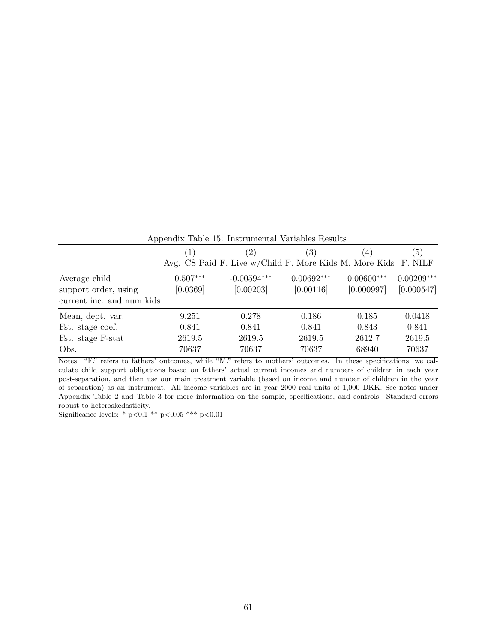<span id="page-61-0"></span>

| Appendix Table 15: Instrumental Variables Results |                                                                |                            |                           |                            |                            |  |  |
|---------------------------------------------------|----------------------------------------------------------------|----------------------------|---------------------------|----------------------------|----------------------------|--|--|
|                                                   | (1)                                                            | (2)                        | (3)                       | (4)                        | (5)                        |  |  |
|                                                   | Avg. CS Paid F. Live w/Child F. More Kids M. More Kids F. NILF |                            |                           |                            |                            |  |  |
| Average child<br>support order, using             | $0.507***$<br>[0.0369]                                         | $-0.00594***$<br>[0.00203] | $0.00692***$<br>[0.00116] | $0.00600***$<br>[0.000997] | $0.00209***$<br>[0.000547] |  |  |
| current inc. and num kids                         |                                                                |                            |                           |                            |                            |  |  |
| Mean, dept. var.                                  | 9.251                                                          | 0.278                      | 0.186                     | 0.185                      | 0.0418                     |  |  |
| Fst. stage coef.                                  | 0.841                                                          | 0.841                      | 0.841                     | 0.843                      | 0.841                      |  |  |
| Fst. stage F-stat                                 | 2619.5                                                         | 2619.5                     | 2619.5                    | 2612.7                     | 2619.5                     |  |  |
| Obs.                                              | 70637                                                          | 70637                      | 70637                     | 68940                      | 70637                      |  |  |

Notes: "F." refers to fathers' outcomes, while "M." refers to mothers' outcomes. In these specifications, we calculate child support obligations based on fathers' actual current incomes and numbers of children in each year post-separation, and then use our main treatment variable (based on income and number of children in the year of separation) as an instrument. All income variables are in year 2000 real units of 1,000 DKK. See notes under Appendix Table [2](#page-48-0) and Table [3](#page-38-0) for more information on the sample, specifications, and controls. Standard errors robust to heteroskedasticity.

Significance levels: \* p*<*0.1 \*\* p*<*0.05 \*\*\* p*<*0.01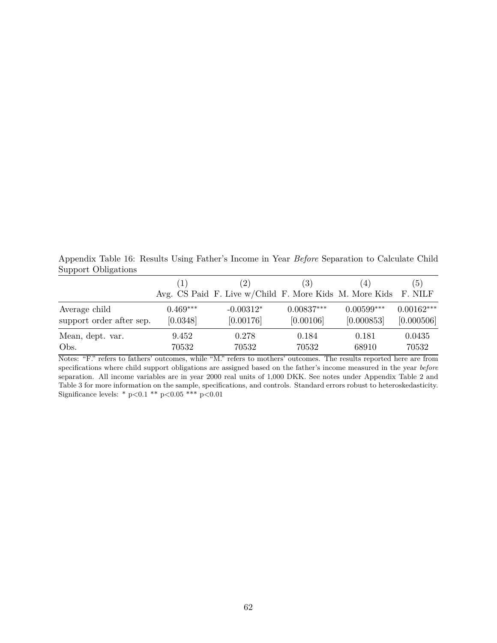<span id="page-62-0"></span>Appendix Table 16: Results Using Father's Income in Year *Before* Separation to Calculate Child Support Obligations

|                          | $\left( 1\right)$ | (2)<br>Avg. CS Paid F. Live w/Child F. More Kids M. More Kids F. NILF | (3)          | $\overline{4}$ | (5)          |
|--------------------------|-------------------|-----------------------------------------------------------------------|--------------|----------------|--------------|
| Average child            | $0.469***$        | $-0.00312*$                                                           | $0.00837***$ | $0.00599***$   | $0.00162***$ |
| support order after sep. | [0.0348]          | [0.00176]                                                             | [0.00106]    | [0.000853]     | [0.000506]   |
| Mean, dept. var.         | 9.452             | 0.278                                                                 | 0.184        | 0.181          | 0.0435       |
| Obs.                     | 70532             | 70532                                                                 | 70532        | 68910          | 70532        |

Notes: "F." refers to fathers' outcomes, while "M." refers to mothers' outcomes. The results reported here are from specifications where child support obligations are assigned based on the father's income measured in the year *before* separation. All income variables are in year 2000 real units of 1,000 DKK. See notes under Appendix Table [2](#page-48-0) and Table [3](#page-38-0) for more information on the sample, specifications, and controls. Standard errors robust to heteroskedasticity. Significance levels: \* p*<*0.1 \*\* p*<*0.05 \*\*\* p*<*0.01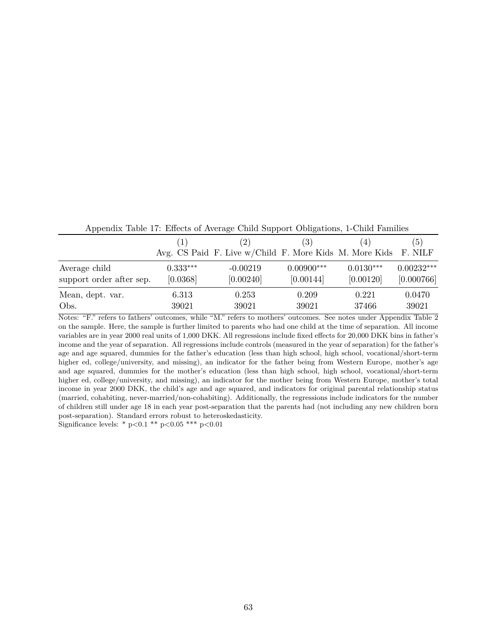| Trippendix Table 11. Enterto of Tretage Child Dupport Congations, I Child Families |            |                                                                |              |             |              |  |  |
|------------------------------------------------------------------------------------|------------|----------------------------------------------------------------|--------------|-------------|--------------|--|--|
|                                                                                    | (1)        | (2)                                                            | (3)          | $\cdot$ 4   | (5)          |  |  |
|                                                                                    |            | Avg. CS Paid F. Live w/Child F. More Kids M. More Kids F. NILF |              |             |              |  |  |
| Average child                                                                      | $0.333***$ | $-0.00219$                                                     | $0.00900***$ | $0.0130***$ | $0.00232***$ |  |  |
| support order after sep.                                                           | [0.0368]   | [0.00240]                                                      | [0.00144]    | [0.00120]   | [0.000766]   |  |  |
| Mean, dept. var.                                                                   | 6.313      | 0.253                                                          | 0.209        | 0.221       | 0.0470       |  |  |
| Obs.                                                                               | 39021      | 39021                                                          | 39021        | 37466       | 39021        |  |  |

<span id="page-63-0"></span>Appendix Table 17: Effects of Average Child Support Obligations, 1-Child Families

Notes: "F." refers to fathers' outcomes, while "M." refers to mothers' outcomes. See notes under Appendix Table [2](#page-48-0) on the sample. Here, the sample is further limited to parents who had one child at the time of separation. All income variables are in year 2000 real units of 1,000 DKK. All regressions include fixed effects for 20,000 DKK bins in father's income and the year of separation. All regressions include controls (measured in the year of separation) for the father's age and age squared, dummies for the father's education (less than high school, high school, vocational/short-term higher ed, college/university, and missing), an indicator for the father being from Western Europe, mother's age and age squared, dummies for the mother's education (less than high school, high school, vocational/short-term higher ed, college/university, and missing), an indicator for the mother being from Western Europe, mother's total income in year 2000 DKK, the child's age and age squared, and indicators for original parental relationship status (married, cohabiting, never-married/non-cohabiting). Additionally, the regressions include indicators for the number of children still under age 18 in each year post-separation that the parents had (not including any new children born post-separation). Standard errors robust to heteroskedasticity.

Significance levels: \* p*<*0.1 \*\* p*<*0.05 \*\*\* p*<*0.01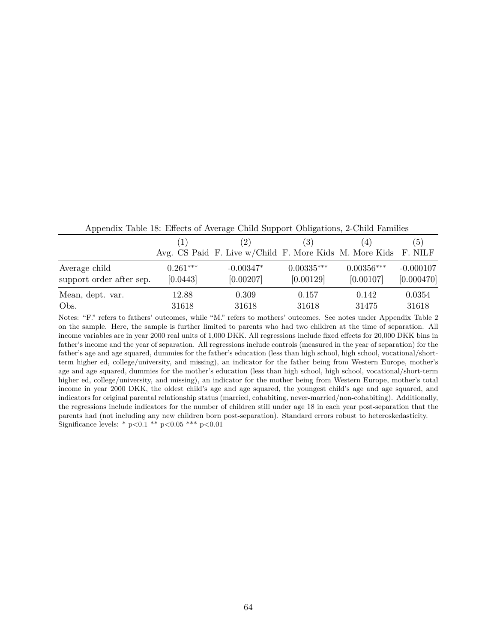| Trippendix Table To. Enters of Tiverage Child Bupport Obligations, 2-Child Families |            |                                                                |              |              |             |  |  |
|-------------------------------------------------------------------------------------|------------|----------------------------------------------------------------|--------------|--------------|-------------|--|--|
|                                                                                     | (1)        | (2)                                                            | (3)          | (4)          | (5)         |  |  |
|                                                                                     |            | Avg. CS Paid F. Live w/Child F. More Kids M. More Kids F. NILF |              |              |             |  |  |
| Average child                                                                       | $0.261***$ | $-0.00347*$                                                    | $0.00335***$ | $0.00356***$ | $-0.000107$ |  |  |
| support order after sep.                                                            | [0.0443]   | [0.00207]                                                      | [0.00129]    | [0.00107]    | [0.000470]  |  |  |
| Mean, dept. var.                                                                    | 12.88      | 0.309                                                          | 0.157        | 0.142        | 0.0354      |  |  |
| Obs.                                                                                | 31618      | 31618                                                          | 31618        | 31475        | 31618       |  |  |

<span id="page-64-0"></span>Appendix Table 18: Effects of Average Child Support Obligations, 2-Child Families

Notes: "F." refers to fathers' outcomes, while "M." refers to mothers' outcomes. See notes under Appendix Table [2](#page-48-0) on the sample. Here, the sample is further limited to parents who had two children at the time of separation. All income variables are in year 2000 real units of 1,000 DKK. All regressions include fixed effects for 20,000 DKK bins in father's income and the year of separation. All regressions include controls (measured in the year of separation) for the father's age and age squared, dummies for the father's education (less than high school, high school, vocational/shortterm higher ed, college/university, and missing), an indicator for the father being from Western Europe, mother's age and age squared, dummies for the mother's education (less than high school, high school, vocational/short-term higher ed, college/university, and missing), an indicator for the mother being from Western Europe, mother's total income in year 2000 DKK, the oldest child's age and age squared, the youngest child's age and age squared, and indicators for original parental relationship status (married, cohabiting, never-married/non-cohabiting). Additionally, the regressions include indicators for the number of children still under age 18 in each year post-separation that the parents had (not including any new children born post-separation). Standard errors robust to heteroskedasticity. Significance levels: \* p*<*0.1 \*\* p*<*0.05 \*\*\* p*<*0.01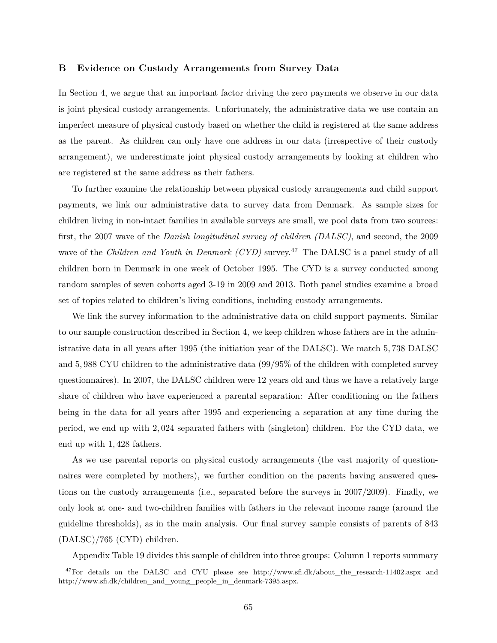#### <span id="page-65-0"></span>**B Evidence on Custody Arrangements from Survey Data**

In Section [4,](#page-15-0) we argue that an important factor driving the zero payments we observe in our data is joint physical custody arrangements. Unfortunately, the administrative data we use contain an imperfect measure of physical custody based on whether the child is registered at the same address as the parent. As children can only have one address in our data (irrespective of their custody arrangement), we underestimate joint physical custody arrangements by looking at children who are registered at the same address as their fathers.

To further examine the relationship between physical custody arrangements and child support payments, we link our administrative data to survey data from Denmark. As sample sizes for children living in non-intact families in available surveys are small, we pool data from two sources: first, the 2007 wave of the *Danish longitudinal survey of children (DALSC)*, and second, the 2009 wave of the *Children and Youth in Denmark (CYD)* survey.<sup>47</sup> The DALSC is a panel study of all children born in Denmark in one week of October 1995. The CYD is a survey conducted among random samples of seven cohorts aged 3-19 in 2009 and 2013. Both panel studies examine a broad set of topics related to children's living conditions, including custody arrangements.

We link the survey information to the administrative data on child support payments. Similar to our sample construction described in Section [4,](#page-15-0) we keep children whose fathers are in the administrative data in all years after 1995 (the initiation year of the DALSC). We match 5*,* 738 DALSC and 5*,* 988 CYU children to the administrative data (99/95% of the children with completed survey questionnaires). In 2007, the DALSC children were 12 years old and thus we have a relatively large share of children who have experienced a parental separation: After conditioning on the fathers being in the data for all years after 1995 and experiencing a separation at any time during the period, we end up with 2*,* 024 separated fathers with (singleton) children. For the CYD data, we end up with 1*,* 428 fathers.

As we use parental reports on physical custody arrangements (the vast majority of questionnaires were completed by mothers), we further condition on the parents having answered questions on the custody arrangements (i.e., separated before the surveys in 2007/2009). Finally, we only look at one- and two-children families with fathers in the relevant income range (around the guideline thresholds), as in the main analysis. Our final survey sample consists of parents of 843 (DALSC)/765 (CYD) children.

Appendix Table [19](#page-68-0) divides this sample of children into three groups: Column 1 reports summary

<sup>&</sup>lt;sup>47</sup>For details on the DALSC and CYU please see http://www.sfi.dk/about\_the\_research-11402.aspx and http://www.sfi.dk/children\_and\_young\_people\_in\_denmark-7395.aspx.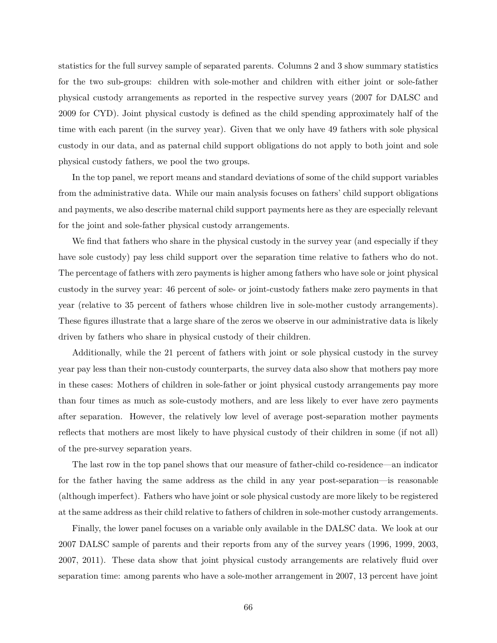statistics for the full survey sample of separated parents. Columns 2 and 3 show summary statistics for the two sub-groups: children with sole-mother and children with either joint or sole-father physical custody arrangements as reported in the respective survey years (2007 for DALSC and 2009 for CYD). Joint physical custody is defined as the child spending approximately half of the time with each parent (in the survey year). Given that we only have 49 fathers with sole physical custody in our data, and as paternal child support obligations do not apply to both joint and sole physical custody fathers, we pool the two groups.

In the top panel, we report means and standard deviations of some of the child support variables from the administrative data. While our main analysis focuses on fathers' child support obligations and payments, we also describe maternal child support payments here as they are especially relevant for the joint and sole-father physical custody arrangements.

We find that fathers who share in the physical custody in the survey year (and especially if they have sole custody) pay less child support over the separation time relative to fathers who do not. The percentage of fathers with zero payments is higher among fathers who have sole or joint physical custody in the survey year: 46 percent of sole- or joint-custody fathers make zero payments in that year (relative to 35 percent of fathers whose children live in sole-mother custody arrangements). These figures illustrate that a large share of the zeros we observe in our administrative data is likely driven by fathers who share in physical custody of their children.

Additionally, while the 21 percent of fathers with joint or sole physical custody in the survey year pay less than their non-custody counterparts, the survey data also show that mothers pay more in these cases: Mothers of children in sole-father or joint physical custody arrangements pay more than four times as much as sole-custody mothers, and are less likely to ever have zero payments after separation. However, the relatively low level of average post-separation mother payments reflects that mothers are most likely to have physical custody of their children in some (if not all) of the pre-survey separation years.

The last row in the top panel shows that our measure of father-child co-residence—an indicator for the father having the same address as the child in any year post-separation—is reasonable (although imperfect). Fathers who have joint or sole physical custody are more likely to be registered at the same address as their child relative to fathers of children in sole-mother custody arrangements.

Finally, the lower panel focuses on a variable only available in the DALSC data. We look at our 2007 DALSC sample of parents and their reports from any of the survey years (1996, 1999, 2003, 2007, 2011). These data show that joint physical custody arrangements are relatively fluid over separation time: among parents who have a sole-mother arrangement in 2007, 13 percent have joint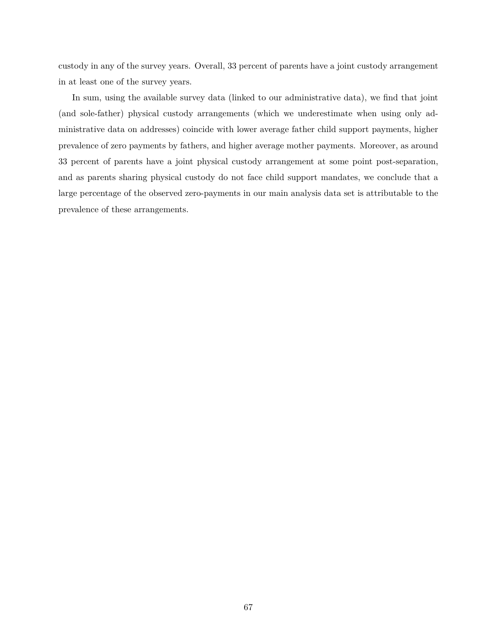custody in any of the survey years. Overall, 33 percent of parents have a joint custody arrangement in at least one of the survey years.

In sum, using the available survey data (linked to our administrative data), we find that joint (and sole-father) physical custody arrangements (which we underestimate when using only administrative data on addresses) coincide with lower average father child support payments, higher prevalence of zero payments by fathers, and higher average mother payments. Moreover, as around 33 percent of parents have a joint physical custody arrangement at some point post-separation, and as parents sharing physical custody do not face child support mandates, we conclude that a large percentage of the observed zero-payments in our main analysis data set is attributable to the prevalence of these arrangements.